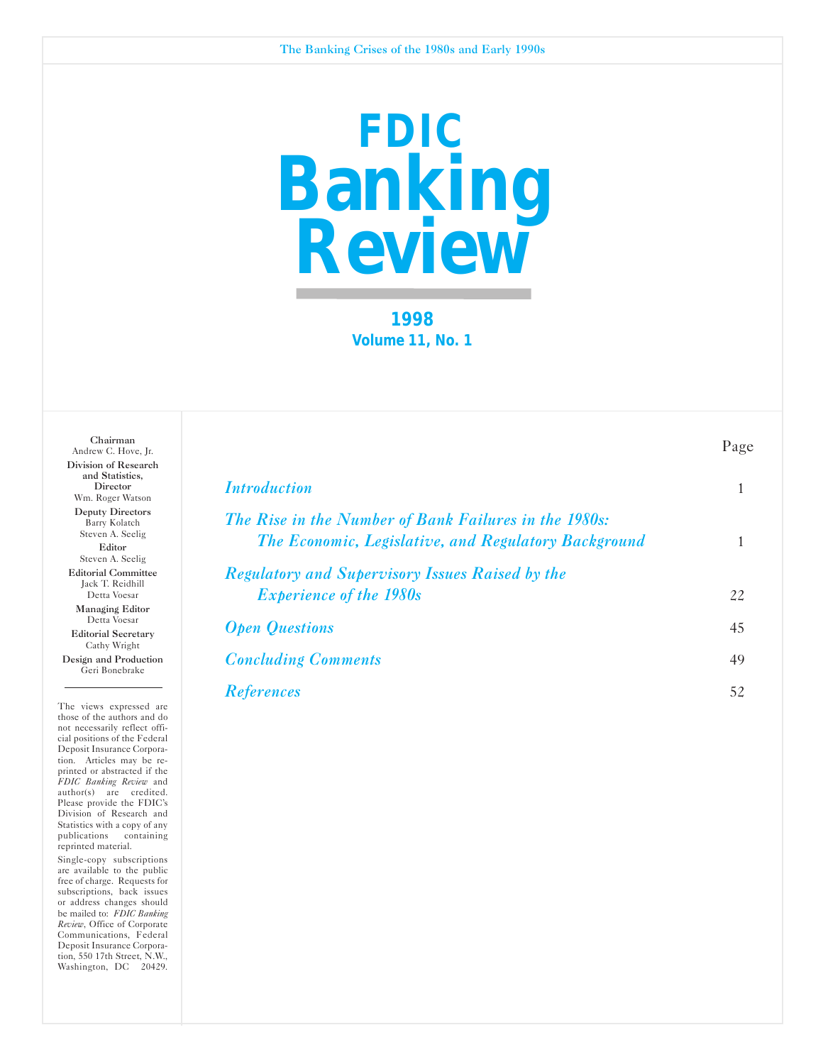

**1998 Volume 11, No. 1** 

| Chairman<br>Andrew C. Hove, Jr.                                                     |                                                                                                               | Page |
|-------------------------------------------------------------------------------------|---------------------------------------------------------------------------------------------------------------|------|
| Division of Research<br>and Statistics,<br>Director<br>Wm. Roger Watson             | <i><u><b>Introduction</b></u></i>                                                                             |      |
| Deputy Directors<br>Barry Kolatch<br>Steven A. Seelig<br>Editor<br>Steven A. Seelig | The Rise in the Number of Bank Failures in the 1980s:<br>The Economic, Legislative, and Regulatory Background |      |
| <b>Editorial Committee</b><br>Jack T. Reidhill<br>Detta Voesar                      | <b>Regulatory and Supervisory Issues Raised by the</b><br><i>Experience of the 1980s</i>                      | 22   |
| Managing Editor<br>Detta Voesar<br><b>Editorial Secretary</b>                       | <b>Open Questions</b>                                                                                         | 45   |
| Cathy Wright<br>Design and Production<br>Geri Bonebrake                             | <b>Concluding Comments</b>                                                                                    | 49   |
|                                                                                     | <b>References</b>                                                                                             | 52   |

The views expressed are those of the authors and do not necessarily reflect official positions of the Federal Deposit Insurance Corporation. Articles may be reprinted or abstracted if the *FDIC Banking Review* and author(s) are credited. Please provide the FDIC's Division of Research and Statistics with a copy of any publications containing reprinted material.

Single-copy subscriptions are available to the public free of charge. Requests for subscriptions, back issues or address changes should be mailed to: *FDIC Banking Review*, Office of Corporate Communications, Federal Deposit Insurance Corporation, 550 17th Street, N.W., Washington, DC 20429.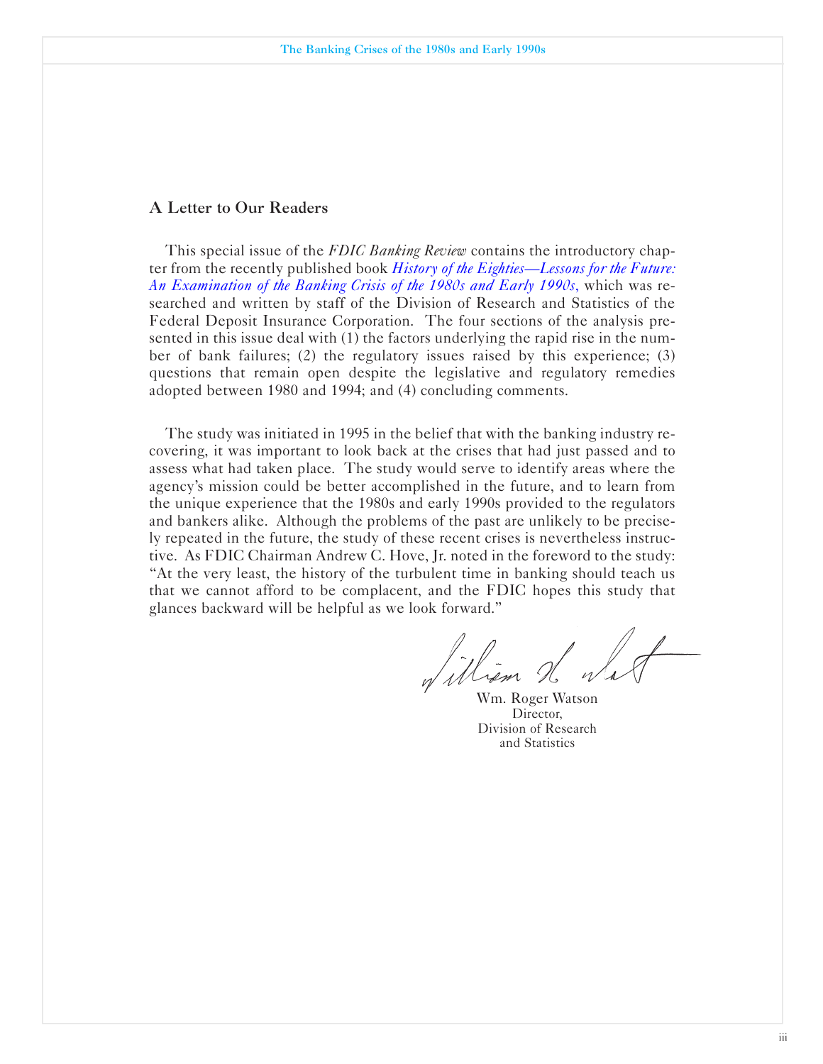#### A Letter to Our Readers

This special issue of the *FDIC Banking Review* contains the introductory chapter from the recently published book *History of the Eighties-Lessons for the Future: An Examination of the Banking Crisis of the 1980s and Early 1990s*, which was researched and written by staff of the Division of Research and Statistics of the Federal Deposit Insurance Corporation. The four sections of the analysis presented in this issue deal with (1) the factors underlying the rapid rise in the number of bank failures; (2) the regulatory issues raised by this experience; (3) questions that remain open despite the legislative and regulatory remedies adopted between 1980 and 1994; and (4) concluding comments.

The study was initiated in 1995 in the belief that with the banking industry recovering, it was important to look back at the crises that had just passed and to assess what had taken place. The study would serve to identify areas where the agency's mission could be better accomplished in the future, and to learn from the unique experience that the 1980s and early 1990s provided to the regulators and bankers alike. Although the problems of the past are unlikely to be precisely repeated in the future, the study of these recent crises is nevertheless instructive. As FDIC Chairman Andrew C. Hove, Jr. noted in the foreword to the study: "At the very least, the history of the turbulent time in banking should teach us that we cannot afford to be complacent, and the FDIC hopes this study that glances backward will be helpful as we look forward."

William H Wa

Wm. Roger Watson Director. Division of Research and Statistics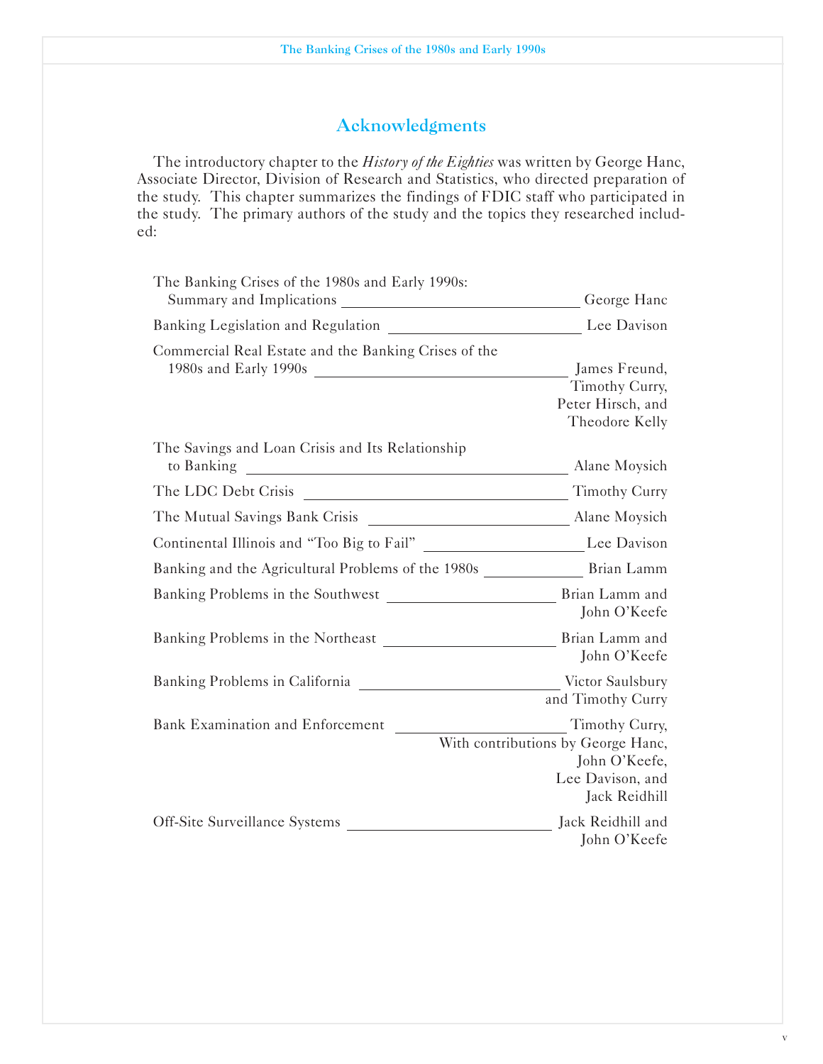# Acknowledgments

The introductory chapter to the *History of the Eighties* was written by George Hanc, Associate Director, Division of Research and Statistics, who directed preparation of the study. This chapter summarizes the findings of FDIC staff who participated in the study. The primary authors of the study and the topics they researched included:

| The Banking Crises of the 1980s and Early 1990s:                                 | George Hanc                                                                                                |
|----------------------------------------------------------------------------------|------------------------------------------------------------------------------------------------------------|
|                                                                                  | Lee Davison                                                                                                |
| Commercial Real Estate and the Banking Crises of the                             | James Freund,<br>Timothy Curry,<br>Peter Hirsch, and<br>Theodore Kelly                                     |
| The Savings and Loan Crisis and Its Relationship                                 | Alane Moysich                                                                                              |
|                                                                                  | <b>Timothy Curry</b>                                                                                       |
|                                                                                  |                                                                                                            |
| Continental Illinois and "Too Big to Fail" __________________________Lee Davison |                                                                                                            |
|                                                                                  |                                                                                                            |
|                                                                                  | John O'Keefe                                                                                               |
|                                                                                  | John O'Keefe                                                                                               |
|                                                                                  | and Timothy Curry                                                                                          |
| Bank Examination and Enforcement                                                 | Timothy Curry,<br>With contributions by George Hanc,<br>John O'Keefe,<br>Lee Davison, and<br>Jack Reidhill |
| Off-Site Surveillance Systems                                                    | Jack Reidhill and<br>John O'Keefe                                                                          |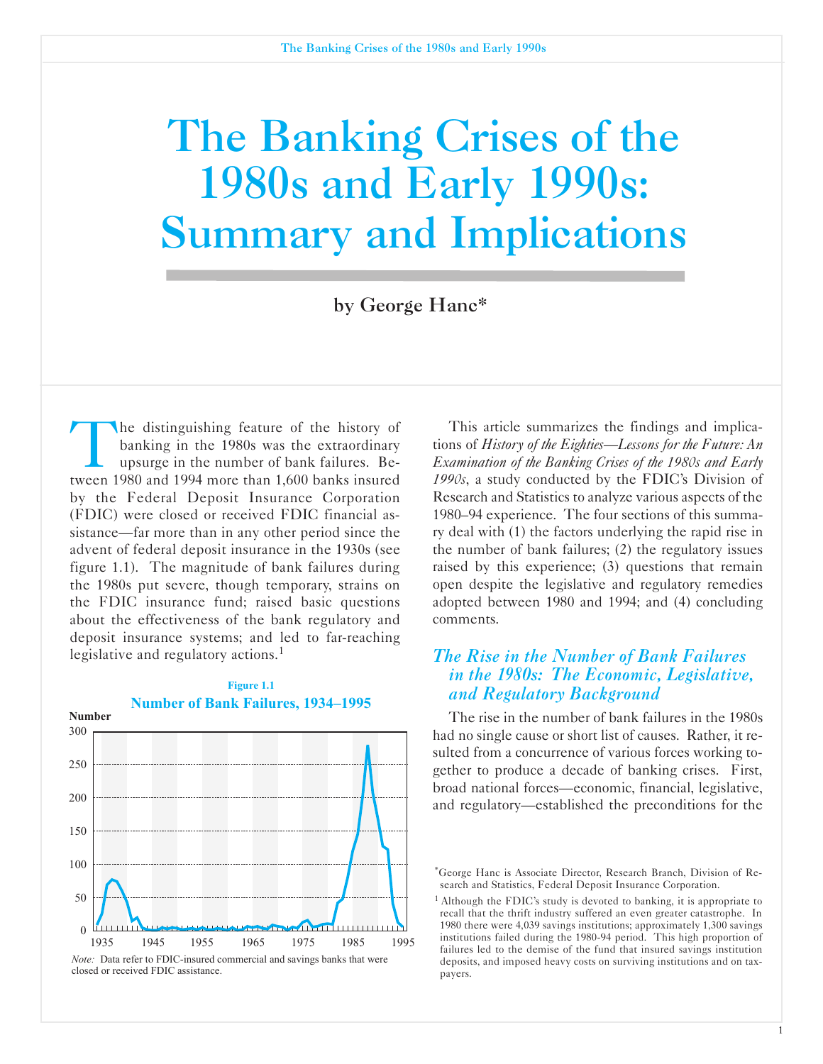# The Banking Crises of the 1980s and Early 1990s: Summary and Implications

by George Hanc\*

The distinguishing feature of the history of banking in the 1980s was the extraordinary upsurge in the number of bank failures. Between 1980 and 1994 more than 1,600 banks insured by the Federal Deposit Insurance Corporation (FDIC) were closed or received FDIC financial assistance—far more than in any other period since the advent of federal deposit insurance in the 1930s (see figure 1.1). The magnitude of bank failures during the 1980s put severe, though temporary, strains on the FDIC insurance fund; raised basic questions about the effectiveness of the bank regulatory and deposit insurance systems; and led to far-reaching legislative and regulatory actions.<sup>1</sup>



**Figure 1.1**

This article summarizes the findings and implications of *History of the Eighties-Lessons for the Future: An Examination of the Banking Crises of the 1980s and Early 1990s*, a study conducted by the FDIC's Division of Research and Statistics to analyze various aspects of the 1980-94 experience. The four sections of this summary deal with (1) the factors underlying the rapid rise in the number of bank failures; (2) the regulatory issues raised by this experience; (3) questions that remain open despite the legislative and regulatory remedies adopted between 1980 and 1994; and (4) concluding comments.

# *The Rise in the Number of Bank Failures in the 1980s: The Economic, Legislative, and Regulatory Background*

The rise in the number of bank failures in the 1980s had no single cause or short list of causes. Rather, it resulted from a concurrence of various forces working together to produce a decade of banking crises. First, broad national forces-economic, financial, legislative, and regulatory-established the preconditions for the

<sup>&#</sup>x27;George Hanc is Associate Director, Research Branch, Division of Research and Statistics, Federal Deposit Insurance Corporation.

<sup>&</sup>lt;sup>1</sup> Although the FDIC's study is devoted to banking, it is appropriate to recall that the thrift industry suffered an even greater catastrophe. In 1980 there were 4,039 savings institutions; approximately 1,300 savings institutions failed during the 1980-94 period. This high proportion of failures led to the demise of the fund that insured savings institution deposits, and imposed heavy costs on surviving institutions and on taxpayers.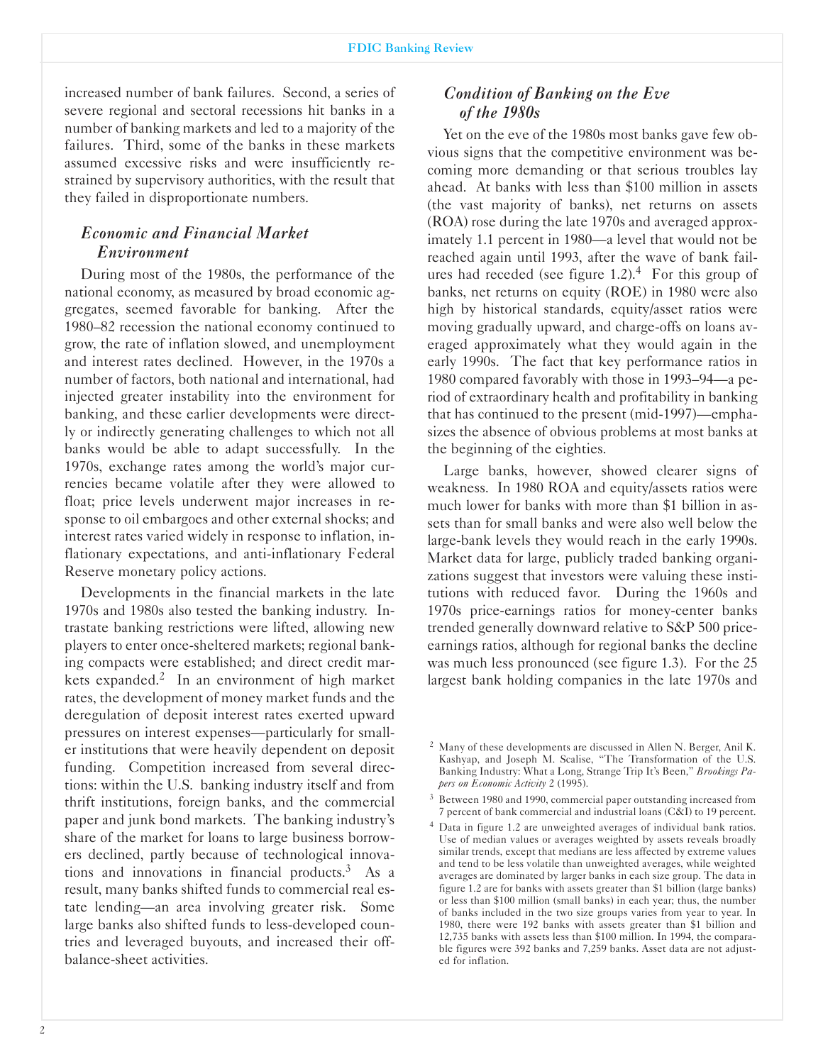increased number of bank failures. Second, a series of severe regional and sectoral recessions hit banks in a number of banking markets and led to a majority of the failures. Third, some of the banks in these markets assumed excessive risks and were insufficiently restrained by supervisory authorities, with the result that they failed in disproportionate numbers.

# *Economic and Financial Market Environment*

During most of the 1980s, the performance of the national economy, as measured by broad economic aggregates, seemed favorable for banking. After the 1980-82 recession the national economy continued to grow, the rate of inflation slowed, and unemployment and interest rates declined. However, in the 1970s a number of factors, both national and international, had injected greater instability into the environment for banking, and these earlier developments were directly or indirectly generating challenges to which not all banks would be able to adapt successfully. In the 1970s, exchange rates among the world's major currencies became volatile after they were allowed to float; price levels underwent major increases in response to oil embargoes and other external shocks; and interest rates varied widely in response to inflation, inflationary expectations, and anti-inflationary Federal Reserve monetary policy actions.

Developments in the financial markets in the late 1970s and 1980s also tested the banking industry. Intrastate banking restrictions were lifted, allowing new players to enter oncesheltered markets; regional banking compacts were established; and direct credit markets expanded.<sup>2</sup> In an environment of high market rates, the development of money market funds and the deregulation of deposit interest rates exerted upward pressures on interest expenses—particularly for smaller institutions that were heavily dependent on deposit funding. Competition increased from several directions: within the U.S. banking industry itself and from thrift institutions, foreign banks, and the commercial paper and junk bond markets. The banking industry's share of the market for loans to large business borrowers declined, partly because of technological innovations and innovations in financial products. $3$  As a result, many banks shifted funds to commercial real estate lending-an area involving greater risk. Some large banks also shifted funds to less-developed countries and leveraged buyouts, and increased their offbalance-sheet activities.

# *Condition of Banking on the Eve of the 1980s*

Yet on the eve of the 1980s most banks gave few obvious signs that the competitive environment was becoming more demanding or that serious troubles lay ahead. At banks with less than \$100 million in assets (the vast majority of banks), net returns on assets (ROA) rose during the late 1970s and averaged approximately 1.1 percent in 1980—a level that would not be reached again until 1993, after the wave of bank failures had receded (see figure 1.2).<sup>4</sup> For this group of banks, net returns on equity (ROE) in 1980 were also high by historical standards, equity/asset ratios were moving gradually upward, and charge-offs on loans averaged approximately what they would again in the early 1990s. The fact that key performance ratios in 1980 compared favorably with those in 1993–94—a period of extraordinary health and profitability in banking that has continued to the present (mid-1997)—emphasizes the absence of obvious problems at most banks at the beginning of the eighties.

Large banks, however, showed clearer signs of weakness. In 1980 ROA and equity/assets ratios were much lower for banks with more than \$1 billion in assets than for small banks and were also well below the large-bank levels they would reach in the early 1990s. Market data for large, publicly traded banking organizations suggest that investors were valuing these institutions with reduced favor. During the 1960s and 1970s price-earnings ratios for money-center banks trended generally downward relative to S&P 500 priceearnings ratios, although for regional banks the decline was much less pronounced (see figure 1.3). For the 25 largest bank holding companies in the late 1970s and

<sup>&</sup>lt;sup>2</sup> Many of these developments are discussed in Allen N. Berger, Anil K. Kashyap, and Joseph M. Scalise, "The Transformation of the U.S. Banking Industry: What a Long, Strange Trip It's Been," Brookings Pa*pers on Economic Activity* 2 (1995).

<sup>&</sup>lt;sup>3</sup> Between 1980 and 1990, commercial paper outstanding increased from 7 percent of bank commercial and industrial loans (C&I) to 19 percent.

<sup>&</sup>lt;sup>4</sup> Data in figure 1.2 are unweighted averages of individual bank ratios. Use of median values or averages weighted by assets reveals broadly similar trends, except that medians are less affected by extreme values and tend to be less volatile than unweighted averages, while weighted averages are dominated by larger banks in each size group. The data in figure 1.2 are for banks with assets greater than \$1 billion (large banks) or less than \$100 million (small banks) in each year; thus, the number of banks included in the two size groups varies from year to year. In 1980, there were 192 banks with assets greater than \$1 billion and 12,735 banks with assets less than \$100 million. In 1994, the comparable figures were 392 banks and 7,259 banks. Asset data are not adjusted for inflation.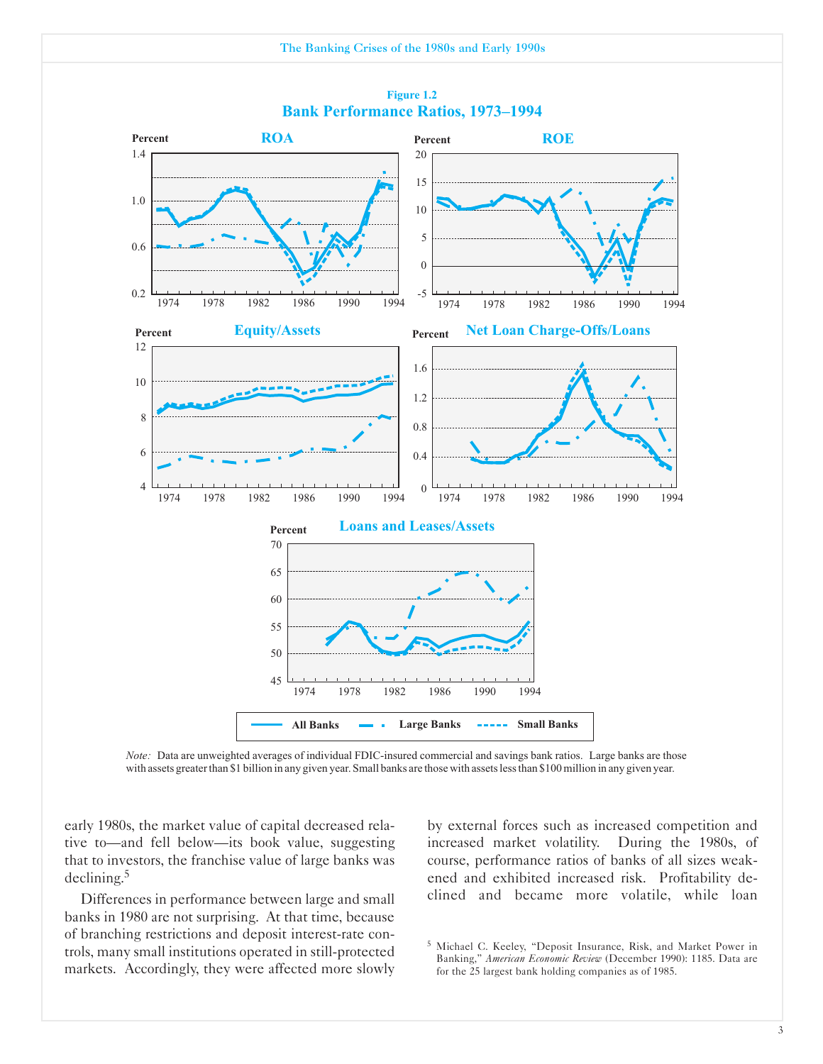

#### **Figure 1.2 Bank Performance Ratios, 1973–1994**

*Note:* Data are unweighted averages of individual FDIC-insured commercial and savings bank ratios. Large banks are those with assets greater than \$1 billion in any given year. Small banks are those with assets less than \$100 million in any given year.

early 1980s, the market value of capital decreased relative to-and fell below-its book value, suggesting that to investors, the franchise value of large banks was declining.5

Differences in performance between large and small banks in 1980 are not surprising. At that time, because of branching restrictions and deposit interest-rate controls, many small institutions operated in still-protected markets. Accordingly, they were affected more slowly

by external forces such as increased competition and increased market volatility. During the 1980s, of course, performance ratios of banks of all sizes weakened and exhibited increased risk. Profitability declined and became more volatile, while loan

<sup>5</sup> Michael C. Keeley, "Deposit Insurance, Risk, and Market Power in Banking," *American Economic Review* (December 1990): 1185. Data are for the 25 largest bank holding companies as of 1985.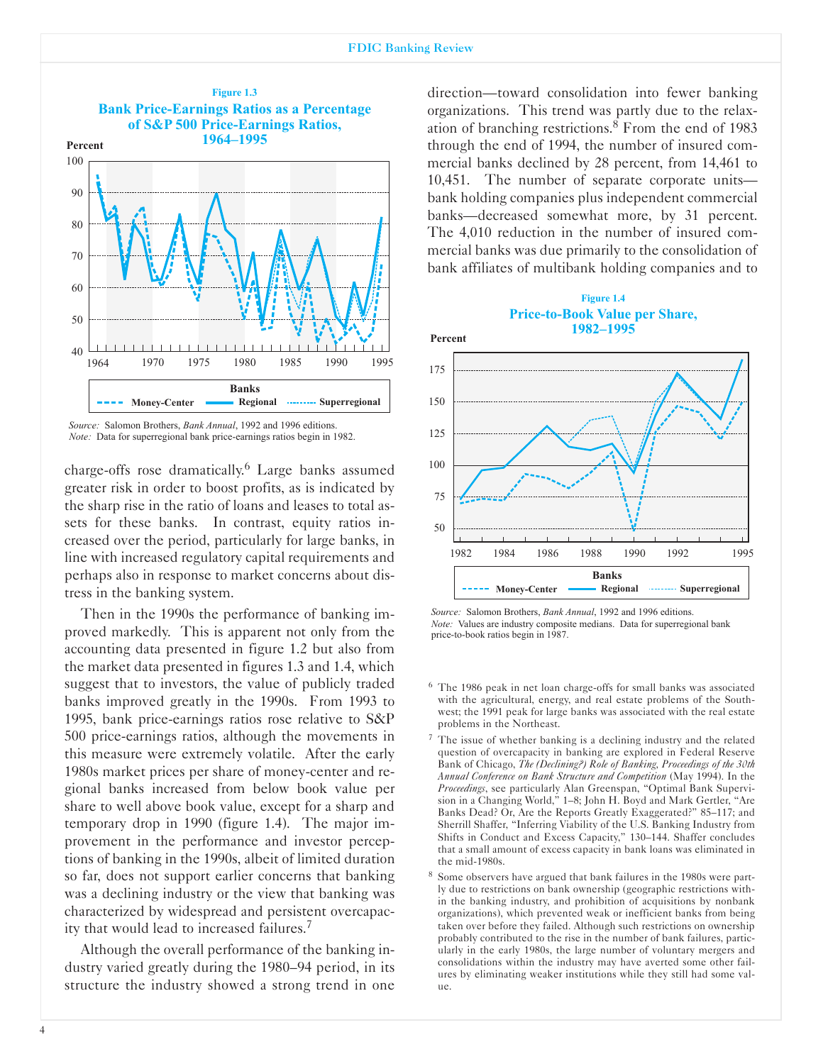

*Source:* Salomon Brothers, *Bank Annual*, 1992 and 1996 editions. *Note:* Data for superregional bank price-earnings ratios begin in 1982.

charge-offs rose dramatically.<sup>6</sup> Large banks assumed greater risk in order to boost profits, as is indicated by the sharp rise in the ratio of loans and leases to total assets for these banks. In contrast, equity ratios increased over the period, particularly for large banks, in line with increased regulatory capital requirements and perhaps also in response to market concerns about distress in the banking system.

Then in the 1990s the performance of banking improved markedly. This is apparent not only from the accounting data presented in figure 1.2 but also from the market data presented in figures 1.3 and 1.4, which suggest that to investors, the value of publicly traded banks improved greatly in the 1990s. From 1993 to 1995, bank price-earnings ratios rose relative to S&P 500 price-earnings ratios, although the movements in this measure were extremely volatile. After the early 1980s market prices per share of money-center and regional banks increased from below book value per share to well above book value, except for a sharp and temporary drop in 1990 (figure 1.4). The major improvement in the performance and investor perceptions of banking in the 1990s, albeit of limited duration so far, does not support earlier concerns that banking was a declining industry or the view that banking was characterized by widespread and persistent overcapacity that would lead to increased failures.7

Although the overall performance of the banking industry varied greatly during the 1980-94 period, in its structure the industry showed a strong trend in one

direction-toward consolidation into fewer banking organizations. This trend was partly due to the relaxation of branching restrictions.8 From the end of 1983 through the end of 1994, the number of insured commercial banks declined by 28 percent, from 14,461 to 10,451. The number of separate corporate unitsbank holding companies plus independent commercial banks-decreased somewhat more, by 31 percent. The 4,010 reduction in the number of insured commercial banks was due primarily to the consolidation of bank affiliates of multibank holding companies and to



*Source:* Salomon Brothers, *Bank Annual*, 1992 and 1996 editions. *Note:* Values are industry composite medians. Data for superregional bank price-to-book ratios begin in 1987.

- $6$  The 1986 peak in net loan charge-offs for small banks was associated with the agricultural, energy, and real estate problems of the Southwest; the 1991 peak for large banks was associated with the real estate problems in the Northeast.
- <sup>7</sup> The issue of whether banking is a declining industry and the related question of overcapacity in banking are explored in Federal Reserve Bank of Chicago, *The (Declining.) Role of Banking Proceedings of the 30th Annual Conference on Bank Structure and Competition* (May 1994). In the *Proceedings*, see particularly Alan Greenspan, "Optimal Bank Supervision in a Changing World," 1-8; John H. Boyd and Mark Gertler, "Are Banks Dead? Or, Are the Reports Greatly Exaggerated?" 85-117; and Sherrill Shaffer, "Inferring Viability of the U.S. Banking Industry from Shifts in Conduct and Excess Capacity," 130-144. Shaffer concludes that a small amount of excess capacity in bank loans was eliminated in the mid-1980s.
- <sup>8</sup> Some observers have argued that bank failures in the 1980s were partly due to restrictions on bank ownership (geographic restrictions within the banking industry, and prohibition of acquisitions by nonbank organizations), which prevented weak or inefficient banks from being taken over before they failed. Although such restrictions on ownership probably contributed to the rise in the number of bank failures, particularly in the early 1980s, the large number of voluntary mergers and consolidations within the industry may have averted some other failures by eliminating weaker institutions while they still had some value.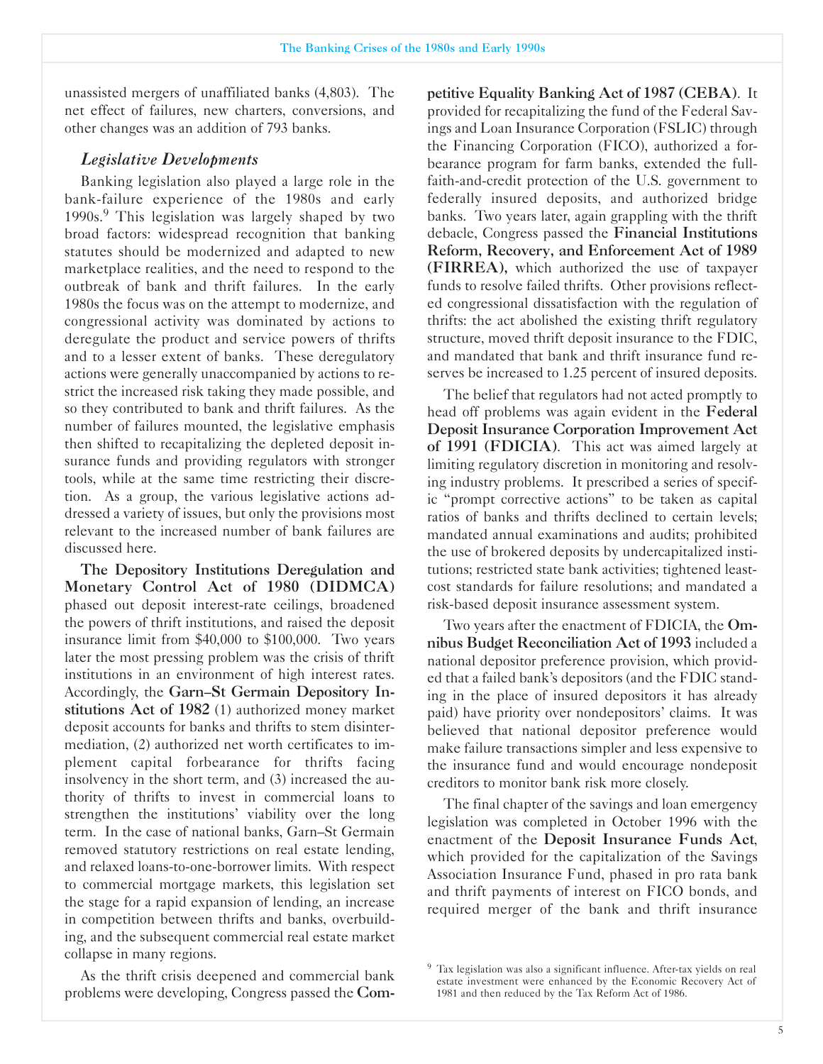unassisted mergers of unaffiliated banks (4,803). The net effect of failures, new charters, conversions, and other changes was an addition of 793 banks.

#### *Legislative Developments*

Banking legislation also played a large role in the bank-failure experience of the 1980s and early 1990s.<sup>9</sup> This legislation was largely shaped by two broad factors: widespread recognition that banking statutes should be modernized and adapted to new marketplace realities, and the need to respond to the outbreak of bank and thrift failures. In the early 1980s the focus was on the attempt to modernize, and congressional activity was dominated by actions to deregulate the product and service powers of thrifts and to a lesser extent of banks. These deregulatory actions were generally unaccompanied by actions to restrict the increased risk taking they made possible, and so they contributed to bank and thrift failures. As the number of failures mounted, the legislative emphasis then shifted to recapitalizing the depleted deposit insurance funds and providing regulators with stronger tools, while at the same time restricting their discretion. As a group, the various legislative actions addressed a variety of issues, but only the provisions most relevant to the increased number of bank failures are discussed here.

The Depository Institutions Deregulation and Monetary Control Act of 1980 (DIDMCA) phased out deposit interest-rate ceilings, broadened the powers of thrift institutions, and raised the deposit insurance limit from \$40,000 to \$100,000. Two years later the most pressing problem was the crisis of thrift institutions in an environment of high interest rates. Accordingly, the Garn-St Germain Depository Institutions Act of 1982 (1) authorized money market deposit accounts for banks and thrifts to stem disintermediation, (2) authorized net worth certificates to implement capital forbearance for thrifts facing insolvency in the short term, and (3) increased the authority of thrifts to invest in commercial loans to strengthen the institutions' viability over the long term. In the case of national banks, Garn-St Germain removed statutory restrictions on real estate lending, and relaxed loans-to-one-borrower limits. With respect to commercial mortgage markets, this legislation set the stage for a rapid expansion of lending, an increase in competition between thrifts and banks, overbuilding, and the subsequent commercial real estate market collapse in many regions.

As the thrift crisis deepened and commercial bank problems were developing, Congress passed the Competitive Equality Banking Act of 1987 (CEBA). It provided for recapitalizing the fund of the Federal Savings and Loan Insurance Corporation (FSLIC) through the Financing Corporation (FICO), authorized a forbearance program for farm banks, extended the fullfaith-and-credit protection of the U.S. government to federally insured deposits, and authorized bridge banks. Two years later, again grappling with the thrift debacle, Congress passed the Financial Institutions Reform, Recovery, and Enforcement Act of 1989 (FIRREA), which authorized the use of taxpayer funds to resolve failed thrifts. Other provisions reflected congressional dissatisfaction with the regulation of thrifts: the act abolished the existing thrift regulatory structure, moved thrift deposit insurance to the FDIC, and mandated that bank and thrift insurance fund reserves be increased to 1.25 percent of insured deposits.

The belief that regulators had not acted promptly to head off problems was again evident in the Federal Deposit Insurance Corporation Improvement Act of 1991 (FDICIA). This act was aimed largely at limiting regulatory discretion in monitoring and resolving industry problems. It prescribed a series of specific "prompt corrective actions" to be taken as capital ratios of banks and thrifts declined to certain levels; mandated annual examinations and audits; prohibited the use of brokered deposits by undercapitalized institutions; restricted state bank activities; tightened leastcost standards for failure resolutions; and mandated a risk-based deposit insurance assessment system.

Two years after the enactment of FDICIA, the Omnibus Budget Reconciliation Act of 1993 included a national depositor preference provision, which provided that a failed bank's depositors (and the FDIC standing in the place of insured depositors it has already paid) have priority over nondepositors' claims. It was believed that national depositor preference would make failure transactions simpler and less expensive to the insurance fund and would encourage nondeposit creditors to monitor bank risk more closely.

The final chapter of the savings and loan emergency legislation was completed in October 1996 with the enactment of the Deposit Insurance Funds Act, which provided for the capitalization of the Savings Association Insurance Fund, phased in pro rata bank and thrift payments of interest on FICO bonds, and required merger of the bank and thrift insurance

 $9$  Tax legislation was also a significant influence. After-tax yields on real estate investment were enhanced by the Economic Recovery Act of 1981 and then reduced by the Tax Reform Act of 1986.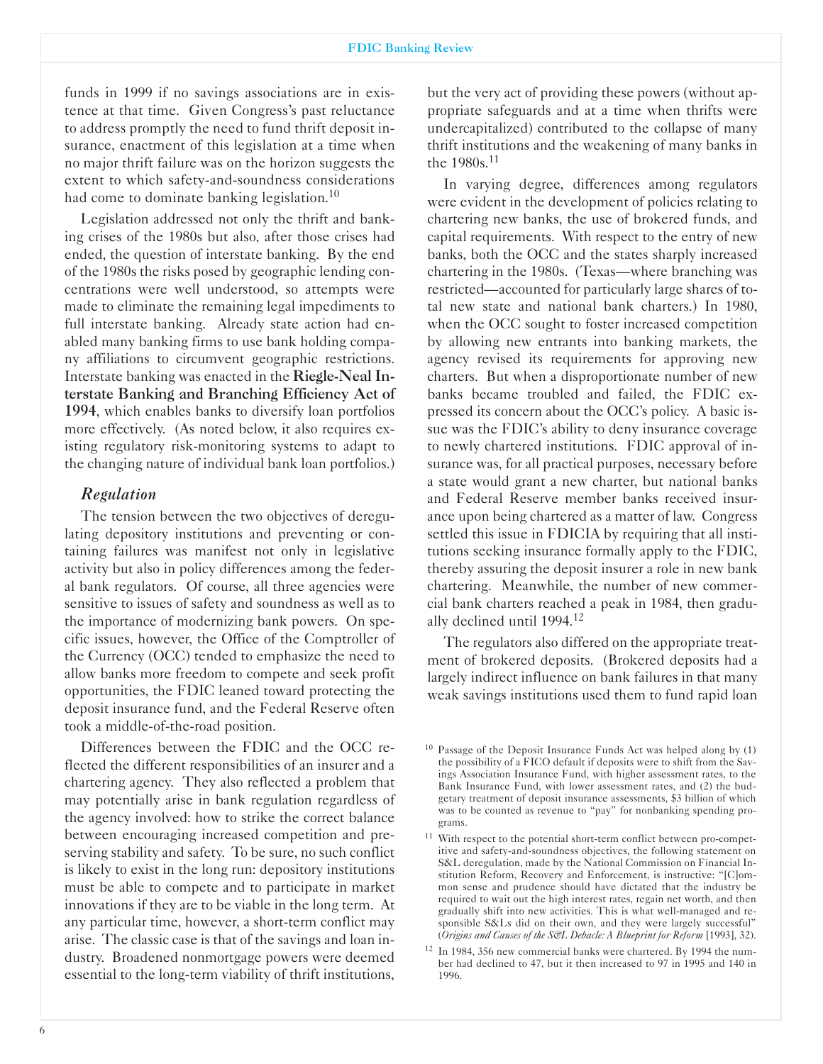funds in 1999 if no savings associations are in existence at that time. Given Congress's past reluctance to address promptly the need to fund thrift deposit insurance, enactment of this legislation at a time when no major thrift failure was on the horizon suggests the extent to which safety-and-soundness considerations had come to dominate banking legislation.<sup>10</sup>

Legislation addressed not only the thrift and banking crises of the 1980s but also, after those crises had ended, the question of interstate banking. By the end of the 1980s the risks posed by geographic lending concentrations were well understood, so attempts were made to eliminate the remaining legal impediments to full interstate banking. Already state action had enabled many banking firms to use bank holding company affiliations to circumvent geographic restrictions. Interstate banking was enacted in the Riegle-Neal Interstate Banking and Branching Efficiency Act of 1994, which enables banks to diversify loan portfolios more effectively. (As noted below, it also requires existing regulatory risk-monitoring systems to adapt to the changing nature of individual bank loan portfolios.)

## *Regulation*

The tension between the two objectives of deregulating depository institutions and preventing or containing failures was manifest not only in legislative activity but also in policy differences among the federal bank regulators. Of course, all three agencies were sensitive to issues of safety and soundness as well as to the importance of modernizing bank powers. On specific issues, however, the Office of the Comptroller of the Currency (OCC) tended to emphasize the need to allow banks more freedom to compete and seek profit opportunities, the FDIC leaned toward protecting the deposit insurance fund, and the Federal Reserve often took a middle-of-the-road position.

Differences between the FDIC and the OCC reflected the different responsibilities of an insurer and a chartering agency. They also reflected a problem that may potentially arise in bank regulation regardless of the agency involved: how to strike the correct balance between encouraging increased competition and preserving stability and safety. To be sure, no such conflict is likely to exist in the long run: depository institutions must be able to compete and to participate in market innovations if they are to be viable in the long term. At any particular time, however, a short-term conflict may arise. The classic case is that of the savings and loan industry. Broadened nonmortgage powers were deemed essential to the long-term viability of thrift institutions,

but the very act of providing these powers (without appropriate safeguards and at a time when thrifts were undercapitalized) contributed to the collapse of many thrift institutions and the weakening of many banks in the 1980s.11

In varying degree, differences among regulators were evident in the development of policies relating to chartering new banks, the use of brokered funds, and capital requirements. With respect to the entry of new banks, both the OCC and the states sharply increased chartering in the 1980s. (Texas—where branching was restricted-accounted for particularly large shares of total new state and national bank charters.) In 1980, when the OCC sought to foster increased competition by allowing new entrants into banking markets, the agency revised its requirements for approving new charters. But when a disproportionate number of new banks became troubled and failed, the FDIC expressed its concern about the OCC's policy. A basic issue was the FDIC's ability to deny insurance coverage to newly chartered institutions. FDIC approval of insurance was, for all practical purposes, necessary before a state would grant a new charter, but national banks and Federal Reserve member banks received insurance upon being chartered as a matter of law. Congress settled this issue in FDICIA by requiring that all institutions seeking insurance formally apply to the FDIC, thereby assuring the deposit insurer a role in new bank chartering. Meanwhile, the number of new commercial bank charters reached a peak in 1984, then gradually declined until 1994.<sup>12</sup>

The regulators also differed on the appropriate treatment of brokered deposits. (Brokered deposits had a largely indirect influence on bank failures in that many weak savings institutions used them to fund rapid loan

<sup>&</sup>lt;sup>10</sup> Passage of the Deposit Insurance Funds Act was helped along by (1) the possibility of a FICO default if deposits were to shift from the Savings Association Insurance Fund, with higher assessment rates, to the Bank Insurance Fund, with lower assessment rates, and (2) the budgetary treatment of deposit insurance assessments, \$3 billion of which was to be counted as revenue to "pay" for nonbanking spending programs.

<sup>&</sup>lt;sup>11</sup> With respect to the potential short-term conflict between pro-competitive and safety-and-soundness objectives, the following statement on S&L deregulation, made by the National Commission on Financial Institution Reform, Recovery and Enforcement, is instructive: "[C]ommon sense and prudence should have dictated that the industry be required to wait out the high interest rates, regain net worth, and then gradually shift into new activities. This is what well-managed and responsible S&Ls did on their own, and they were largely successful" (*Origins and Causes of the S&L Debacle: A Blueprint for Reform* [1993], 32).

<sup>&</sup>lt;sup>12</sup> In 1984, 356 new commercial banks were chartered. By 1994 the number had declined to 47, but it then increased to 97 in 1995 and 140 in 1996.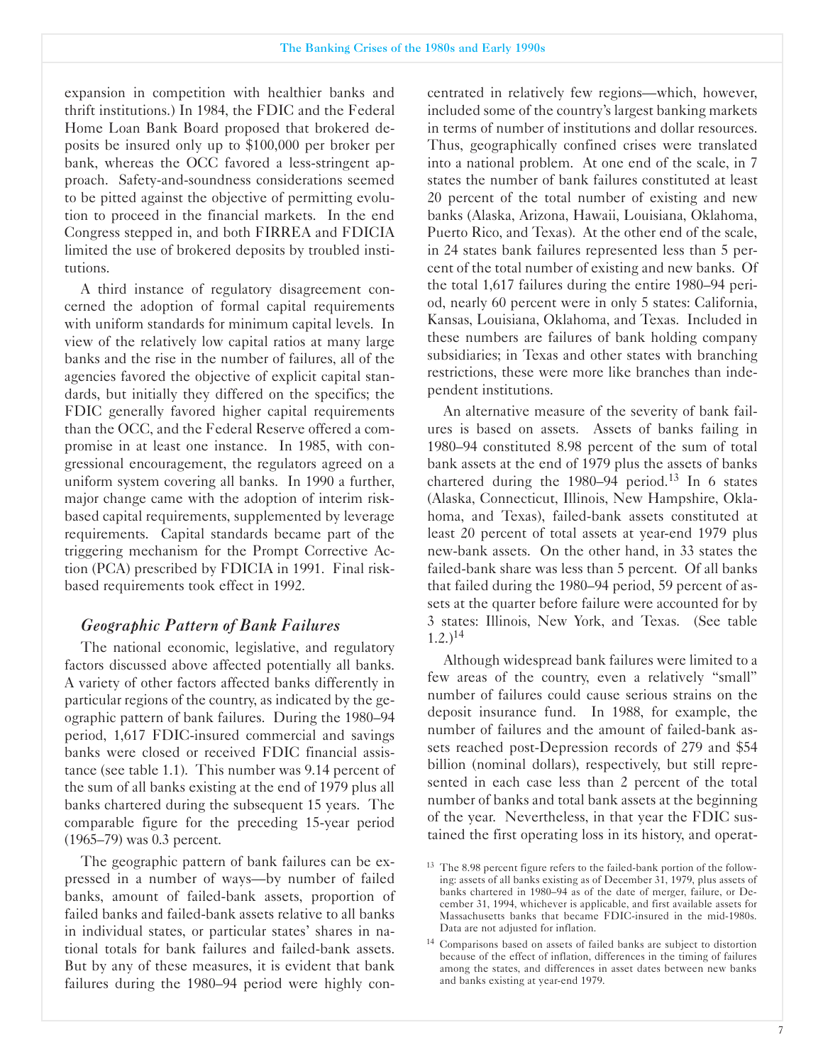expansion in competition with healthier banks and thrift institutions.) In 1984, the FDIC and the Federal Home Loan Bank Board proposed that brokered deposits be insured only up to \$100,000 per broker per bank, whereas the OCC favored a less-stringent approach. Safety-and-soundness considerations seemed to be pitted against the objective of permitting evolution to proceed in the financial markets. In the end Congress stepped in, and both FIRREA and FDICIA limited the use of brokered deposits by troubled institutions.

A third instance of regulatory disagreement concerned the adoption of formal capital requirements with uniform standards for minimum capital levels. In view of the relatively low capital ratios at many large banks and the rise in the number of failures, all of the agencies favored the objective of explicit capital standards, but initially they differed on the specifics; the FDIC generally favored higher capital requirements than the OCC, and the Federal Reserve offered a compromise in at least one instance. In 1985, with congressional encouragement, the regulators agreed on a uniform system covering all banks. In 1990 a further, major change came with the adoption of interim riskbased capital requirements, supplemented by leverage requirements. Capital standards became part of the triggering mechanism for the Prompt Corrective Action (PCA) prescribed by FDICIA in 1991. Final riskbased requirements took effect in 1992.

#### *Geographic Pattern of Bank Failures*

The national economic, legislative, and regulatory factors discussed above affected potentially all banks. A variety of other factors affected banks differently in particular regions of the country, as indicated by the geographic pattern of bank failures. During the 1980-94 period, 1,617 FDIC-insured commercial and savings banks were closed or received FDIC financial assistance (see table 1.1). This number was 9.14 percent of the sum of all banks existing at the end of 1979 plus all banks chartered during the subsequent 15 years. The comparable figure for the preceding 15-year period (1965-79) was 0.3 percent.

The geographic pattern of bank failures can be expressed in a number of ways-by number of failed banks, amount of failed-bank assets, proportion of failed banks and failed-bank assets relative to all banks in individual states, or particular states' shares in national totals for bank failures and failed-bank assets. But by any of these measures, it is evident that bank failures during the 1980-94 period were highly concentrated in relatively few regions—which, however, included some of the country's largest banking markets in terms of number of institutions and dollar resources. Thus, geographically confined crises were translated into a national problem. At one end of the scale, in 7 states the number of bank failures constituted at least 20 percent of the total number of existing and new banks (Alaska, Arizona, Hawaii, Louisiana, Oklahoma, Puerto Rico, and Texas). At the other end of the scale, in 24 states bank failures represented less than 5 percent of the total number of existing and new banks. Of the total 1,617 failures during the entire 1980-94 period, nearly 60 percent were in only 5 states: California, Kansas, Louisiana, Oklahoma, and Texas. Included in these numbers are failures of bank holding company subsidiaries; in Texas and other states with branching restrictions, these were more like branches than independent institutions.

An alternative measure of the severity of bank failures is based on assets. Assets of banks failing in 1980-94 constituted 8.98 percent of the sum of total bank assets at the end of 1979 plus the assets of banks chartered during the 1980–94 period.<sup>13</sup> In 6 states (Alaska, Connecticut, Illinois, New Hampshire, Oklahoma, and Texas), failed-bank assets constituted at least 20 percent of total assets at year-end 1979 plus new-bank assets. On the other hand, in 33 states the failed-bank share was less than 5 percent. Of all banks that failed during the 1980-94 period, 59 percent of assets at the quarter before failure were accounted for by 3 states: Illinois, New York, and Texas. (See table  $1.2.$ )<sup>14</sup>

Although widespread bank failures were limited to a few areas of the country, even a relatively "small" number of failures could cause serious strains on the deposit insurance fund. In 1988, for example, the number of failures and the amount of failed-bank assets reached post-Depression records of 279 and \$54 billion (nominal dollars), respectively, but still represented in each case less than 2 percent of the total number of banks and total bank assets at the beginning of the year. Nevertheless, in that year the FDIC sustained the first operating loss in its history, and operat-

<sup>&</sup>lt;sup>13</sup> The 8.98 percent figure refers to the failed-bank portion of the following: assets of all banks existing as of December 31, 1979, plus assets of banks chartered in 1980-94 as of the date of merger, failure, or December 31, 1994, whichever is applicable, and first available assets for Massachusetts banks that became FDIC-insured in the mid-1980s. Data are not adjusted for inflation.

<sup>&</sup>lt;sup>14</sup> Comparisons based on assets of failed banks are subject to distortion because of the effect of inflation, differences in the timing of failures among the states, and differences in asset dates between new banks and banks existing at year-end 1979.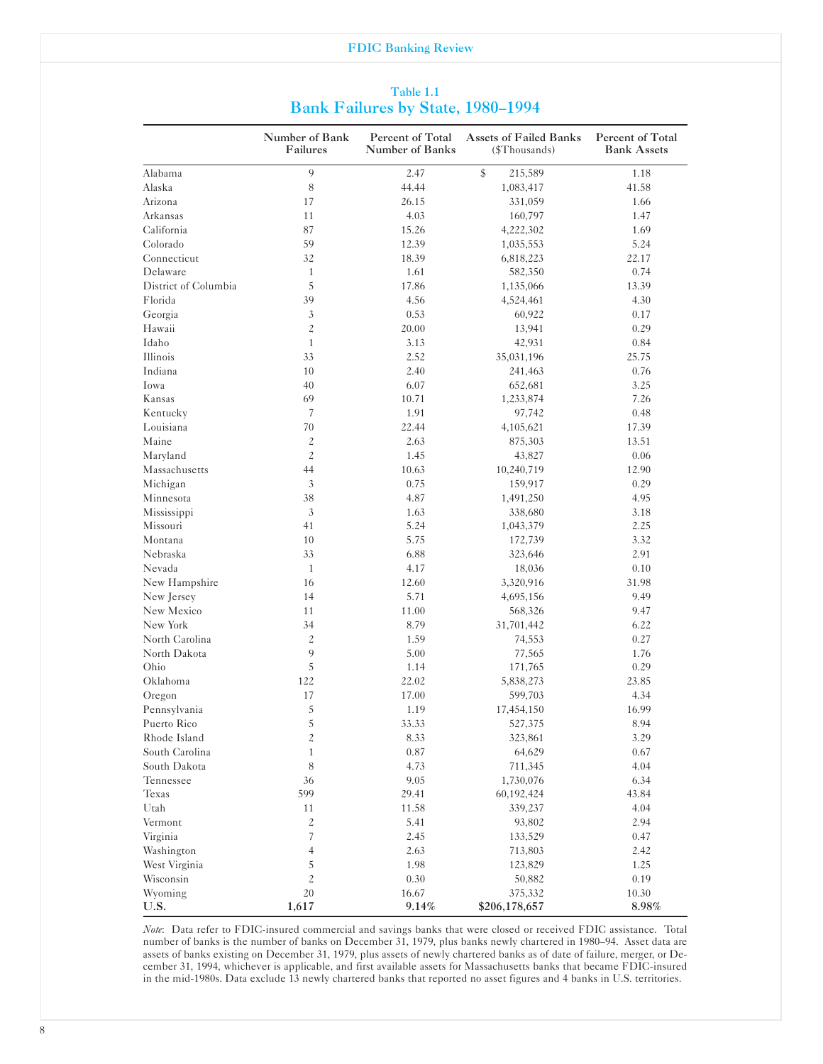|                                          | Table 1.1 |  |
|------------------------------------------|-----------|--|
| <b>Bank Failures by State, 1980-1994</b> |           |  |

|                      | Number of Bank<br>Failures | Percent of Total<br>Number of Banks | <b>Assets of Failed Banks</b><br>(\$Thousands) | Percent of Total<br><b>Bank Assets</b> |
|----------------------|----------------------------|-------------------------------------|------------------------------------------------|----------------------------------------|
| Alabama              | 9                          | 2.47                                | $\frac{1}{2}$<br>215,589                       | 1.18                                   |
| Alaska               | 8                          | 44.44                               | 1,083,417                                      | 41.58                                  |
| Arizona              | 17                         | 26.15                               | 331,059                                        | 1.66                                   |
| Arkansas             | 11                         | 4.03                                | 160,797                                        | 1.47                                   |
| California           | 87                         | 15.26                               | 4,222,302                                      | 1.69                                   |
| Colorado             | 59                         | 12.39                               | 1,035,553                                      | 5.24                                   |
| Connecticut          | 32                         | 18.39                               | 6,818,223                                      | 22.17                                  |
| Delaware             | $\mathbf{1}$               | 1.61                                | 582,350                                        | 0.74                                   |
| District of Columbia | 5                          | 17.86                               | 1,135,066                                      | 13.39                                  |
| Florida              | 39                         | 4.56                                | 4,524,461                                      | 4.30                                   |
| Georgia              | 3                          | 0.53                                | 60,922                                         | 0.17                                   |
| Hawaii               | $\overline{c}$             | 20.00                               | 13,941                                         | 0.29                                   |
| Idaho                | $\mathbf{1}$               | 3.13                                | 42,931                                         | 0.84                                   |
| Illinois             | 33                         | 2.52                                | 35,031,196                                     | 25.75                                  |
| Indiana              | 10                         | 2.40                                | 241,463                                        | 0.76                                   |
| Iowa                 | 40                         | 6.07                                | 652,681                                        | 3.25                                   |
| Kansas               | 69                         | 10.71                               | 1,233,874                                      | 7.26                                   |
| Kentucky             | 7                          | 1.91                                | 97,742                                         | 0.48                                   |
| Louisiana            | 70                         | 22.44                               | 4,105,621                                      | 17.39                                  |
| Maine                | 2                          | 2.63                                | 875,303                                        | 13.51                                  |
| Maryland             | $\overline{c}$             | 1.45                                | 43,827                                         | 0.06                                   |
| Massachusetts        | 44                         | 10.63                               | 10,240,719                                     | 12.90                                  |
| Michigan             | 3                          | 0.75                                | 159,917                                        | 0.29                                   |
| Minnesota            | 38                         | 4.87                                | 1,491,250                                      | 4.95                                   |
| Mississippi          | 3                          | 1.63                                | 338,680                                        | 3.18                                   |
| Missouri             | 41                         | 5.24                                | 1,043,379                                      | 2.25                                   |
| Montana              | 10                         | 5.75                                | 172,739                                        | 3.32                                   |
| Nebraska             | 33                         | 6.88                                | 323,646                                        | 2.91                                   |
| Nevada               | $\mathbf{1}$               | 4.17                                | 18,036                                         | 0.10                                   |
| New Hampshire        | 16                         | 12.60                               | 3,320,916                                      | 31.98                                  |
| New Jersey           | 14                         | 5.71                                | 4,695,156                                      | 9.49                                   |
| New Mexico           | 11                         |                                     |                                                |                                        |
|                      | 34                         | 11.00<br>8.79                       | 568,326                                        | 9.47                                   |
| New York             |                            |                                     | 31,701,442                                     | 6.22                                   |
| North Carolina       | $\overline{c}$<br>9        | 1.59                                | 74,553                                         | 0.27                                   |
| North Dakota         |                            | 5.00                                | 77,565                                         | 1.76                                   |
| Ohio                 | 5                          | 1.14                                | 171,765                                        | 0.29                                   |
| Oklahoma             | 122                        | 22.02                               | 5,838,273                                      | 23.85                                  |
| Oregon               | 17                         | 17.00                               | 599,703                                        | 4.34                                   |
| Pennsylvania         | 5                          | 1.19                                | 17,454,150                                     | 16.99                                  |
| Puerto Rico          | 5                          | 33.33                               | 527,375                                        | 8.94                                   |
| Rhode Island         | $\overline{\mathcal{L}}$   | 8.33                                | 323,861                                        | 3.29                                   |
| South Carolina       | $\mathbf{1}$               | $0.87\,$                            | 64,629                                         | 0.67                                   |
| South Dakota         | 8                          | 4.73                                | 711,345                                        | 4.04                                   |
| Tennessee            | 36                         | 9.05                                | 1,730,076                                      | 6.34                                   |
| Texas                | 599                        | 29.41                               | 60,192,424                                     | 43.84                                  |
| Utah                 | 11                         | 11.58                               | 339,237                                        | 4.04                                   |
| Vermont              | $\overline{\mathcal{L}}$   | 5.41                                | 93,802                                         | 2.94                                   |
| Virginia             | 7                          | 2.45                                | 133,529                                        | 0.47                                   |
| Washington           | $\overline{4}$             | 2.63                                | 713,803                                        | 2.42                                   |
| West Virginia        | 5                          | 1.98                                | 123,829                                        | 1.25                                   |
| Wisconsin            | $\overline{c}$             | 0.30                                | 50,882                                         | 0.19                                   |
| Wyoming              | 20                         | 16.67                               | 375,332                                        | 10.30                                  |
| U.S.                 | 1,617                      | 9.14%                               | \$206,178,657                                  | 8.98%                                  |

*Note*: Data refer to FDIC-insured commercial and savings banks that were closed or received FDIC assistance. Total number of banks is the number of banks on December 31, 1979, plus banks newly chartered in 1980-94. Asset data are assets of banks existing on December 31, 1979, plus assets of newly chartered banks as of date of failure, merger, or December 31, 1994, whichever is applicable, and first available assets for Massachusetts banks that became FDIC-insured in the mid-1980s. Data exclude 13 newly chartered banks that reported no asset figures and 4 banks in U.S. territories.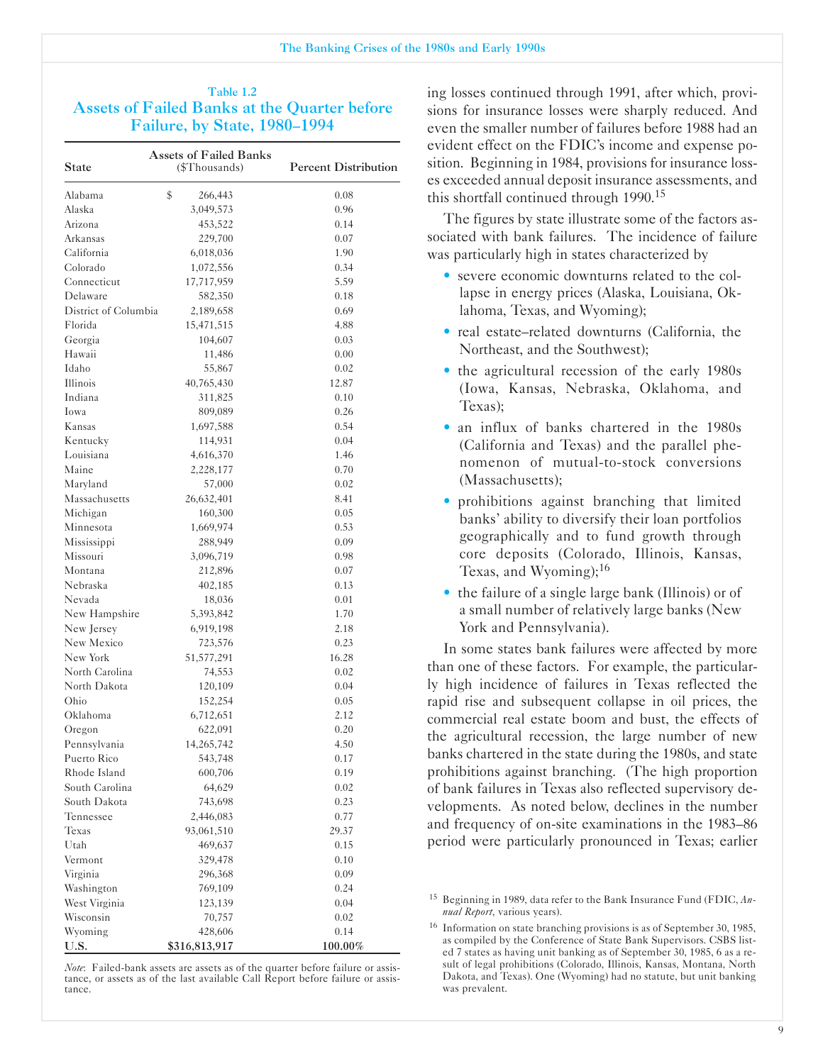## Table 1.2 Assets of Failed Banks at the Quarter before Failure, by State, 1980-1994

| <b>State</b>                   | <b>Assets of Failed Banks</b><br>(\$Thousands) | <b>Percent Distribution</b> |
|--------------------------------|------------------------------------------------|-----------------------------|
| Alabama                        | \$<br>266,443                                  | 0.08                        |
| Alaska                         | 3,049,573                                      | 0.96                        |
| Arizona                        | 453,522                                        | 0.14                        |
| Arkansas                       | 229,700                                        | 0.07                        |
| California                     | 6,018,036                                      | 1.90                        |
| Colorado                       | 1,072,556                                      | 0.34                        |
| Connecticut                    | 17,717,959                                     | 5.59                        |
| Delaware                       | 582,350                                        | 0.18                        |
| District of Columbia           | 2,189,658                                      | 0.69                        |
| Florida                        | 15,471,515                                     | 4.88                        |
| Georgia                        | 104,607                                        | 0.03                        |
| Hawaii                         | 11,486                                         | 0.00                        |
| Idaho                          | 55,867                                         | 0.02                        |
| Illinois                       | 40,765,430                                     | 12.87                       |
| Indiana                        | 311,825                                        | 0.10                        |
| Iowa                           | 809,089                                        | 0.26                        |
| Kansas                         | 1,697,588                                      | 0.54                        |
| Kentucky                       | 114,931                                        | 0.04                        |
| Louisiana                      | 4,616,370                                      | 1.46                        |
| Maine                          | 2,228,177                                      | 0.70                        |
| Maryland                       | 57,000                                         | 0.02                        |
| Massachusetts                  | 26,632,401                                     | 8.41                        |
| Michigan                       | 160,300                                        | 0.05                        |
| Minnesota                      | 1,669,974                                      | 0.53                        |
| Mississippi                    | 288,949                                        | 0.09                        |
| Missouri                       | 3,096,719                                      | 0.98                        |
| Montana                        | 212,896                                        | 0.07                        |
| Nebraska                       | 402,185                                        | 0.13                        |
| Nevada                         | 18,036                                         | 0.01                        |
| New Hampshire                  | 5,393,842                                      | 1.70                        |
| New Jersey                     | 6,919,198                                      | 2.18                        |
| New Mexico                     | 723,576                                        | 0.23                        |
| New York                       | 51,577,291                                     | 16.28                       |
| North Carolina                 | 74,553                                         | 0.02                        |
| North Dakota                   |                                                | 0.04                        |
| Ohio                           | 120,109<br>152,254                             | 0.05                        |
| Oklahoma                       | 6,712,651                                      | 2.12                        |
|                                |                                                |                             |
| Oregon<br>Pennsylvania         | 622,091                                        | 0.20                        |
|                                | 14,265,742                                     | 4.50                        |
| Puerto Rico                    | 543,748                                        | 0.17                        |
| Rhode Island<br>South Carolina | 600,706                                        | 0.19                        |
|                                | 64,629                                         | 0.02                        |
| South Dakota                   | 743,698                                        | 0.23                        |
| Tennessee                      | 2,446,083                                      | 0.77                        |
| Texas                          | 93,061,510                                     | 29.37                       |
| Utah                           | 469,637                                        | 0.15                        |
| Vermont                        | 329,478                                        | 0.10                        |
| Virginia                       | 296,368                                        | 0.09                        |
| Washington                     | 769,109                                        | 0.24                        |
| West Virginia                  | 123,139                                        | 0.04                        |
| Wisconsin                      | 70,757                                         | 0.02                        |
| Wyoming                        | 428,606                                        | 0.14                        |
| U.S.                           | \$316,813,917                                  | 100.00%                     |

*Note*: Failed-bank assets are assets as of the quarter before failure or assistance, or assets as of the last available Call Report before failure or assistance.

ing losses continued through 1991, after which, provisions for insurance losses were sharply reduced. And even the smaller number of failures before 1988 had an evident effect on the FDIC's income and expense position. Beginning in 1984, provisions for insurance losses exceeded annual deposit insurance assessments, and this shortfall continued through 1990.<sup>15</sup>

The figures by state illustrate some of the factors associated with bank failures. The incidence of failure was particularly high in states characterized by

- severe economic downturns related to the collapse in energy prices (Alaska, Louisiana, Oklahoma, Texas, and Wyoming);
- real estate–related downturns (California, the Northeast, and the Southwest);
- the agricultural recession of the early 1980s (Iowa, Kansas, Nebraska, Oklahoma, and Texas);
- an influx of banks chartered in the 1980s (California and Texas) and the parallel phenomenon of mutual-to-stock conversions (Massachusetts);
- prohibitions against branching that limited banks' ability to diversify their loan portfolios geographically and to fund growth through core deposits (Colorado, Illinois, Kansas, Texas, and Wyoming);<sup>16</sup>
- the failure of a single large bank (Illinois) or of a small number of relatively large banks (New York and Pennsylvania).

In some states bank failures were affected by more than one of these factors. For example, the particularly high incidence of failures in Texas reflected the rapid rise and subsequent collapse in oil prices, the commercial real estate boom and bust, the effects of the agricultural recession, the large number of new banks chartered in the state during the 1980s, and state prohibitions against branching. (The high proportion of bank failures in Texas also reflected supervisory developments. As noted below, declines in the number and frequency of on-site examinations in the 1983–86 period were particularly pronounced in Texas; earlier

<sup>&</sup>lt;sup>15</sup> Beginning in 1989, data refer to the Bank Insurance Fund (FDIC, An*nual Report*, various years).

<sup>&</sup>lt;sup>16</sup> Information on state branching provisions is as of September 30, 1985, as compiled by the Conference of State Bank Supervisors. CSBS listed 7 states as having unit banking as of September 30, 1985, 6 as a result of legal prohibitions (Colorado, Illinois, Kansas, Montana, North Dakota, and Texas). One (Wyoming) had no statute, but unit banking was prevalent.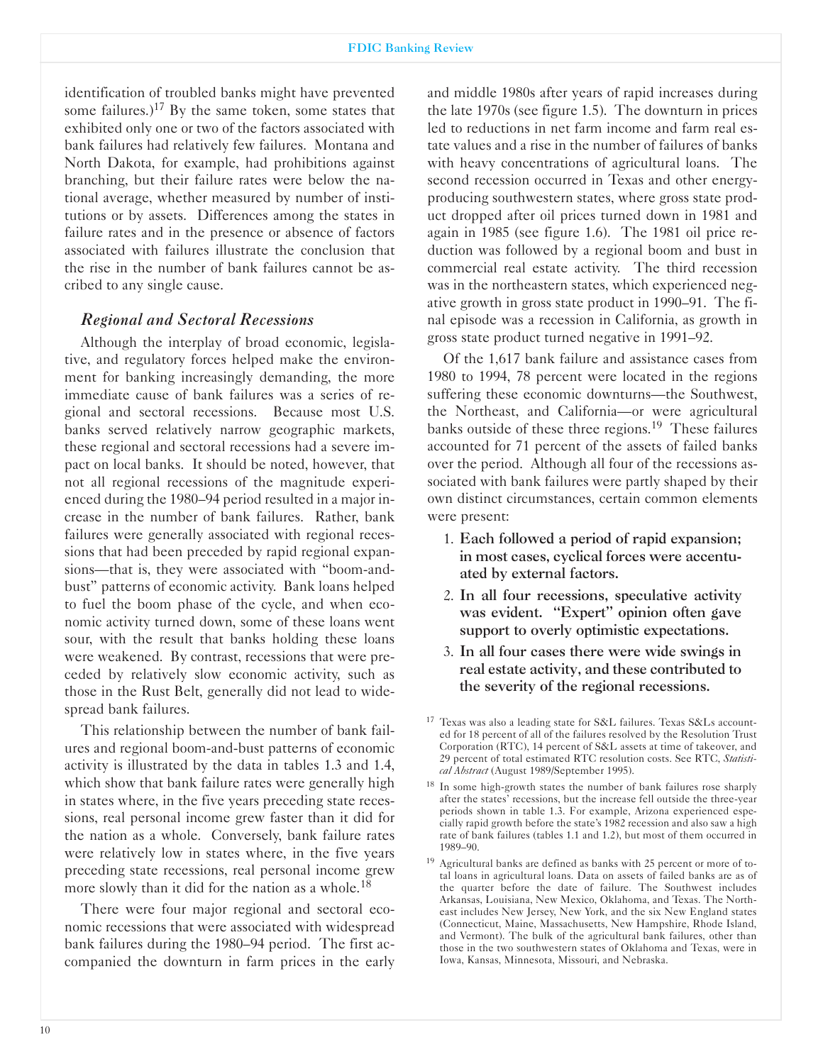identification of troubled banks might have prevented some failures.)<sup>17</sup> By the same token, some states that exhibited only one or two of the factors associated with bank failures had relatively few failures. Montana and North Dakota, for example, had prohibitions against branching, but their failure rates were below the national average, whether measured by number of institutions or by assets. Differences among the states in failure rates and in the presence or absence of factors associated with failures illustrate the conclusion that the rise in the number of bank failures cannot be ascribed to any single cause.

### *Regional and Sectoral Recessions*

Although the interplay of broad economic, legislative, and regulatory forces helped make the environment for banking increasingly demanding, the more immediate cause of bank failures was a series of regional and sectoral recessions. Because most U.S. banks served relatively narrow geographic markets, these regional and sectoral recessions had a severe impact on local banks. It should be noted, however, that not all regional recessions of the magnitude experienced during the 1980-94 period resulted in a major increase in the number of bank failures. Rather, bank failures were generally associated with regional recessions that had been preceded by rapid regional expansions-that is, they were associated with "boom-andbust" patterns of economic activity. Bank loans helped to fuel the boom phase of the cycle, and when economic activity turned down, some of these loans went sour, with the result that banks holding these loans were weakened. By contrast, recessions that were preceded by relatively slow economic activity, such as those in the Rust Belt, generally did not lead to widespread bank failures.

This relationship between the number of bank failures and regional boom-and-bust patterns of economic activity is illustrated by the data in tables 1.3 and 1.4, which show that bank failure rates were generally high in states where, in the five years preceding state recessions, real personal income grew faster than it did for the nation as a whole. Conversely, bank failure rates were relatively low in states where, in the five years preceding state recessions, real personal income grew more slowly than it did for the nation as a whole.<sup>18</sup>

There were four major regional and sectoral economic recessions that were associated with widespread bank failures during the 1980-94 period. The first accompanied the downturn in farm prices in the early and middle 1980s after years of rapid increases during the late 1970s (see figure 1.5). The downturn in prices led to reductions in net farm income and farm real estate values and a rise in the number of failures of banks with heavy concentrations of agricultural loans. The second recession occurred in Texas and other energyproducing southwestern states, where gross state product dropped after oil prices turned down in 1981 and again in 1985 (see figure 1.6). The 1981 oil price reduction was followed by a regional boom and bust in commercial real estate activity. The third recession was in the northeastern states, which experienced negative growth in gross state product in 1990-91. The final episode was a recession in California, as growth in gross state product turned negative in 1991-92.

Of the 1,617 bank failure and assistance cases from 1980 to 1994, 78 percent were located in the regions suffering these economic downturns—the Southwest, the Northeast, and California-or were agricultural banks outside of these three regions.<sup>19</sup> These failures accounted for 71 percent of the assets of failed banks over the period. Although all four of the recessions associated with bank failures were partly shaped by their own distinct circumstances, certain common elements were present:

- 1. Each followed a period of rapid expansion; in most cases, cyclical forces were accentuated by external factors.
- 2. In all four recessions, speculative activity was evident. "Expert" opinion often gave support to overly optimistic expectations.
- 3. In all four cases there were wide swings in real estate activity, and these contributed to the severity of the regional recessions.

<sup>&</sup>lt;sup>17</sup> Texas was also a leading state for S&L failures. Texas S&Ls accounted for 18 percent of all of the failures resolved by the Resolution Trust Corporation (RTC), 14 percent of S&L assets at time of takeover, and 29 percent of total estimated RTC resolution costs. See RTC, *Statistical Abstract* (August 1989/September 1995).

<sup>&</sup>lt;sup>18</sup> In some high-growth states the number of bank failures rose sharply after the states' recessions, but the increase fell outside the three-year periods shown in table 1.3. For example, Arizona experienced especially rapid growth before the state's 1982 recession and also saw a high rate of bank failures (tables 1.1 and 1.2), but most of them occurred in 1989-90.

<sup>&</sup>lt;sup>19</sup> Agricultural banks are defined as banks with 25 percent or more of total loans in agricultural loans. Data on assets of failed banks are as of the quarter before the date of failure. The Southwest includes Arkansas, Louisiana, New Mexico, Oklahoma, and Texas. The Northeast includes New Jersey, New York, and the six New England states (Connecticut, Maine, Massachusetts, New Hampshire, Rhode Island, and Vermont). The bulk of the agricultural bank failures, other than those in the two southwestern states of Oklahoma and Texas, were in Iowa, Kansas, Minnesota, Missouri, and Nebraska.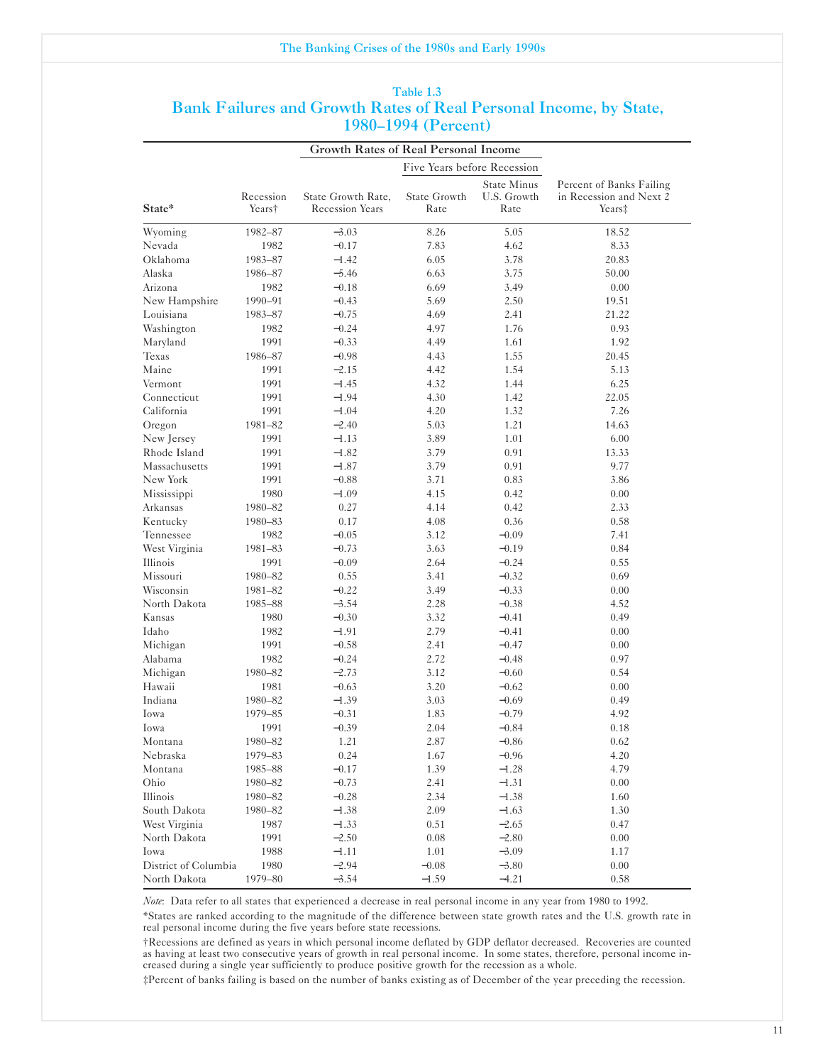|                      |                     | <b>Growth Rates of Real Personal Income</b>  |                             |                                           |                                                                           |
|----------------------|---------------------|----------------------------------------------|-----------------------------|-------------------------------------------|---------------------------------------------------------------------------|
|                      |                     |                                              | Five Years before Recession |                                           |                                                                           |
| State*               | Recession<br>Years† | State Growth Rate,<br><b>Recession Years</b> | State Growth<br>Rate        | <b>State Minus</b><br>U.S. Growth<br>Rate | Percent of Banks Failing<br>in Recession and Next 2<br>Years <sup>‡</sup> |
| Wyoming              | 1982-87             | $-3.03$                                      | 8.26                        | 5.05                                      | 18.52                                                                     |
| Nevada               | 1982                | $-0.17$                                      | 7.83                        | 4.62                                      | 8.33                                                                      |
| Oklahoma             | 1983-87             | $-1.42$                                      | 6.05                        | 3.78                                      | 20.83                                                                     |
| Alaska               | 1986-87             | $-5.46$                                      | 6.63                        | 3.75                                      | 50.00                                                                     |
| Arizona              | 1982                | $-0.18$                                      | 6.69                        | 3.49                                      | 0.00                                                                      |
| New Hampshire        | 1990-91             | $-0.43$                                      | 5.69                        | 2.50                                      | 19.51                                                                     |
| Louisiana            | 1983-87             | $-0.75$                                      | 4.69                        | 2.41                                      | 21.22                                                                     |
| Washington           | 1982                | $-0.24$                                      | 4.97                        | 1.76                                      | 0.93                                                                      |
| Maryland             | 1991                | $-0.33$                                      | 4.49                        | 1.61                                      | 1.92                                                                      |
| Texas                | 1986-87             | $-0.98$                                      | 4.43                        | 1.55                                      | 20.45                                                                     |
| Maine                | 1991                | $-2.15$                                      | 4.42                        | 1.54                                      | 5.13                                                                      |
| Vermont              | 1991                | $-1.45$                                      | 4.32                        | 1.44                                      | 6.25                                                                      |
| Connecticut          | 1991                | $-1.94$                                      | 4.30                        | 1.42                                      | 22.05                                                                     |
| California           | 1991                | $-1.04$                                      | 4.20                        | 1.32                                      | 7.26                                                                      |
| Oregon               | 1981-82             | $-2.40$                                      | 5.03                        | 1.21                                      | 14.63                                                                     |
| New Jersey           | 1991                | $-1.13$                                      | 3.89                        | 1.01                                      | 6.00                                                                      |
| Rhode Island         | 1991                | $-1.82$                                      | 3.79                        | 0.91                                      | 13.33                                                                     |
| Massachusetts        | 1991                | $-1.87$                                      | 3.79                        | 0.91                                      | 9.77                                                                      |
| New York             | 1991                | $-0.88$                                      | 3.71                        | 0.83                                      | 3.86                                                                      |
| Mississippi          | 1980                | $-1.09$                                      | 4.15                        | 0.42                                      | 0.00                                                                      |
| Arkansas             | 1980-82             | 0.27                                         | 4.14                        | 0.42                                      | 2.33                                                                      |
| Kentucky             | 1980-83             | 0.17                                         | 4.08                        | 0.36                                      | 0.58                                                                      |
| Tennessee            | 1982                | $-0.05$                                      | 3.12                        | $-0.09$                                   | 7.41                                                                      |
| West Virginia        | 1981-83             | $-0.73$                                      | 3.63                        | $-0.19$                                   | 0.84                                                                      |
| Illinois             | 1991                | $-0.09$                                      | 2.64                        | $-0.24$                                   | 0.55                                                                      |
| Missouri             | 1980-82             | 0.55                                         | 3.41                        | $-0.32$                                   | 0.69                                                                      |
| Wisconsin            | 1981-82             | $-0.22$                                      | 3.49                        | $-0.33$                                   | 0.00                                                                      |
| North Dakota         | 1985-88             | $-3.54$                                      | 2.28                        | $-0.38$                                   | 4.52                                                                      |
| Kansas               | 1980                | $-0.30$                                      | 3.32                        | $-0.41$                                   | 0.49                                                                      |
| Idaho                | 1982                | $-1.91$                                      | 2.79                        | $-0.41$                                   | 0.00                                                                      |
| Michigan             | 1991                | $-0.58$                                      | 2.41                        | $-0.47$                                   | 0.00                                                                      |
| Alabama              | 1982                | $-0.24$                                      | 2.72                        | $-0.48$                                   | 0.97                                                                      |
| Michigan             | 1980-82             | $-2.73$                                      | 3.12                        | $-0.60$                                   | 0.54                                                                      |
| Hawaii               | 1981                | $-0.63$                                      | 3.20                        | $-0.62$                                   | 0.00                                                                      |
| Indiana              | 1980-82             | $-1.39$                                      | 3.03                        | $-0.69$                                   | 0.49                                                                      |
| Iowa                 | 1979-85             | $-0.31$                                      | 1.83                        | $-0.79$                                   | 4.92                                                                      |
| Iowa                 | 1991                | $-0.39$                                      | 2.04                        | $-0.84$                                   | 0.18                                                                      |
| Montana              | 1980-82             | 1.21                                         | 2.87                        | $-0.86$                                   | $0.62\,$                                                                  |
| Nebraska             | 1979–83             | 0.24                                         | 1.67                        | $-0.96$                                   | 4.20                                                                      |
| Montana              | 1985-88             | $-0.17$                                      | 1.39                        | $-1.28$                                   | 4.79                                                                      |
| Ohio                 | 1980-82             | $-0.73$                                      | 2.41                        | $-1.31$                                   | 0.00                                                                      |
| Illinois             | 1980-82             | $-0.28$                                      | 2.34                        | $-1.38$                                   | 1.60                                                                      |
| South Dakota         | 1980-82             | $-1.38$                                      | 2.09                        | $-1.63$                                   | 1.30                                                                      |
| West Virginia        | 1987                | $-1.33$                                      | 0.51                        | $-2.65$                                   | 0.47                                                                      |
| North Dakota         | 1991                | $-2.50$                                      | 0.08                        | $-2.80$                                   | 0.00                                                                      |
| Iowa                 | 1988                | $-1.11$                                      | 1.01                        | $-3.09$                                   | 1.17                                                                      |
| District of Columbia | 1980                | $-2.94$                                      | $-0.08$                     | $-3.80$                                   | 0.00                                                                      |
| North Dakota         | 1979-80             | $-3.54$                                      | $-1.59$                     | $-4.21$                                   | 0.58                                                                      |

#### Table 1.3 Bank Failures and Growth Rates of Real Personal Income, by State, 1980-1994 (Percent)

*Note*: Data refer to all states that experienced a decrease in real personal income in any year from 1980 to 1992.

'States are ranked according to the magnitude of the difference between state growth rates and the U.S. growth rate in real personal income during the five years before state recessions.

tRecessions are defined as years in which personal income deflated by GDP deflator decreased. Recoveries are counted as having at least two consecutive years of growth in real personal income. In some states, therefore, personal income increased during a single year sufficiently to produce positive growth for the recession as a whole.

:Percent of banks failing is based on the number of banks existing as of December of the year preceding the recession.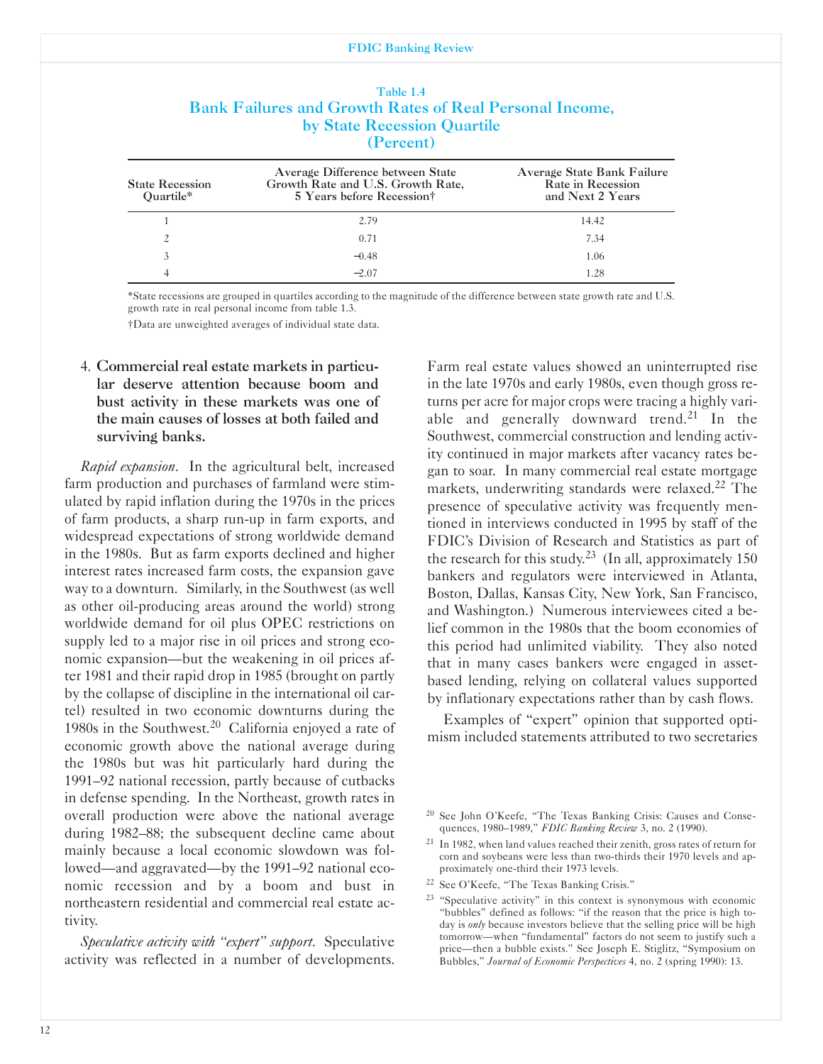|                                     | by State Recession Quartile<br>(Percent)                                                           |                                                                     |
|-------------------------------------|----------------------------------------------------------------------------------------------------|---------------------------------------------------------------------|
| <b>State Recession</b><br>Ouartile* | Average Difference between State<br>Growth Rate and U.S. Growth Rate,<br>5 Years before Recession† | Average State Bank Failure<br>Rate in Recession<br>and Next 2 Years |
|                                     | 2.79                                                                                               | 14.42                                                               |
| 2                                   | 0.71                                                                                               | 7.34                                                                |
| 3                                   | $-0.48$                                                                                            | 1.06                                                                |
|                                     | $-2.07$                                                                                            | 1.28                                                                |

| Table 1.4                                                      |
|----------------------------------------------------------------|
| <b>Bank Failures and Growth Rates of Real Personal Income,</b> |
| by State Recession Quartile                                    |
| (Percent)                                                      |

'State recessions are grouped in quartiles according to the magnitude of the difference between state growth rate and U.S. growth rate in real personal income from table 1.3.

tData are unweighted averages of individual state data.

## 4. Commercial real estate markets in particular deserve attention because boom and bust activity in these markets was one of the main causes of losses at both failed and surviving banks.

*Rapid expansion*. In the agricultural belt, increased farm production and purchases of farmland were stimulated by rapid inflation during the 1970s in the prices of farm products, a sharp run-up in farm exports, and widespread expectations of strong worldwide demand in the 1980s. But as farm exports declined and higher interest rates increased farm costs, the expansion gave way to a downturn. Similarly, in the Southwest (as well as other oil-producing areas around the world) strong worldwide demand for oil plus OPEC restrictions on supply led to a major rise in oil prices and strong economic expansion-but the weakening in oil prices after 1981 and their rapid drop in 1985 (brought on partly by the collapse of discipline in the international oil cartel) resulted in two economic downturns during the 1980s in the Southwest.<sup>20</sup> California enjoyed a rate of economic growth above the national average during the 1980s but was hit particularly hard during the 1991-92 national recession, partly because of cutbacks in defense spending. In the Northeast, growth rates in overall production were above the national average during 1982-88; the subsequent decline came about mainly because a local economic slowdown was followed—and aggravated—by the 1991–92 national economic recession and by a boom and bust in northeastern residential and commercial real estate activity.

*Speculative activity with "expert" support*. Speculative activity was reflected in a number of developments.

Farm real estate values showed an uninterrupted rise in the late 1970s and early 1980s, even though gross returns per acre for major crops were tracing a highly variable and generally downward trend.<sup>21</sup> In the Southwest, commercial construction and lending activity continued in major markets after vacancy rates began to soar. In many commercial real estate mortgage markets, underwriting standards were relaxed.<sup>22</sup> The presence of speculative activity was frequently mentioned in interviews conducted in 1995 by staff of the FDIC's Division of Research and Statistics as part of the research for this study.<sup>23</sup> (In all, approximately 150) bankers and regulators were interviewed in Atlanta, Boston, Dallas, Kansas City, New York, San Francisco, and Washington.) Numerous interviewees cited a belief common in the 1980s that the boom economies of this period had unlimited viability. They also noted that in many cases bankers were engaged in assetbased lending, relying on collateral values supported by inflationary expectations rather than by cash flows.

Examples of "expert" opinion that supported optimism included statements attributed to two secretaries

<sup>20</sup> See John O'Keefe, "The Texas Banking Crisis: Causes and Consequences, 1980-1989," *FDIC Banking Review* 3, no. 2 (1990).

<sup>&</sup>lt;sup>21</sup> In 1982, when land values reached their zenith, gross rates of return for corn and soybeans were less than two-thirds their 1970 levels and approximately one-third their 1973 levels.

<sup>22</sup> See O'Keefe, "The Texas Banking Crisis."

<sup>&</sup>lt;sup>23</sup> "Speculative activity" in this context is synonymous with economic "bubbles" defined as follows: "if the reason that the price is high today is *only* because investors believe that the selling price will be high tomorrow-when "fundamental" factors do not seem to justify such a price-then a bubble exists." See Joseph E. Stiglitz, "Symposium on Bubbles," *Journal of Economic Perspectives* 4, no. 2 (spring 1990): 13.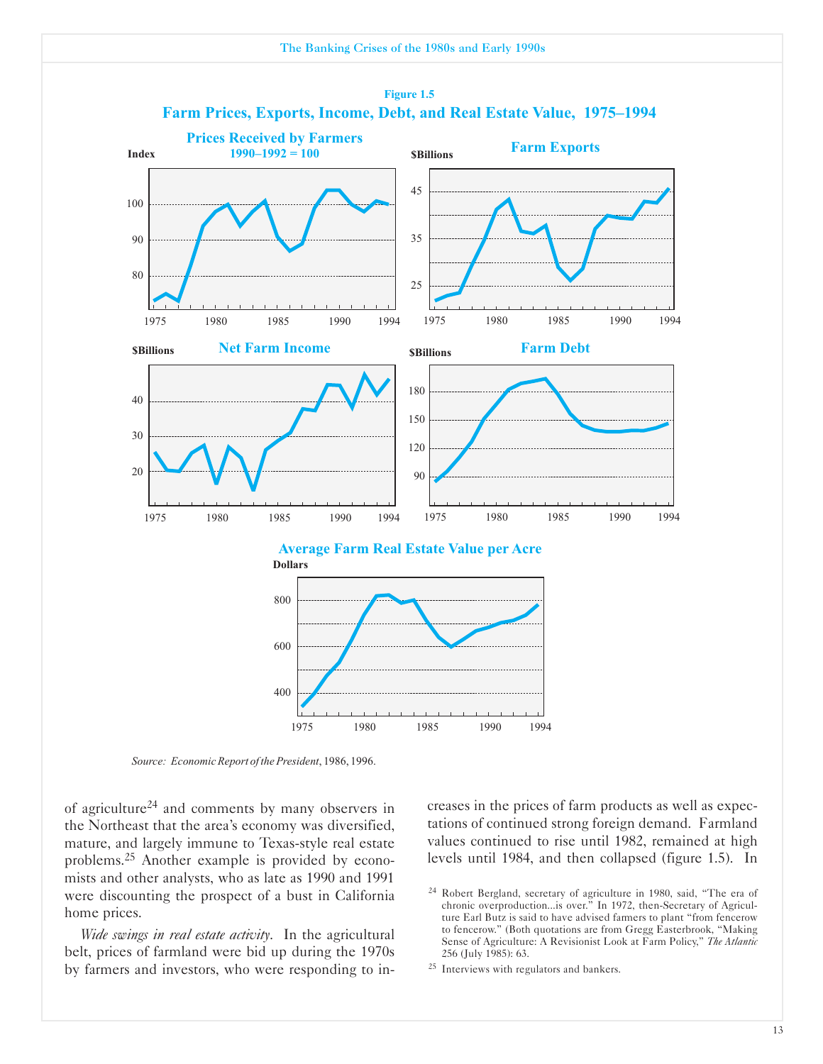



*Source: EconomicReport of thePresident*, 1986, 1996.

of agriculture24 and comments by many observers in the Northeast that the area's economy was diversified, mature, and largely immune to Texas-style real estate problems.25 Another example is provided by economists and other analysts, who as late as 1990 and 1991 were discounting the prospect of a bust in California home prices.

*�ide swings in real estate activity*. In the agricultural belt, prices of farmland were bid up during the 1970s by farmers and investors, who were responding to increases in the prices of farm products as well as expectations of continued strong foreign demand. Farmland values continued to rise until 1982, remained at high levels until 1984, and then collapsed (figure 1.5). In

<sup>25</sup> Interviews with regulators and bankers.

<sup>&</sup>lt;sup>24</sup> Robert Bergland, secretary of agriculture in 1980, said, "The era of chronic overproduction...is over." In 1972, then-Secretary of Agriculture Earl Butz is said to have advised farmers to plant "from fencerow to fencerow." (Both quotations are from Gregg Easterbrook, "Making Sense of Agriculture: A Revisionist Look at Farm Policy," *The Atlantic* 256 (July 1985): 63.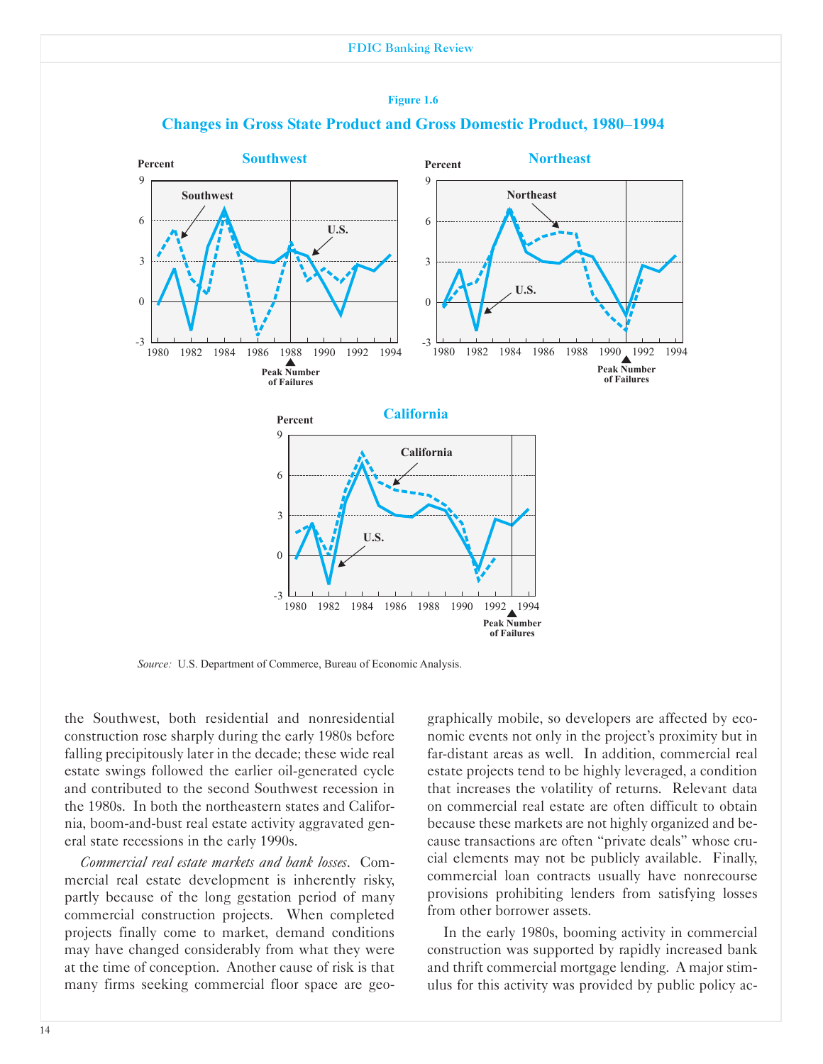

#### **Figure 1.6**



*Source:* U.S. Department of Commerce, Bureau of Economic Analysis.

the Southwest, both residential and nonresidential construction rose sharply during the early 1980s before falling precipitously later in the decade; these wide real estate swings followed the earlier oil-generated cycle and contributed to the second Southwest recession in the 1980s. In both the northeastern states and California, boom-and-bust real estate activity aggravated general state recessions in the early 1990s.

*Commercial real estate markets and bank losses*. Commercial real estate development is inherently risky, partly because of the long gestation period of many commercial construction projects. When completed projects finally come to market, demand conditions may have changed considerably from what they were at the time of conception. Another cause of risk is that many firms seeking commercial floor space are geographically mobile, so developers are affected by economic events not only in the project's proximity but in far-distant areas as well. In addition, commercial real estate projects tend to be highly leveraged, a condition that increases the volatility of returns. Relevant data on commercial real estate are often difficult to obtain because these markets are not highly organized and because transactions are often "private deals" whose crucial elements may not be publicly available. Finally, commercial loan contracts usually have nonrecourse provisions prohibiting lenders from satisfying losses from other borrower assets.

In the early 1980s, booming activity in commercial construction was supported by rapidly increased bank and thrift commercial mortgage lending. A major stimulus for this activity was provided by public policy ac-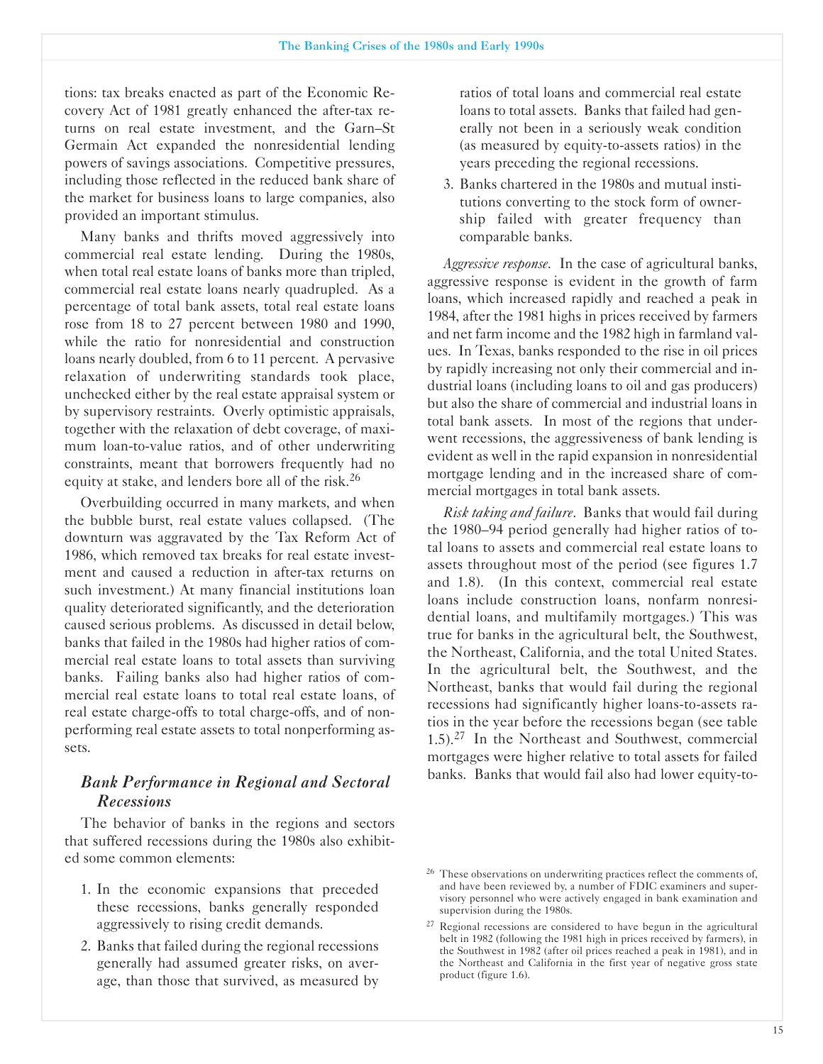tions: tax breaks enacted as part of the Economic Recovery Act of 1981 greatly enhanced the after-tax returns on real estate investment, and the Garn-St Germain Act expanded the nonresidential lending powers of savings associations. Competitive pressures, including those reflected in the reduced bank share of the market for business loans to large companies, also provided an important stimulus.

Many banks and thrifts moved aggressively into commercial real estate lending. During the 1980s, when total real estate loans of banks more than tripled, commercial real estate loans nearly quadrupled. As a percentage of total bank assets, total real estate loans rose from 18 to 27 percent between 1980 and 1990, while the ratio for nonresidential and construction loans nearly doubled, from 6 to 11 percent. A pervasive relaxation of underwriting standards took place, unchecked either by the real estate appraisal system or by supervisory restraints. Overly optimistic appraisals, together with the relaxation of debt coverage, of maximum loan-to-value ratios, and of other underwriting constraints, meant that borrowers frequently had no equity at stake, and lenders bore all of the risk.<sup>26</sup>

Overbuilding occurred in many markets, and when the bubble burst, real estate values collapsed. (The downturn was aggravated by the Tax Reform Act of 1986, which removed tax breaks for real estate investment and caused a reduction in after-tax returns on such investment.) At many financial institutions loan quality deteriorated significantly, and the deterioration caused serious problems. As discussed in detail below, banks that failed in the 1980s had higher ratios of commercial real estate loans to total assets than surviving banks. Failing banks also had higher ratios of commercial real estate loans to total real estate loans, of real estate charge-offs to total charge-offs, and of nonperforming real estate assets to total nonperforming assets.

# *Bank Performance in Regional and Sectoral Recessions*

The behavior of banks in the regions and sectors that suffered recessions during the 1980s also exhibited some common elements:

- 1. In the economic expansions that preceded these recessions, banks generally responded aggressively to rising credit demands.
- 2. Banks that failed during the regional recessions generally had assumed greater risks, on average, than those that survived, as measured by

ratios of total loans and commercial real estate loans to total assets. Banks that failed had generally not been in a seriously weak condition (as measured by equity-to-assets ratios) in the years preceding the regional recessions.

3. Banks chartered in the 1980s and mutual institutions converting to the stock form of ownership failed with greater frequency than comparable banks.

*Aggressive response*. In the case of agricultural banks, aggressive response is evident in the growth of farm loans, which increased rapidly and reached a peak in 1984, after the 1981 highs in prices received by farmers and net farm income and the 1982 high in farmland values. In Texas, banks responded to the rise in oil prices by rapidly increasing not only their commercial and industrial loans (including loans to oil and gas producers) but also the share of commercial and industrial loans in total bank assets. In most of the regions that underwent recessions, the aggressiveness of bank lending is evident as well in the rapid expansion in nonresidential mortgage lending and in the increased share of commercial mortgages in total bank assets.

*Risk taking and failure*. Banks that would fail during the 1980-94 period generally had higher ratios of total loans to assets and commercial real estate loans to assets throughout most of the period (see figures 1.7 and 1.8). (In this context, commercial real estate loans include construction loans, nonfarm nonresidential loans, and multifamily mortgages.) This was true for banks in the agricultural belt, the Southwest, the Northeast, California, and the total United States. In the agricultural belt, the Southwest, and the Northeast, banks that would fail during the regional recessions had significantly higher loans-to-assets ratios in the year before the recessions began (see table  $1.5$ ).<sup>27</sup> In the Northeast and Southwest, commercial mortgages were higher relative to total assets for failed banks. Banks that would fail also had lower equity-to-

<sup>&</sup>lt;sup>26</sup> These observations on underwriting practices reflect the comments of, and have been reviewed by, a number of FDIC examiners and supervisory personnel who were actively engaged in bank examination and supervision during the 1980s.

<sup>&</sup>lt;sup>27</sup> Regional recessions are considered to have begun in the agricultural belt in 1982 (following the 1981 high in prices received by farmers), in the Southwest in 1982 (after oil prices reached a peak in 1981), and in the Northeast and California in the first year of negative gross state product (figure 1.6).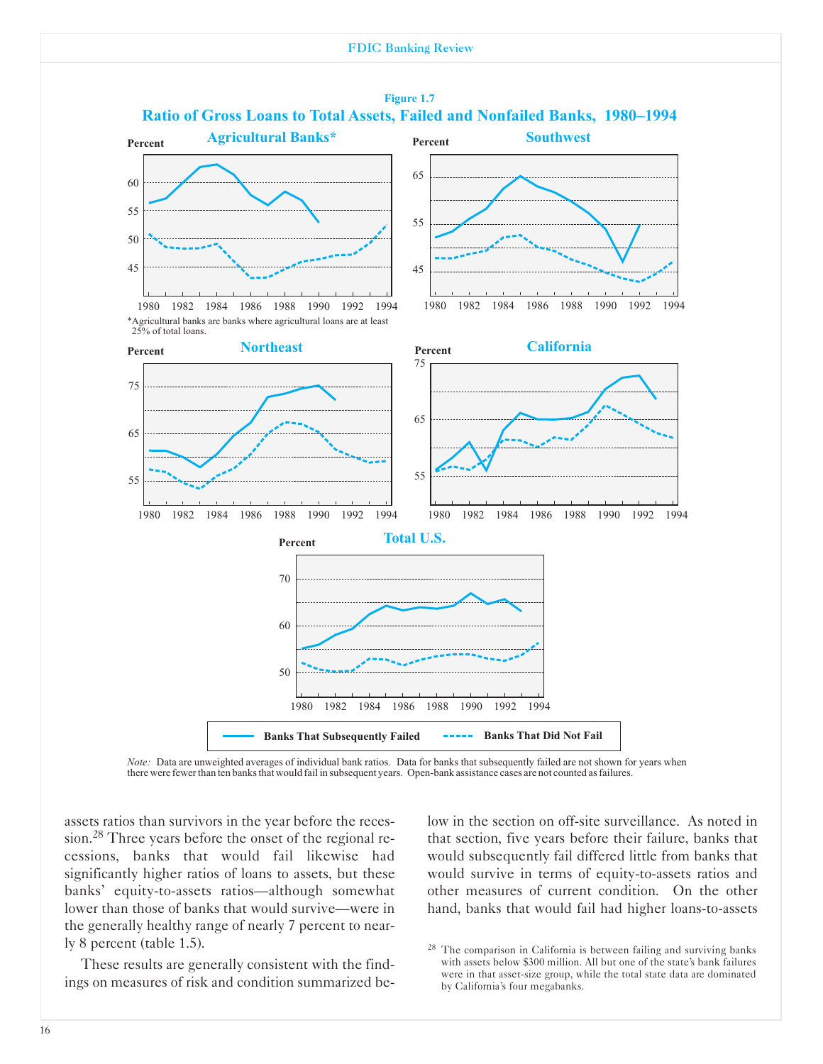

*Note:* Data are unweighted averages of individual bank ratios. Data for banks that subsequently failed are not shown for years when there were fewerthan ten banksthat would fail in subsequent years. Open-bank assistance cases are not counted asfailures.

assets ratios than survivors in the year before the recession.28 Three years before the onset of the regional recessions, banks that would fail likewise had significantly higher ratios of loans to assets, but these banks' equity-to-assets ratios-although somewhat lower than those of banks that would survive—were in the generally healthy range of nearly 7 percent to nearly 8 percent (table 1.5).

These results are generally consistent with the findings on measures of risk and condition summarized below in the section on off-site surveillance. As noted in that section, five years before their failure, banks that would subsequently fail differed little from banks that would survive in terms of equity-to-assets ratios and other measures of current condition. On the other hand, banks that would fail had higher loans-to-assets

<sup>&</sup>lt;sup>28</sup> The comparison in California is between failing and surviving banks with assets below \$300 million. All but one of the state's bank failures were in that asset-size group, while the total state data are dominated by California's four megabanks.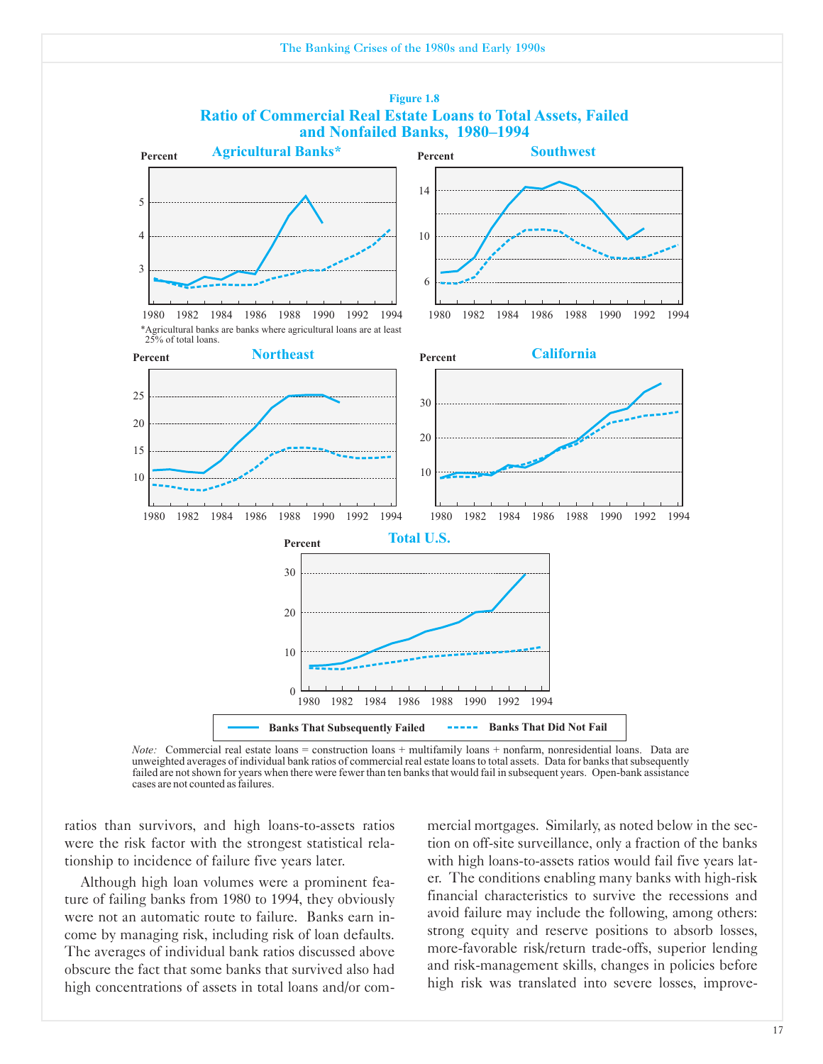

*Note:* Commercial real estate loans = construction loans + multifamily loans + nonfarm, nonresidential loans. Data are unweighted averages of individual bank ratios of commercial real estate loans to total assets. Data f failed are notshown for years when there were fewer than ten banksthat would fail in subsequent years. Open-bank assistance cases are not counted asfailures.

ratios than survivors, and high loans-to-assets ratios were the risk factor with the strongest statistical relationship to incidence of failure five years later.

Although high loan volumes were a prominent feature of failing banks from 1980 to 1994, they obviously were not an automatic route to failure. Banks earn income by managing risk, including risk of loan defaults. The averages of individual bank ratios discussed above obscure the fact that some banks that survived also had high concentrations of assets in total loans and/or commercial mortgages. Similarly, as noted below in the section on off-site surveillance, only a fraction of the banks with high loans-to-assets ratios would fail five years later. The conditions enabling many banks with high-risk financial characteristics to survive the recessions and avoid failure may include the following, among others: strong equity and reserve positions to absorb losses, more-favorable risk/return trade-offs, superior lending and risk-management skills, changes in policies before high risk was translated into severe losses, improve-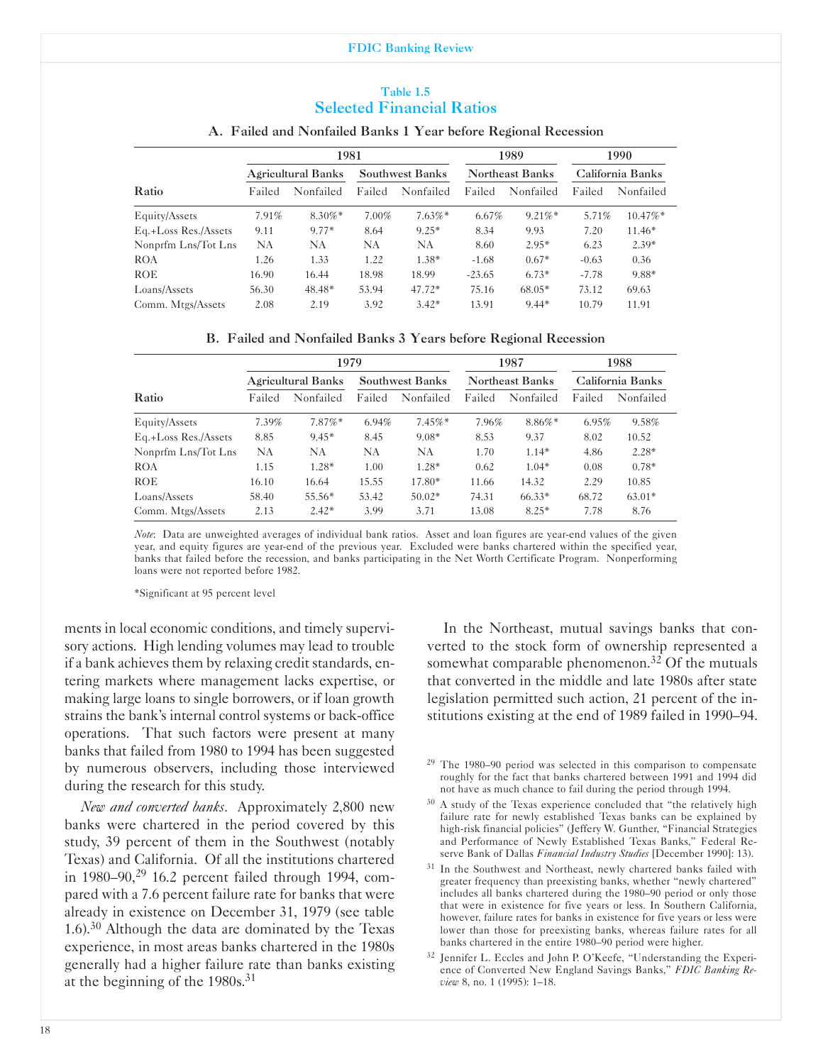#### Table 1.5 Selected Financial Ratios

## 1981 1989 1990 Agricultural Banks Southwest Banks Northeast Banks California Banks Ratio Failed Nonfailed Failed Nonfailed Failed Nonfailed Failed Nonfailed Equity/Assets 7.91% 8.30%\* 7.00% 7.63%\* 6.67% 9.21%\* 5.71% 10.47%\* Eq.+Loss Res./Assets 9.11 9.77\* 8.64 9.25\* 8.34 9.93 7.20 11.46\* Nonprfm Lns/Tot Lns NA NA NA NA 8.60 2.95' 6.23 2.39' ROA 1.26 1.33 1.22 1.38\* -1.68  $0.67^*$  -0.63 0.36 ROE 16.90 16.44 18.98 18.99 -23.65 6.73\* -7.78 9.88\* Loans/Assets 56.30 48.48\* 53.94 47.72\* 75.16 68.05\* 73.12 69.63 Comm. Mtgs/Assets 2.08 2.19 3.92 3.42\* 13.91 9.44\* 10.79 11.91

#### A. Failed and Nonfailed Banks 1 Year before Regional Recession

|  |  | B. Failed and Nonfailed Banks 3 Years before Regional Recession |  |  |  |  |  |  |
|--|--|-----------------------------------------------------------------|--|--|--|--|--|--|
|--|--|-----------------------------------------------------------------|--|--|--|--|--|--|

|                      | 1979                      |            |                        |            | 1987                   |            | 1988             |           |
|----------------------|---------------------------|------------|------------------------|------------|------------------------|------------|------------------|-----------|
|                      | <b>Agricultural Banks</b> |            | <b>Southwest Banks</b> |            | <b>Northeast Banks</b> |            | California Banks |           |
| Ratio                | Failed                    | Nonfailed  | Failed                 | Nonfailed  | Failed                 | Nonfailed  | Failed           | Nonfailed |
| Equity/Assets        | 7.39%                     | $7.87\%$ * | 6.94%                  | $7.45\%$ * | 7.96%                  | $8.86\%$ * | 6.95%            | 9.58%     |
| Eq.+Loss Res./Assets | 8.85                      | $9.45*$    | 8.45                   | $9.08*$    | 8.53                   | 9.37       | 8.02             | 10.52     |
| Nonprfm Lns/Tot Lns  | NA                        | NA.        | <b>NA</b>              | NA         | 1.70                   | $1.14*$    | 4.86             | $2.28*$   |
| <b>ROA</b>           | 1.15                      | $1.28*$    | 1.00                   | $1.28*$    | 0.62                   | $1.04*$    | 0.08             | $0.78*$   |
| <b>ROE</b>           | 16.10                     | 16.64      | 15.55                  | 17.80*     | 11.66                  | 14.32      | 2.29             | 10.85     |
| Loans/Assets         | 58.40                     | $55.56*$   | 53.42                  | $50.02*$   | 74.31                  | $66.33*$   | 68.72            | $63.01*$  |
| Comm. Mtgs/Assets    | 2.13                      | $2.42*$    | 3.99                   | 3.71       | 13.08                  | $8.25*$    | 7.78             | 8.76      |

*Note*: Data are unweighted averages of individual bank ratios. Asset and loan figures are yearend values of the given year, and equity figures are yearend of the previous year. Excluded were banks chartered within the specified year, banks that failed before the recession, and banks participating in the Net Worth Certificate Program. Nonperforming loans were not reported before 1982.

'Significant at 95 percent level

ments in local economic conditions, and timely supervisory actions. High lending volumes may lead to trouble if a bank achieves them by relaxing credit standards, entering markets where management lacks expertise, or making large loans to single borrowers, or if loan growth strains the bank's internal control systems or back-office operations. That such factors were present at many banks that failed from 1980 to 1994 has been suggested by numerous observers, including those interviewed during the research for this study.

*New and converted banks*. Approximately 2,800 new banks were chartered in the period covered by this study, 39 percent of them in the Southwest (notably Texas) and California. Of all the institutions chartered in 1980–90,<sup>29</sup> 16.2 percent failed through 1994, compared with a 7.6 percent failure rate for banks that were already in existence on December 31, 1979 (see table 1.6).30 Although the data are dominated by the Texas experience, in most areas banks chartered in the 1980s generally had a higher failure rate than banks existing at the beginning of the 1980s.31

In the Northeast, mutual savings banks that converted to the stock form of ownership represented a somewhat comparable phenomenon.<sup>32</sup> Of the mutuals that converted in the middle and late 1980s after state legislation permitted such action, 21 percent of the institutions existing at the end of 1989 failed in 1990-94.

- <sup>29</sup> The 1980-90 period was selected in this comparison to compensate roughly for the fact that banks chartered between 1991 and 1994 did not have as much chance to fail during the period through 1994.
- <sup>30</sup> A study of the Texas experience concluded that "the relatively high failure rate for newly established Texas banks can be explained by high-risk financial policies" (Jeffery W. Gunther, "Financial Strategies and Performance of Newly Established Texas Banks," Federal Reserve Bank of Dallas *Financial Industry Studies* [December 1990]: 13).
- <sup>31</sup> In the Southwest and Northeast, newly chartered banks failed with greater frequency than preexisting banks, whether "newly chartered" includes all banks chartered during the 1980-90 period or only those that were in existence for five years or less. In Southern California, however, failure rates for banks in existence for five years or less were lower than those for preexisting banks, whereas failure rates for all banks chartered in the entire 1980-90 period were higher.
- <sup>32</sup> Jennifer L. Eccles and John P. O'Keefe, "Understanding the Experience of Converted New England Savings Banks," *FDIC Banking Review* 8, no. 1 (1995): 1-18.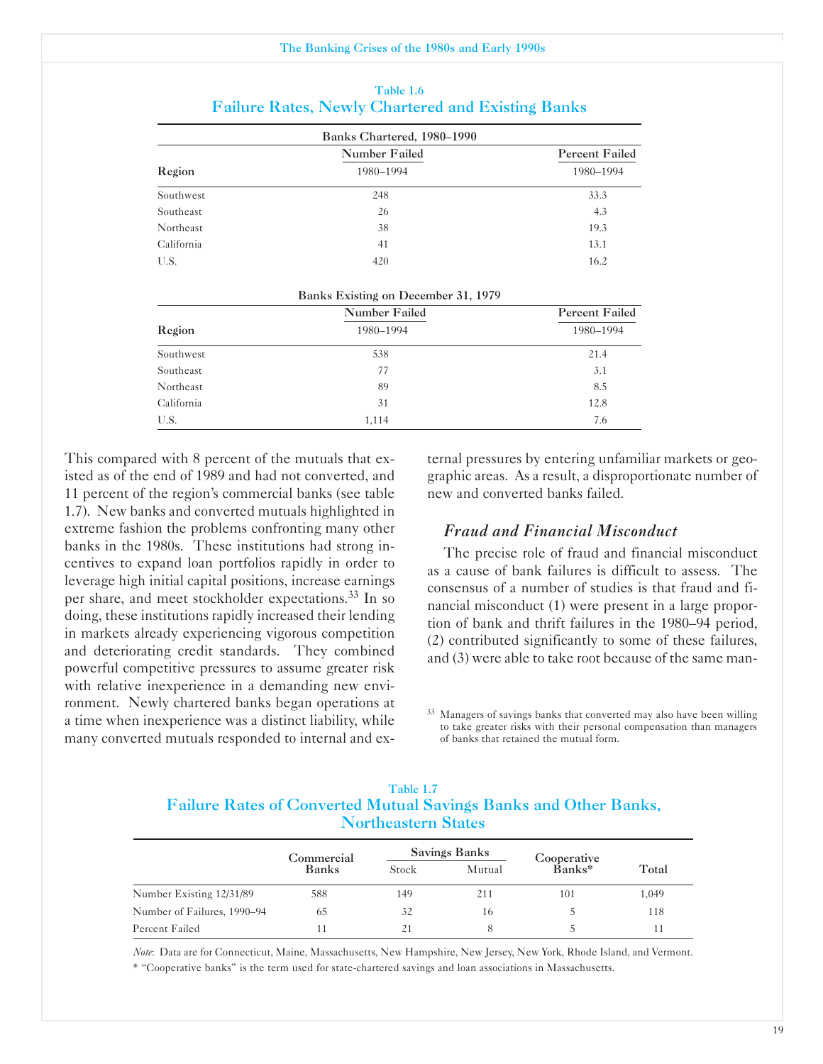|            | Banks Chartered, 1980–1990 |                |
|------------|----------------------------|----------------|
|            | Number Failed              | Percent Failed |
| Region     | 1980-1994                  | 1980-1994      |
| Southwest  | 248                        | 33.3           |
| Southeast  | 26                         | 4.3            |
| Northeast  | 38                         | 19.3           |
| California | 41                         | 13.1           |
| U.S.       | 420                        | 16.2           |
|            |                            |                |

#### Table 1.6 Failure Rates, Newly Chartered and Existing Banks

|  | Banks Existing on December 31, 1979 |  |
|--|-------------------------------------|--|
|  |                                     |  |

|            | Number Failed | <b>Percent Failed</b> |  |  |
|------------|---------------|-----------------------|--|--|
| Region     | 1980-1994     | 1980-1994             |  |  |
| Southwest  | 538           | 21.4                  |  |  |
| Southeast  | 77            | 3.1                   |  |  |
| Northeast  | 89            | 8.5                   |  |  |
| California | 31            | 12.8                  |  |  |
| U.S.       | 1,114         | 7.6                   |  |  |

This compared with 8 percent of the mutuals that existed as of the end of 1989 and had not converted, and 11 percent of the region's commercial banks (see table 1.7). New banks and converted mutuals highlighted in extreme fashion the problems confronting many other banks in the 1980s. These institutions had strong incentives to expand loan portfolios rapidly in order to leverage high initial capital positions, increase earnings per share, and meet stockholder expectations.33 In so doing, these institutions rapidly increased their lending in markets already experiencing vigorous competition and deteriorating credit standards. They combined powerful competitive pressures to assume greater risk with relative inexperience in a demanding new environment. Newly chartered banks began operations at a time when inexperience was a distinct liability, while many converted mutuals responded to internal and ex-

ternal pressures by entering unfamiliar markets or geographic areas. As a result, a disproportionate number of new and converted banks failed.

#### *Fraud and Financial Misconduct*

The precise role of fraud and financial misconduct as a cause of bank failures is difficult to assess. The consensus of a number of studies is that fraud and financial misconduct (1) were present in a large proportion of bank and thrift failures in the 1980-94 period, (2) contributed significantly to some of these failures, and (3) were able to take root because of the same man-

<sup>33</sup> Managers of savings banks that converted may also have been willing to take greater risks with their personal compensation than managers of banks that retained the mutual form.

#### Table 1.7 Failure Rates of Converted Mutual Savings Banks and Other Banks, Northeastern States

|                             | Commercial   |       | Savings Banks | Cooperative |       |
|-----------------------------|--------------|-------|---------------|-------------|-------|
|                             | <b>Banks</b> | Stock | Mutual        | $Banks*$    |       |
| Number Existing 12/31/89    | 588          | 149   | 211           | 101         | 1,049 |
| Number of Failures, 1990–94 | 65           | 32    | 16            |             | 118   |
| Percent Failed              |              |       | 8             |             |       |

*Note*: Data are for Connecticut, Maine, Massachusetts, New Hampshire, New Jersey, New York, Rhode Island, and Vermont. ' "Cooperative banks" is the term used for statechartered savings and loan associations in Massachusetts.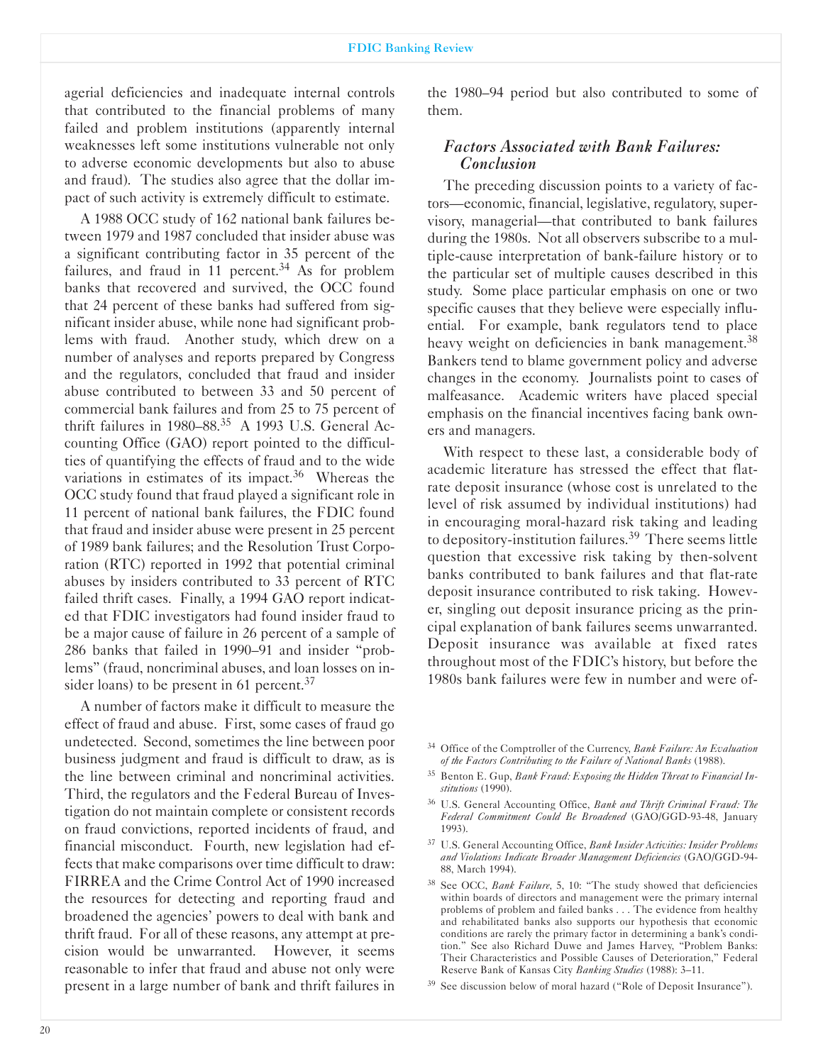agerial deficiencies and inadequate internal controls that contributed to the financial problems of many failed and problem institutions (apparently internal weaknesses left some institutions vulnerable not only to adverse economic developments but also to abuse and fraud). The studies also agree that the dollar impact of such activity is extremely difficult to estimate.

A 1988 OCC study of 162 national bank failures between 1979 and 1987 concluded that insider abuse was a significant contributing factor in 35 percent of the failures, and fraud in 11 percent. $34$  As for problem banks that recovered and survived, the OCC found that 24 percent of these banks had suffered from significant insider abuse, while none had significant problems with fraud. Another study, which drew on a number of analyses and reports prepared by Congress and the regulators, concluded that fraud and insider abuse contributed to between 33 and 50 percent of commercial bank failures and from 25 to 75 percent of thrift failures in 1980-88.35 A 1993 U.S. General Accounting Office (GAO) report pointed to the difficulties of quantifying the effects of fraud and to the wide variations in estimates of its impact.<sup>36</sup> Whereas the OCC study found that fraud played a significant role in 11 percent of national bank failures, the FDIC found that fraud and insider abuse were present in 25 percent of 1989 bank failures; and the Resolution Trust Corporation (RTC) reported in 1992 that potential criminal abuses by insiders contributed to 33 percent of RTC failed thrift cases. Finally, a 1994 GAO report indicated that FDIC investigators had found insider fraud to be a major cause of failure in 26 percent of a sample of 286 banks that failed in 1990-91 and insider "problems" (fraud, noncriminal abuses, and loan losses on insider loans) to be present in 61 percent.<sup>37</sup>

A number of factors make it difficult to measure the effect of fraud and abuse. First, some cases of fraud go undetected. Second, sometimes the line between poor business judgment and fraud is difficult to draw, as is the line between criminal and noncriminal activities. Third, the regulators and the Federal Bureau of Investigation do not maintain complete or consistent records on fraud convictions, reported incidents of fraud, and financial misconduct. Fourth, new legislation had effects that make comparisons over time difficult to draw: FIRREA and the Crime Control Act of 1990 increased the resources for detecting and reporting fraud and broadened the agencies' powers to deal with bank and thrift fraud. For all of these reasons, any attempt at precision would be unwarranted. However, it seems reasonable to infer that fraud and abuse not only were present in a large number of bank and thrift failures in

the 1980-94 period but also contributed to some of them.

## *Factors Associated with Bank Failures: Conclusion*

The preceding discussion points to a variety of factors-economic, financial, legislative, regulatory, supervisory, managerial-that contributed to bank failures during the 1980s. Not all observers subscribe to a multiple-cause interpretation of bank-failure history or to the particular set of multiple causes described in this study. Some place particular emphasis on one or two specific causes that they believe were especially influential. For example, bank regulators tend to place heavy weight on deficiencies in bank management.<sup>38</sup> Bankers tend to blame government policy and adverse changes in the economy. Journalists point to cases of malfeasance. Academic writers have placed special emphasis on the financial incentives facing bank owners and managers.

With respect to these last, a considerable body of academic literature has stressed the effect that flatrate deposit insurance (whose cost is unrelated to the level of risk assumed by individual institutions) had in encouraging moral-hazard risk taking and leading to depository-institution failures.<sup>39</sup> There seems little question that excessive risk taking by then-solvent banks contributed to bank failures and that flat-rate deposit insurance contributed to risk taking. However, singling out deposit insurance pricing as the principal explanation of bank failures seems unwarranted. Deposit insurance was available at fixed rates throughout most of the FDIC's history, but before the 1980s bank failures were few in number and were of-

- <sup>35</sup> Benton E. Gup, *Bank Fraud: Exposing the Hidden Threat to Financial Institutions* (1990).
- <sup>36</sup> U.S. General Accounting Office, *Bank and Thrift Criminal Fraud: The* Federal Commitment Could Be Broadened (GAO/GGD-93-48, January 1993).
- <sup>37</sup> U.S. General Accounting Office, *Bank Insider Activities: Insider Problems and Violations Indicate Broader Management Deficiencies* (GAO/GGD94 88, March 1994).
- <sup>38</sup> See OCC, *Bank Failure*, 5, 10: "The study showed that deficiencies within boards of directors and management were the primary internal problems of problem and failed banks . . . The evidence from healthy and rehabilitated banks also supports our hypothesis that economic conditions are rarely the primary factor in determining a bank's condition." See also Richard Duwe and James Harvey, "Problem Banks: Their Characteristics and Possible Causes of Deterioration," Federal Reserve Bank of Kansas City *Banking Studies* (1988): 3-11.
- <sup>39</sup> See discussion below of moral hazard ("Role of Deposit Insurance").

<sup>&</sup>lt;sup>34</sup> Office of the Comptroller of the Currency, *Bank Failure: An Evaluation of the Factors Contributing to the Failure of National Banks* (1988).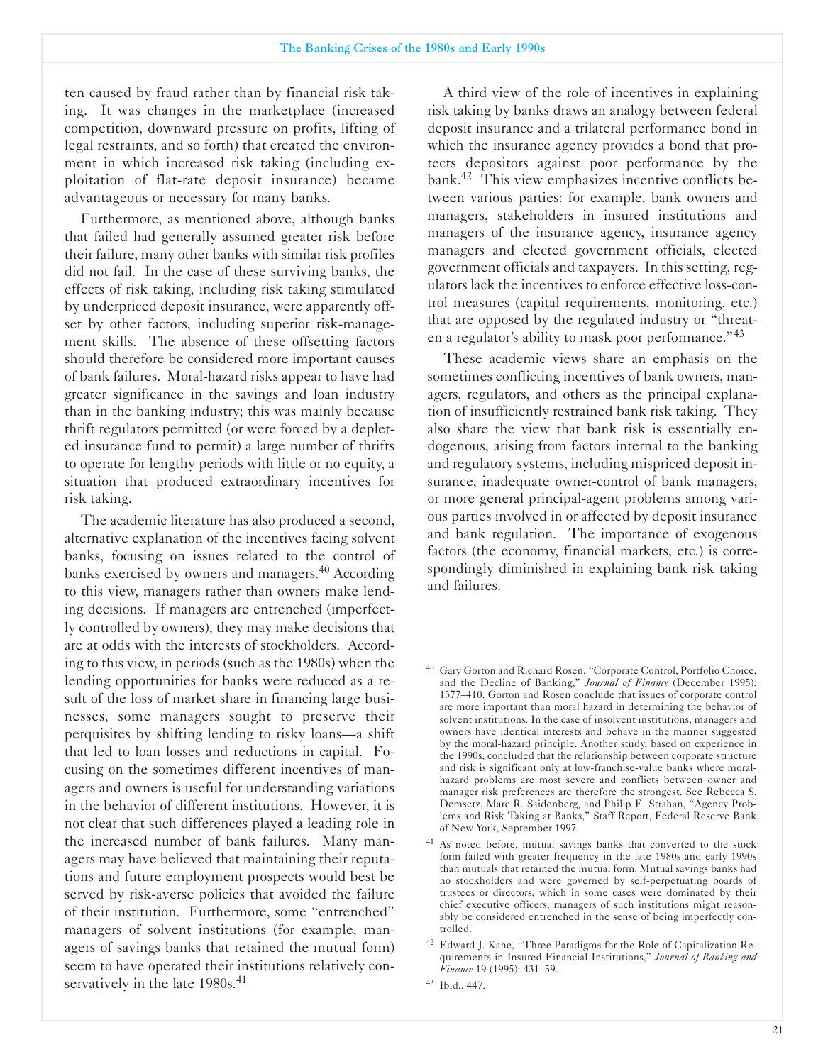ten caused by fraud rather than by financial risk taking. It was changes in the marketplace (increased competition, downward pressure on profits, lifting of legal restraints, and so forth) that created the environment in which increased risk taking (including exploitation of flat-rate deposit insurance) became advantageous or necessary for many banks.

Furthermore, as mentioned above, although banks that failed had generally assumed greater risk before their failure, many other banks with similar risk profiles did not fail. In the case of these surviving banks, the effects of risk taking, including risk taking stimulated by underpriced deposit insurance, were apparently offset by other factors, including superior risk-management skills. The absence of these offsetting factors should therefore be considered more important causes of bank failures. Moral-hazard risks appear to have had greater significance in the savings and loan industry than in the banking industry; this was mainly because thrift regulators permitted (or were forced by a depleted insurance fund to permit) a large number of thrifts to operate for lengthy periods with little or no equity, a situation that produced extraordinary incentives for risk taking.

The academic literature has also produced a second, alternative explanation of the incentives facing solvent banks, focusing on issues related to the control of banks exercised by owners and managers.40 According to this view, managers rather than owners make lending decisions. If managers are entrenched (imperfectly controlled by owners), they may make decisions that are at odds with the interests of stockholders. According to this view, in periods (such as the 1980s) when the lending opportunities for banks were reduced as a result of the loss of market share in financing large businesses, some managers sought to preserve their perquisites by shifting lending to risky loans-a shift that led to loan losses and reductions in capital. Focusing on the sometimes different incentives of managers and owners is useful for understanding variations in the behavior of different institutions. However, it is not clear that such differences played a leading role in the increased number of bank failures. Many managers may have believed that maintaining their reputations and future employment prospects would best be served by risk-averse policies that avoided the failure of their institution. Furthermore, some "entrenched" managers of solvent institutions (for example, managers of savings banks that retained the mutual form) seem to have operated their institutions relatively conservatively in the late 1980s.<sup>41</sup>

A third view of the role of incentives in explaining risk taking by banks draws an analogy between federal deposit insurance and a trilateral performance bond in which the insurance agency provides a bond that protects depositors against poor performance by the bank.42 This view emphasizes incentive conflicts between various parties: for example, bank owners and managers, stakeholders in insured institutions and managers of the insurance agency, insurance agency managers and elected government officials, elected government officials and taxpayers. In this setting, regulators lack the incentives to enforce effective loss-control measures (capital requirements, monitoring, etc.) that are opposed by the regulated industry or "threaten a regulator's ability to mask poor performance."<sup>43</sup>

These academic views share an emphasis on the sometimes conflicting incentives of bank owners, managers, regulators, and others as the principal explanation of insufficiently restrained bank risk taking. They also share the view that bank risk is essentially endogenous, arising from factors internal to the banking and regulatory systems, including mispriced deposit insurance, inadequate owner-control of bank managers, or more general principal-agent problems among various parties involved in or affected by deposit insurance and bank regulation. The importance of exogenous factors (the economy, financial markets, etc.) is correspondingly diminished in explaining bank risk taking and failures.

<sup>40</sup> Gary Gorton and Richard Rosen, "Corporate Control, Portfolio Choice, and the Decline of Banking," *Journal of Finance* (December 1995): 1377-410. Gorton and Rosen conclude that issues of corporate control are more important than moral hazard in determining the behavior of solvent institutions. In the case of insolvent institutions, managers and owners have identical interests and behave in the manner suggested by the moral-hazard principle. Another study, based on experience in the 1990s, concluded that the relationship between corporate structure and risk is significant only at low-franchise-value banks where moralhazard problems are most severe and conflicts between owner and manager risk preferences are therefore the strongest. See Rebecca S. Demsetz, Marc R. Saidenberg, and Philip E. Strahan, "Agency Problems and Risk Taking at Banks," Staff Report, Federal Reserve Bank of New York, September 1997.

<sup>&</sup>lt;sup>41</sup> As noted before, mutual savings banks that converted to the stock form failed with greater frequency in the late 1980s and early 1990s than mutuals that retained the mutual form. Mutual savings banks had no stockholders and were governed by self-perpetuating boards of trustees or directors, which in some cases were dominated by their chief executive officers; managers of such institutions might reasonably be considered entrenched in the sense of being imperfectly controlled.

<sup>&</sup>lt;sup>42</sup> Edward J. Kane, "Three Paradigms for the Role of Capitalization Requirements in Insured Financial Institutions," *Journal of Banking and Finance* 19 (1995): 431-59.

<sup>43</sup> Ibid., 447.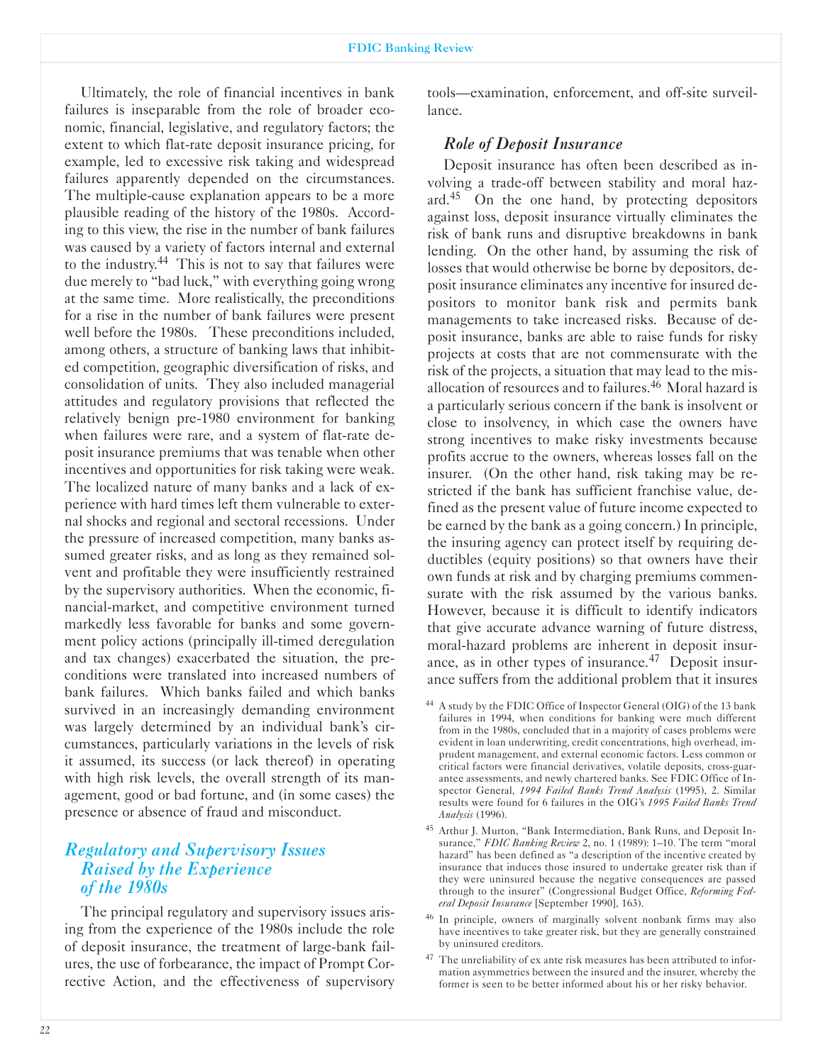Ultimately, the role of financial incentives in bank failures is inseparable from the role of broader economic, financial, legislative, and regulatory factors; the extent to which flat-rate deposit insurance pricing, for example, led to excessive risk taking and widespread failures apparently depended on the circumstances. The multiple-cause explanation appears to be a more plausible reading of the history of the 1980s. According to this view, the rise in the number of bank failures was caused by a variety of factors internal and external to the industry.<sup>44</sup> This is not to say that failures were due merely to "bad luck," with everything going wrong at the same time. More realistically, the preconditions for a rise in the number of bank failures were present well before the 1980s. These preconditions included, among others, a structure of banking laws that inhibited competition, geographic diversification of risks, and consolidation of units. They also included managerial attitudes and regulatory provisions that reflected the relatively benign pre1980 environment for banking when failures were rare, and a system of flat-rate deposit insurance premiums that was tenable when other incentives and opportunities for risk taking were weak. The localized nature of many banks and a lack of experience with hard times left them vulnerable to external shocks and regional and sectoral recessions. Under the pressure of increased competition, many banks assumed greater risks, and as long as they remained solvent and profitable they were insufficiently restrained by the supervisory authorities. When the economic, financial-market, and competitive environment turned markedly less favorable for banks and some government policy actions (principally ill-timed deregulation and tax changes) exacerbated the situation, the preconditions were translated into increased numbers of bank failures. Which banks failed and which banks survived in an increasingly demanding environment was largely determined by an individual bank's circumstances, particularly variations in the levels of risk it assumed, its success (or lack thereof) in operating with high risk levels, the overall strength of its management, good or bad fortune, and (in some cases) the presence or absence of fraud and misconduct.

# *Regulatory and Supervisory Issues Raised by the Experience of the 1980s*

The principal regulatory and supervisory issues arising from the experience of the 1980s include the role of deposit insurance, the treatment of large-bank failures, the use of forbearance, the impact of Prompt Corrective Action, and the effectiveness of supervisory tools—examination, enforcement, and off-site surveillance.

## *Role of Deposit Insurance*

Deposit insurance has often been described as involving a trade-off between stability and moral hazard.<sup>45</sup> On the one hand, by protecting depositors against loss, deposit insurance virtually eliminates the risk of bank runs and disruptive breakdowns in bank lending. On the other hand, by assuming the risk of losses that would otherwise be borne by depositors, deposit insurance eliminates any incentive for insured depositors to monitor bank risk and permits bank managements to take increased risks. Because of deposit insurance, banks are able to raise funds for risky projects at costs that are not commensurate with the risk of the projects, a situation that may lead to the misallocation of resources and to failures.46 Moral hazard is a particularly serious concern if the bank is insolvent or close to insolvency, in which case the owners have strong incentives to make risky investments because profits accrue to the owners, whereas losses fall on the insurer. (On the other hand, risk taking may be restricted if the bank has sufficient franchise value, defined as the present value of future income expected to be earned by the bank as a going concern.) In principle, the insuring agency can protect itself by requiring deductibles (equity positions) so that owners have their own funds at risk and by charging premiums commensurate with the risk assumed by the various banks. However, because it is difficult to identify indicators that give accurate advance warning of future distress, moral-hazard problems are inherent in deposit insurance, as in other types of insurance.<sup>47</sup> Deposit insurance suffers from the additional problem that it insures

- <sup>44</sup> A study by the FDIC Office of Inspector General (OIG) of the 13 bank failures in 1994, when conditions for banking were much different from in the 1980s, concluded that in a majority of cases problems were evident in loan underwriting, credit concentrations, high overhead, imprudent management, and external economic factors. Less common or critical factors were financial derivatives, volatile deposits, cross-guarantee assessments, and newly chartered banks. See FDIC Office of Inspector General, *1994 Failed Banks Trend Analysis* (1995), 2. Similar results were found for 6 failures in the OIG's *1995 Failed Banks Trend Analysis* (1996).
- <sup>45</sup> Arthur J. Murton, "Bank Intermediation, Bank Runs, and Deposit Insurance," *FDIC Banking Review* 2, no. 1 (1989): 1-10. The term "moral hazard" has been defined as "a description of the incentive created by insurance that induces those insured to undertake greater risk than if they were uninsured because the negative consequences are passed through to the insurer" (Congressional Budget Office, *Reforming Federal Deposit Insurance* [September 1990], 163).
- <sup>46</sup> In principle, owners of marginally solvent nonbank firms may also have incentives to take greater risk, but they are generally constrained by uninsured creditors.
- <sup>47</sup> The unreliability of ex ante risk measures has been attributed to information asymmetries between the insured and the insurer, whereby the former is seen to be better informed about his or her risky behavior.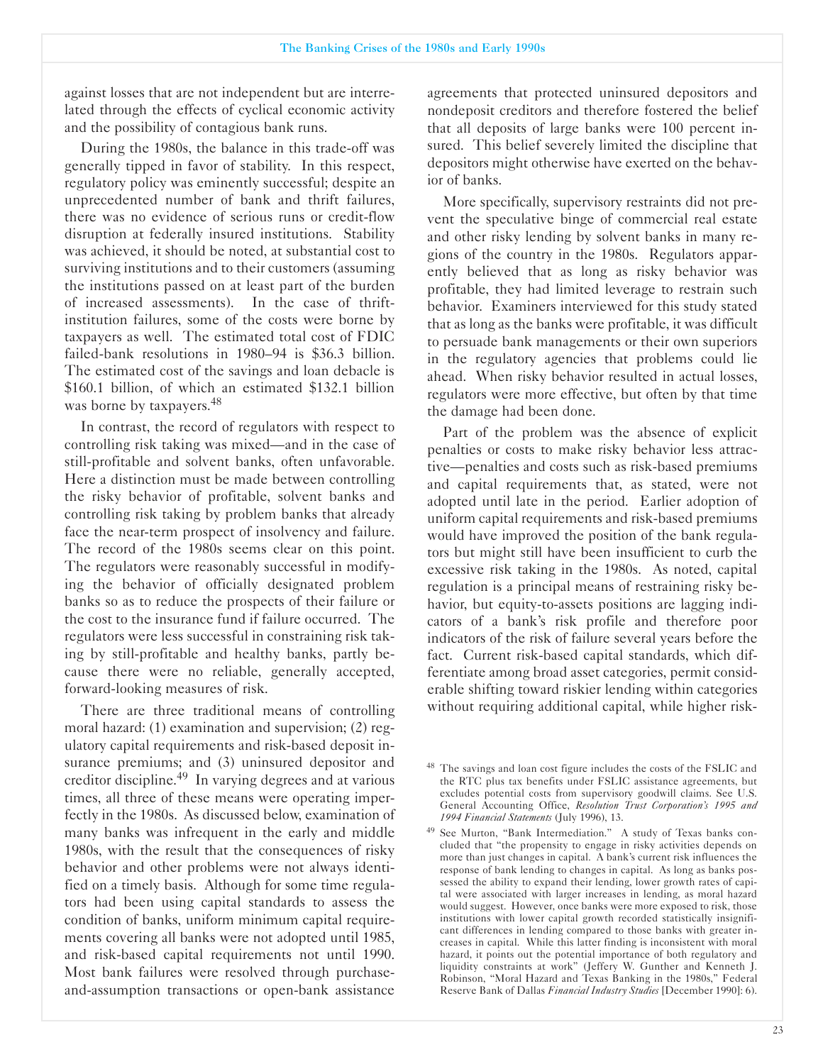against losses that are not independent but are interrelated through the effects of cyclical economic activity and the possibility of contagious bank runs.

During the 1980s, the balance in this trade-off was generally tipped in favor of stability. In this respect, regulatory policy was eminently successful; despite an unprecedented number of bank and thrift failures, there was no evidence of serious runs or credit-flow disruption at federally insured institutions. Stability was achieved, it should be noted, at substantial cost to surviving institutions and to their customers (assuming the institutions passed on at least part of the burden of increased assessments). In the case of thriftinstitution failures, some of the costs were borne by taxpayers as well. The estimated total cost of FDIC failed-bank resolutions in  $1980-94$  is \$36.3 billion. The estimated cost of the savings and loan debacle is \$160.1 billion, of which an estimated \$132.1 billion was borne by taxpayers.<sup>48</sup>

In contrast, the record of regulators with respect to controlling risk taking was mixed-and in the case of still-profitable and solvent banks, often unfavorable. Here a distinction must be made between controlling the risky behavior of profitable, solvent banks and controlling risk taking by problem banks that already face the near-term prospect of insolvency and failure. The record of the 1980s seems clear on this point. The regulators were reasonably successful in modifying the behavior of officially designated problem banks so as to reduce the prospects of their failure or the cost to the insurance fund if failure occurred. The regulators were less successful in constraining risk taking by still-profitable and healthy banks, partly because there were no reliable, generally accepted, forward-looking measures of risk.

There are three traditional means of controlling moral hazard: (1) examination and supervision; (2) regulatory capital requirements and risk-based deposit insurance premiums; and (3) uninsured depositor and creditor discipline.49 In varying degrees and at various times, all three of these means were operating imperfectly in the 1980s. As discussed below, examination of many banks was infrequent in the early and middle 1980s, with the result that the consequences of risky behavior and other problems were not always identified on a timely basis. Although for some time regulators had been using capital standards to assess the condition of banks, uniform minimum capital requirements covering all banks were not adopted until 1985, and risk-based capital requirements not until 1990. Most bank failures were resolved through purchaseand-assumption transactions or open-bank assistance

agreements that protected uninsured depositors and nondeposit creditors and therefore fostered the belief that all deposits of large banks were 100 percent insured. This belief severely limited the discipline that depositors might otherwise have exerted on the behavior of banks.

More specifically, supervisory restraints did not prevent the speculative binge of commercial real estate and other risky lending by solvent banks in many regions of the country in the 1980s. Regulators apparently believed that as long as risky behavior was profitable, they had limited leverage to restrain such behavior. Examiners interviewed for this study stated that as long as the banks were profitable, it was difficult to persuade bank managements or their own superiors in the regulatory agencies that problems could lie ahead. When risky behavior resulted in actual losses, regulators were more effective, but often by that time the damage had been done.

Part of the problem was the absence of explicit penalties or costs to make risky behavior less attractive—penalties and costs such as risk-based premiums and capital requirements that, as stated, were not adopted until late in the period. Earlier adoption of uniform capital requirements and risk-based premiums would have improved the position of the bank regulators but might still have been insufficient to curb the excessive risk taking in the 1980s. As noted, capital regulation is a principal means of restraining risky behavior, but equity-to-assets positions are lagging indicators of a bank's risk profile and therefore poor indicators of the risk of failure several years before the fact. Current risk-based capital standards, which differentiate among broad asset categories, permit considerable shifting toward riskier lending within categories without requiring additional capital, while higher risk-

<sup>&</sup>lt;sup>48</sup> The savings and loan cost figure includes the costs of the FSLIC and the RTC plus tax benefits under FSLIC assistance agreements, but excludes potential costs from supervisory goodwill claims. See U.S. General Accounting Office, Resolution Trust Corporation's 1995 and *1994 Financial Statements* (July 1996), 13.

<sup>49</sup> See Murton, "Bank Intermediation." A study of Texas banks concluded that "the propensity to engage in risky activities depends on more than just changes in capital. A bank's current risk influences the response of bank lending to changes in capital. As long as banks possessed the ability to expand their lending, lower growth rates of capital were associated with larger increases in lending, as moral hazard would suggest. However, once banks were more exposed to risk, those institutions with lower capital growth recorded statistically insignificant differences in lending compared to those banks with greater increases in capital. While this latter finding is inconsistent with moral hazard, it points out the potential importance of both regulatory and liquidity constraints at work" (Jeffery W. Gunther and Kenneth J. Robinson, "Moral Hazard and Texas Banking in the 1980s," Federal Reserve Bank of Dallas *Financial Industry Studies* [December 1990]: 6).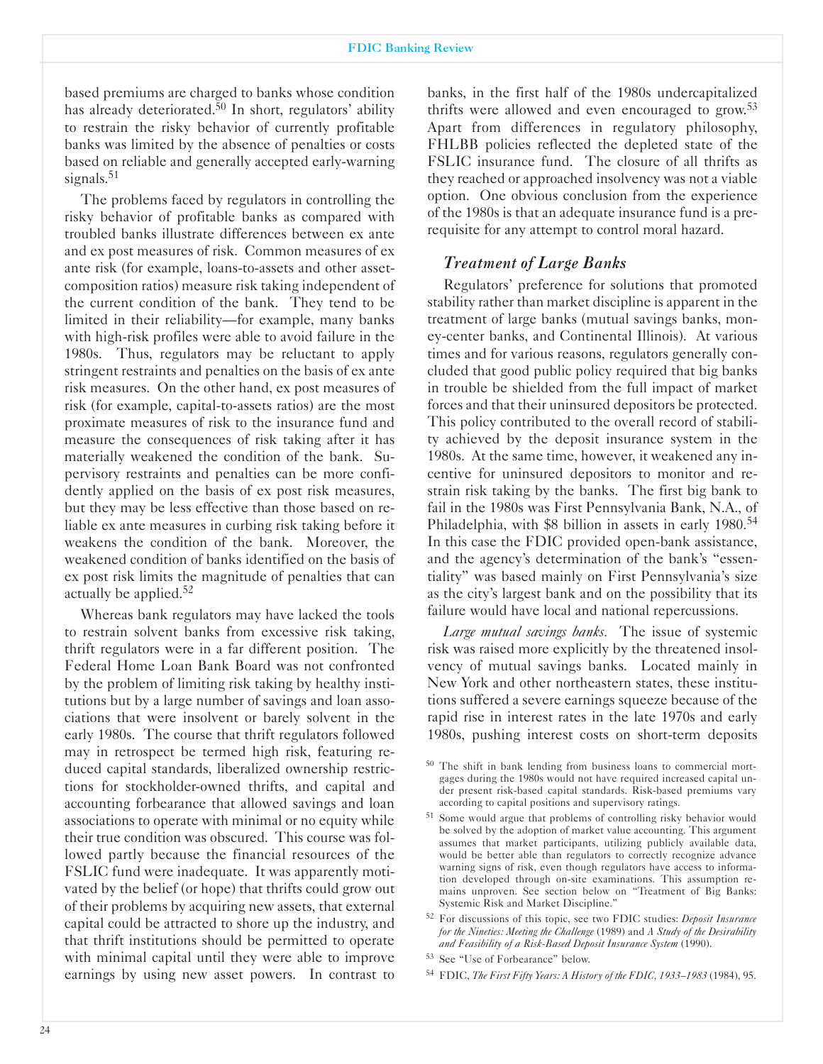based premiums are charged to banks whose condition has already deteriorated.<sup>50</sup> In short, regulators' ability to restrain the risky behavior of currently profitable banks was limited by the absence of penalties or costs based on reliable and generally accepted early-warning signals.<sup>51</sup>

The problems faced by regulators in controlling the risky behavior of profitable banks as compared with troubled banks illustrate differences between ex ante and ex post measures of risk. Common measures of ex ante risk (for example, loans-to-assets and other assetcomposition ratios) measure risk taking independent of the current condition of the bank. They tend to be limited in their reliability—for example, many banks with high-risk profiles were able to avoid failure in the 1980s. Thus, regulators may be reluctant to apply stringent restraints and penalties on the basis of ex ante risk measures. On the other hand, ex post measures of risk (for example, capital-to-assets ratios) are the most proximate measures of risk to the insurance fund and measure the consequences of risk taking after it has materially weakened the condition of the bank. Supervisory restraints and penalties can be more confidently applied on the basis of ex post risk measures, but they may be less effective than those based on reliable ex ante measures in curbing risk taking before it weakens the condition of the bank. Moreover, the weakened condition of banks identified on the basis of ex post risk limits the magnitude of penalties that can actually be applied. $52$ 

Whereas bank regulators may have lacked the tools to restrain solvent banks from excessive risk taking, thrift regulators were in a far different position. The Federal Home Loan Bank Board was not confronted by the problem of limiting risk taking by healthy institutions but by a large number of savings and loan associations that were insolvent or barely solvent in the early 1980s. The course that thrift regulators followed may in retrospect be termed high risk, featuring reduced capital standards, liberalized ownership restrictions for stockholder-owned thrifts, and capital and accounting forbearance that allowed savings and loan associations to operate with minimal or no equity while their true condition was obscured. This course was followed partly because the financial resources of the FSLIC fund were inadequate. It was apparently motivated by the belief (or hope) that thrifts could grow out of their problems by acquiring new assets, that external capital could be attracted to shore up the industry, and that thrift institutions should be permitted to operate with minimal capital until they were able to improve earnings by using new asset powers. In contrast to

banks, in the first half of the 1980s undercapitalized thrifts were allowed and even encouraged to grow.<sup>53</sup> Apart from differences in regulatory philosophy, FHLBB policies reflected the depleted state of the FSLIC insurance fund. The closure of all thrifts as they reached or approached insolvency was not a viable option. One obvious conclusion from the experience of the 1980s is that an adequate insurance fund is a prerequisite for any attempt to control moral hazard.

#### *Treatment of Large Banks*

Regulators' preference for solutions that promoted stability rather than market discipline is apparent in the treatment of large banks (mutual savings banks, moneycenter banks, and Continental Illinois). At various times and for various reasons, regulators generally concluded that good public policy required that big banks in trouble be shielded from the full impact of market forces and that their uninsured depositors be protected. This policy contributed to the overall record of stability achieved by the deposit insurance system in the 1980s. At the same time, however, it weakened any incentive for uninsured depositors to monitor and restrain risk taking by the banks. The first big bank to fail in the 1980s was First Pennsylvania Bank, N.A., of Philadelphia, with \$8 billion in assets in early 1980.<sup>54</sup> In this case the FDIC provided open-bank assistance, and the agency's determination of the bank's "essentiality" was based mainly on First Pennsylvania's size as the city's largest bank and on the possibility that its failure would have local and national repercussions.

*Large mutual savings banks.* The issue of systemic risk was raised more explicitly by the threatened insolvency of mutual savings banks. Located mainly in New York and other northeastern states, these institutions suffered a severe earnings squeeze because of the rapid rise in interest rates in the late 1970s and early 1980s, pushing interest costs on short-term deposits

<sup>51</sup> Some would argue that problems of controlling risky behavior would be solved by the adoption of market value accounting. This argument assumes that market participants, utilizing publicly available data, would be better able than regulators to correctly recognize advance warning signs of risk, even though regulators have access to information developed through on-site examinations. This assumption remains unproven. See section below on "Treatment of Big Banks: Systemic Risk and Market Discipline."

<sup>52</sup> For discussions of this topic, see two FDIC studies: *Deposit Insurance for the Nineties: Meeting the Challenge* (1989) and *A Study of the Desirability* and Feasibility of a Risk-Based Deposit Insurance System (1990).

<sup>54</sup> FDIC, *The First Fifty Years: A History of the FDIC 1933-1983* (1984), 95.

<sup>&</sup>lt;sup>50</sup> The shift in bank lending from business loans to commercial mortgages during the 1980s would not have required increased capital under present risk-based capital standards. Risk-based premiums vary according to capital positions and supervisory ratings.

<sup>53</sup> See "Use of Forbearance" below.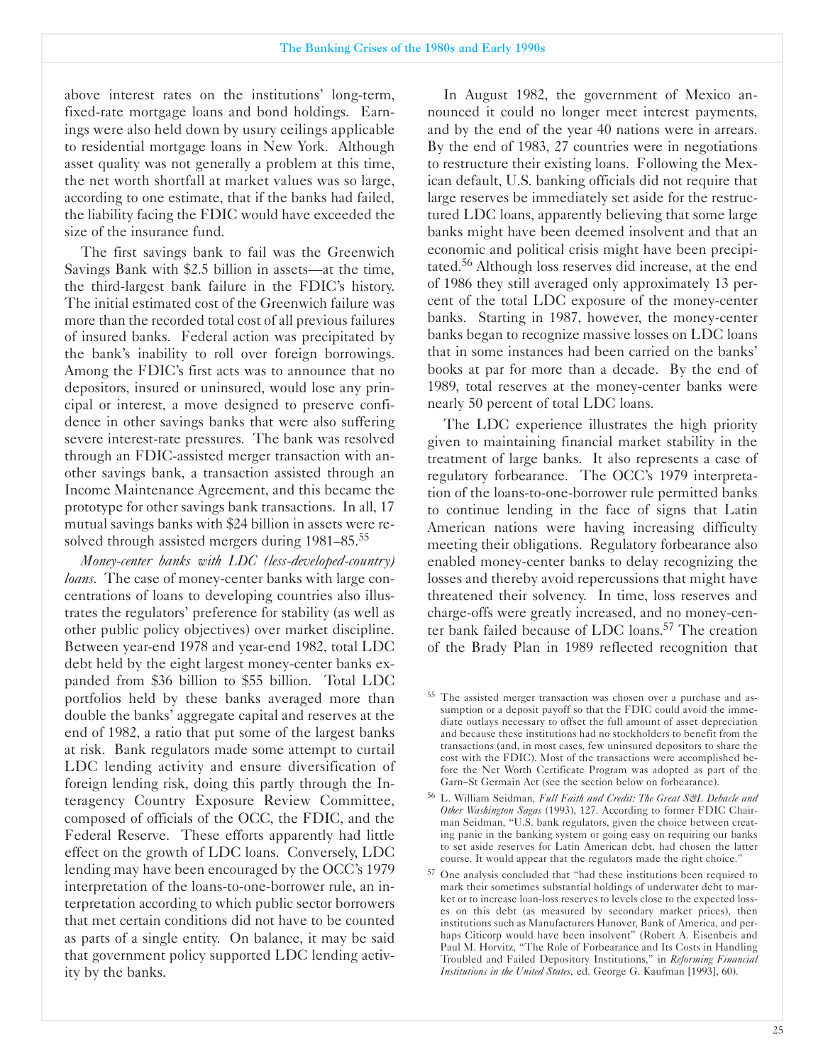above interest rates on the institutions' long-term, fixed-rate mortgage loans and bond holdings. Earnings were also held down by usury ceilings applicable to residential mortgage loans in New York. Although asset quality was not generally a problem at this time, the net worth shortfall at market values was so large, according to one estimate, that if the banks had failed, the liability facing the FDIC would have exceeded the size of the insurance fund.

The first savings bank to fail was the Greenwich Savings Bank with \$2.5 billion in assets—at the time, the third-largest bank failure in the FDIC's history. The initial estimated cost of the Greenwich failure was more than the recorded total cost of all previous failures of insured banks. Federal action was precipitated by the bank's inability to roll over foreign borrowings. Among the FDIC's first acts was to announce that no depositors, insured or uninsured, would lose any principal or interest, a move designed to preserve confidence in other savings banks that were also suffering severe interest-rate pressures. The bank was resolved through an FDIC-assisted merger transaction with another savings bank, a transaction assisted through an Income Maintenance Agreement, and this became the prototype for other savings bank transactions. In all, 17 mutual savings banks with \$24 billion in assets were resolved through assisted mergers during 1981–85.<sup>55</sup>

*Money-center banks with LDC (less-developed-country) loans.* The case of money-center banks with large concentrations of loans to developing countries also illustrates the regulators' preference for stability (as well as other public policy objectives) over market discipline. Between year-end 1978 and year-end 1982, total LDC debt held by the eight largest money-center banks expanded from \$36 billion to \$55 billion. Total LDC portfolios held by these banks averaged more than double the banks' aggregate capital and reserves at the end of 1982, a ratio that put some of the largest banks at risk. Bank regulators made some attempt to curtail LDC lending activity and ensure diversification of foreign lending risk, doing this partly through the Interagency Country Exposure Review Committee, composed of officials of the OCC, the FDIC, and the Federal Reserve. These efforts apparently had little effect on the growth of LDC loans. Conversely, LDC lending may have been encouraged by the OCC's 1979 interpretation of the loans-to-one-borrower rule, an interpretation according to which public sector borrowers that met certain conditions did not have to be counted as parts of a single entity. On balance, it may be said that government policy supported LDC lending activity by the banks.

In August 1982, the government of Mexico announced it could no longer meet interest payments, and by the end of the year 40 nations were in arrears. By the end of 1983, 27 countries were in negotiations to restructure their existing loans. Following the Mexican default, U.S. banking officials did not require that large reserves be immediately set aside for the restructured LDC loans, apparently believing that some large banks might have been deemed insolvent and that an economic and political crisis might have been precipitated.56 Although loss reserves did increase, at the end of 1986 they still averaged only approximately 13 percent of the total LDC exposure of the money-center banks. Starting in 1987, however, the money-center banks began to recognize massive losses on LDC loans that in some instances had been carried on the banks' books at par for more than a decade. By the end of 1989, total reserves at the money-center banks were nearly 50 percent of total LDC loans.

The LDC experience illustrates the high priority given to maintaining financial market stability in the treatment of large banks. It also represents a case of regulatory forbearance. The OCC's 1979 interpretation of the loans-to-one-borrower rule permitted banks to continue lending in the face of signs that Latin American nations were having increasing difficulty meeting their obligations. Regulatory forbearance also enabled money-center banks to delay recognizing the losses and thereby avoid repercussions that might have threatened their solvency. In time, loss reserves and charge-offs were greatly increased, and no money-center bank failed because of LDC loans.<sup>57</sup> The creation of the Brady Plan in 1989 reflected recognition that

<sup>55</sup> The assisted merger transaction was chosen over a purchase and assumption or a deposit payoff so that the FDIC could avoid the immediate outlays necessary to offset the full amount of asset depreciation and because these institutions had no stockholders to benefit from the transactions (and, in most cases, few uninsured depositors to share the cost with the FDIC). Most of the transactions were accomplished before the Net Worth Certificate Program was adopted as part of the Garn-St Germain Act (see the section below on forbearance).

<sup>&</sup>lt;sup>56</sup> L. William Seidman, *Full Faith and Credit: The Great S&L Debacle and Other �ashington Sagas* (1993), 127. According to former FDIC Chairman Seidman, "U.S. bank regulators, given the choice between creating panic in the banking system or going easy on requiring our banks to set aside reserves for Latin American debt, had chosen the latter course. It would appear that the regulators made the right choice."

<sup>57</sup> One analysis concluded that "had these institutions been required to mark their sometimes substantial holdings of underwater debt to market or to increase loan-loss reserves to levels close to the expected losses on this debt (as measured by secondary market prices), then institutions such as Manufacturers Hanover, Bank of America, and perhaps Citicorp would have been insolvent" (Robert A. Eisenbeis and Paul M. Horvitz, "The Role of Forbearance and Its Costs in Handling Troubled and Failed Depository Institutions," in *Reforming Financial Institutions in the United States, ed. George G. Kaufman [1993], 60).*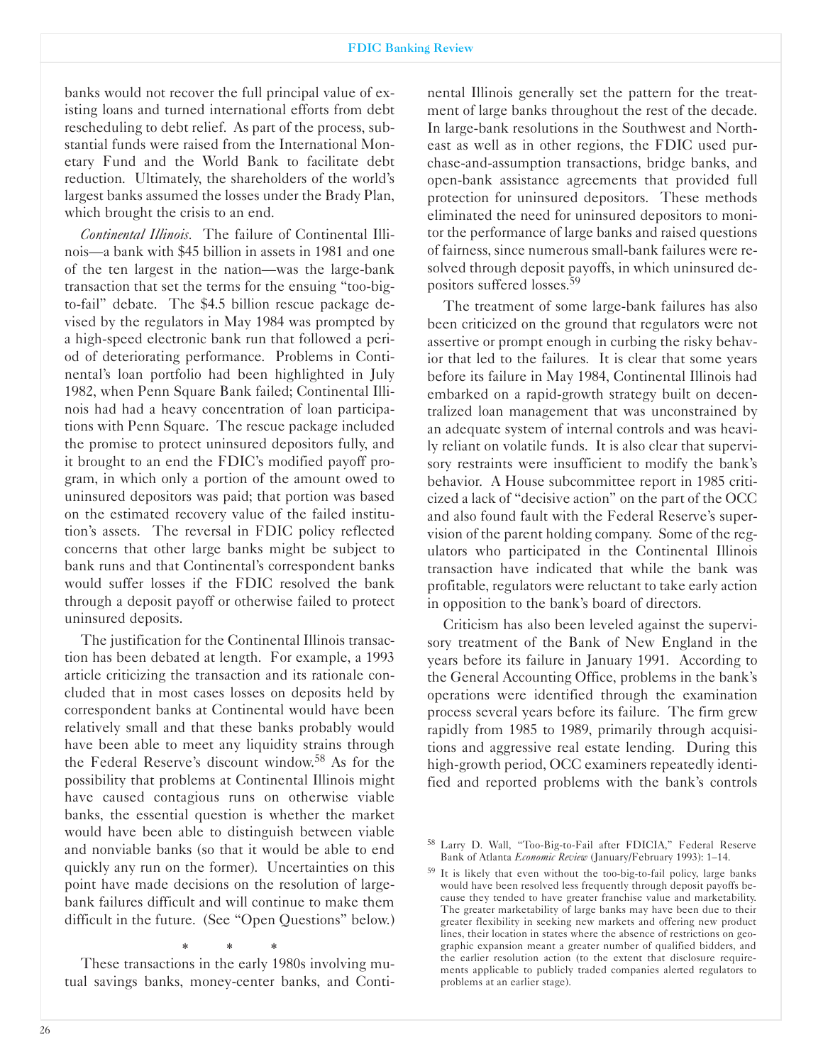#### FDIC Banking Review

banks would not recover the full principal value of existing loans and turned international efforts from debt rescheduling to debt relief. As part of the process, substantial funds were raised from the International Monetary Fund and the World Bank to facilitate debt reduction. Ultimately, the shareholders of the world's largest banks assumed the losses under the Brady Plan, which brought the crisis to an end.

*Continental Illinois.* The failure of Continental Illinois-a bank with \$45 billion in assets in 1981 and one of the ten largest in the nation—was the large-bank transaction that set the terms for the ensuing "too-bigto-fail" debate. The \$4.5 billion rescue package devised by the regulators in May 1984 was prompted by a high-speed electronic bank run that followed a period of deteriorating performance. Problems in Continental's loan portfolio had been highlighted in July 1982, when Penn Square Bank failed; Continental Illinois had had a heavy concentration of loan participations with Penn Square. The rescue package included the promise to protect uninsured depositors fully, and it brought to an end the FDIC's modified payoff program, in which only a portion of the amount owed to uninsured depositors was paid; that portion was based on the estimated recovery value of the failed institution's assets. The reversal in FDIC policy reflected concerns that other large banks might be subject to bank runs and that Continental's correspondent banks would suffer losses if the FDIC resolved the bank through a deposit payoff or otherwise failed to protect uninsured deposits.

The justification for the Continental Illinois transaction has been debated at length. For example, a 1993 article criticizing the transaction and its rationale concluded that in most cases losses on deposits held by correspondent banks at Continental would have been relatively small and that these banks probably would have been able to meet any liquidity strains through the Federal Reserve's discount window.58 As for the possibility that problems at Continental Illinois might have caused contagious runs on otherwise viable banks, the essential question is whether the market would have been able to distinguish between viable and nonviable banks (so that it would be able to end quickly any run on the former). Uncertainties on this point have made decisions on the resolution of largebank failures difficult and will continue to make them difficult in the future. (See "Open Questions" below.)

\* \* \* These transactions in the early 1980s involving mutual savings banks, money-center banks, and Continental Illinois generally set the pattern for the treatment of large banks throughout the rest of the decade. In large-bank resolutions in the Southwest and Northeast as well as in other regions, the FDIC used purchase-and-assumption transactions, bridge banks, and open-bank assistance agreements that provided full protection for uninsured depositors. These methods eliminated the need for uninsured depositors to monitor the performance of large banks and raised questions of fairness, since numerous small-bank failures were resolved through deposit payoffs, in which uninsured depositors suffered losses.59

The treatment of some large-bank failures has also been criticized on the ground that regulators were not assertive or prompt enough in curbing the risky behavior that led to the failures. It is clear that some years before its failure in May 1984, Continental Illinois had embarked on a rapid-growth strategy built on decentralized loan management that was unconstrained by an adequate system of internal controls and was heavily reliant on volatile funds. It is also clear that supervisory restraints were insufficient to modify the bank's behavior. A House subcommittee report in 1985 criticized a lack of "decisive action" on the part of the OCC and also found fault with the Federal Reserve's supervision of the parent holding company. Some of the regulators who participated in the Continental Illinois transaction have indicated that while the bank was profitable, regulators were reluctant to take early action in opposition to the bank's board of directors.

Criticism has also been leveled against the supervisory treatment of the Bank of New England in the years before its failure in January 1991. According to the General Accounting Office, problems in the bank's operations were identified through the examination process several years before its failure. The firm grew rapidly from 1985 to 1989, primarily through acquisitions and aggressive real estate lending. During this high-growth period, OCC examiners repeatedly identified and reported problems with the bank's controls

58 Larry D. Wall, "Too-Big-to-Fail after FDICIA," Federal Reserve Bank of Atlanta *Economic Review* (January/February 1993): 1-14.

59 It is likely that even without the too-big-to-fail policy, large banks would have been resolved less frequently through deposit payoffs because they tended to have greater franchise value and marketability. The greater marketability of large banks may have been due to their greater flexibility in seeking new markets and offering new product lines, their location in states where the absence of restrictions on geographic expansion meant a greater number of qualified bidders, and the earlier resolution action (to the extent that disclosure requirements applicable to publicly traded companies alerted regulators to problems at an earlier stage).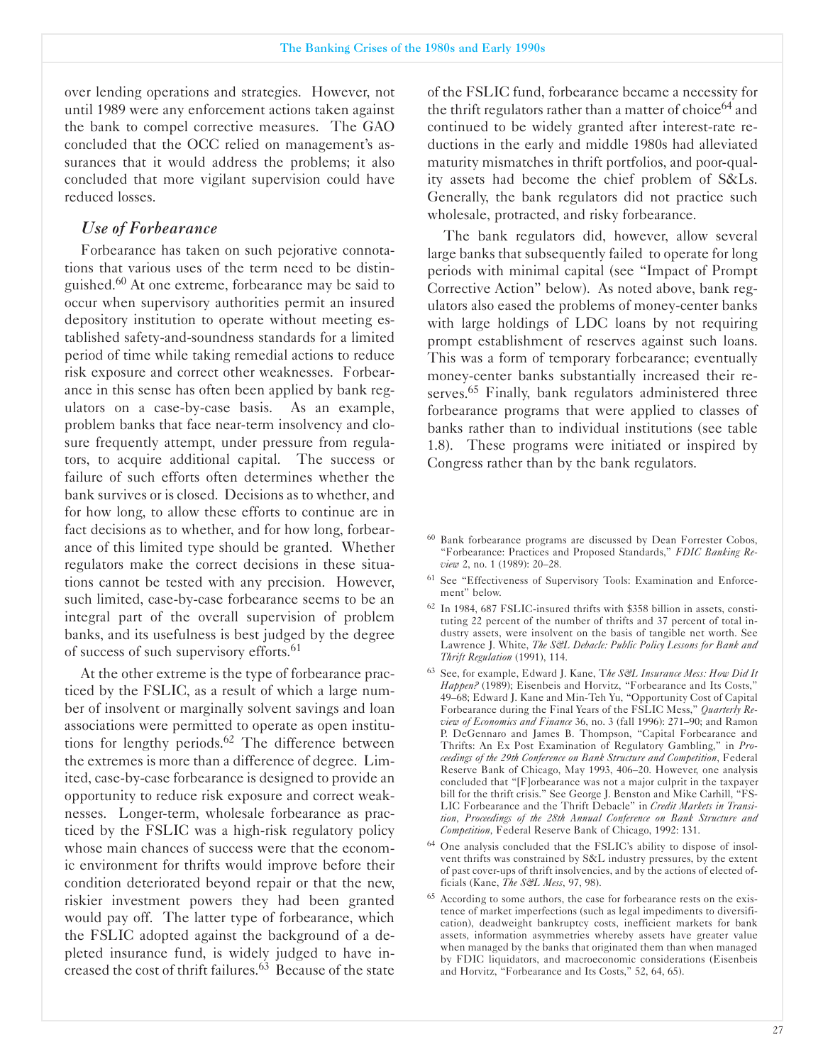over lending operations and strategies. However, not until 1989 were any enforcement actions taken against the bank to compel corrective measures. The GAO concluded that the OCC relied on management's assurances that it would address the problems; it also concluded that more vigilant supervision could have reduced losses.

### *Use of Forbearance*

Forbearance has taken on such pejorative connotations that various uses of the term need to be distinguished.<sup>60</sup> At one extreme, forbearance may be said to occur when supervisory authorities permit an insured depository institution to operate without meeting established safety-and-soundness standards for a limited period of time while taking remedial actions to reduce risk exposure and correct other weaknesses. Forbearance in this sense has often been applied by bank regulators on a case-by-case basis. As an example, problem banks that face near-term insolvency and closure frequently attempt, under pressure from regulators, to acquire additional capital. The success or failure of such efforts often determines whether the bank survives or is closed. Decisions as to whether, and for how long, to allow these efforts to continue are in fact decisions as to whether, and for how long, forbearance of this limited type should be granted. Whether regulators make the correct decisions in these situations cannot be tested with any precision. However, such limited, case-by-case forbearance seems to be an integral part of the overall supervision of problem banks, and its usefulness is best judged by the degree of success of such supervisory efforts.<sup>61</sup>

At the other extreme is the type of forbearance practiced by the FSLIC, as a result of which a large number of insolvent or marginally solvent savings and loan associations were permitted to operate as open institutions for lengthy periods.<sup>62</sup> The difference between the extremes is more than a difference of degree. Limited, case-by-case forbearance is designed to provide an opportunity to reduce risk exposure and correct weaknesses. Longer-term, wholesale forbearance as practiced by the FSLIC was a high-risk regulatory policy whose main chances of success were that the economic environment for thrifts would improve before their condition deteriorated beyond repair or that the new, riskier investment powers they had been granted would pay off. The latter type of forbearance, which the FSLIC adopted against the background of a depleted insurance fund, is widely judged to have increased the cost of thrift failures.63 Because of the state

of the FSLIC fund, forbearance became a necessity for the thrift regulators rather than a matter of choice<sup>64</sup> and continued to be widely granted after interest-rate reductions in the early and middle 1980s had alleviated maturity mismatches in thrift portfolios, and poor-quality assets had become the chief problem of S&Ls. Generally, the bank regulators did not practice such wholesale, protracted, and risky forbearance.

The bank regulators did, however, allow several large banks that subsequently failed to operate for long periods with minimal capital (see "Impact of Prompt Corrective Action" below). As noted above, bank regulators also eased the problems of money-center banks with large holdings of LDC loans by not requiring prompt establishment of reserves against such loans. This was a form of temporary forbearance; eventually money-center banks substantially increased their reserves.<sup>65</sup> Finally, bank regulators administered three forbearance programs that were applied to classes of banks rather than to individual institutions (see table 1.8). These programs were initiated or inspired by Congress rather than by the bank regulators.

- <sup>61</sup> See "Effectiveness of Supervisory Tools: Examination and Enforcement" below.
- $62$  In 1984,  $687$  FSLIC-insured thrifts with \$358 billion in assets, constituting 22 percent of the number of thrifts and 37 percent of total industry assets, were insolvent on the basis of tangible net worth. See Lawrence J. White, *The S&L Debacle: Public Policy Lessons for Bank and Thrift Regulation* (1991), 114.
- <sup>63</sup> See, for example, Edward J. Kane, T*he S&L Insurance Mess: How Did It* Happen? (1989); Eisenbeis and Horvitz, "Forbearance and Its Costs," 49-68; Edward J. Kane and MinTeh Yu, "Opportunity Cost of Capital Forbearance during the Final Years of the FSLIC Mess," *Quarterly Review of Economics and Finance* 36, no. 3 (fall 1996): 271-90; and Ramon P. DeGennaro and James B. Thompson, "Capital Forbearance and Thrifts: An Ex Post Examination of Regulatory Gambling," in *Proceedings of the 29th Conference on Bank Structure and Competition*, Federal Reserve Bank of Chicago, May 1993, 406-20. However, one analysis concluded that "[F]orbearance was not a major culprit in the taxpayer bill for the thrift crisis." See George J. Benston and Mike Carhill, "FS-LIC Forbearance and the Thrift Debacle" in *Credit Markets in Transition Proceedings of the 28th Annual Conference on Bank Structure and Competition, Federal Reserve Bank of Chicago, 1992: 131.*
- <sup>64</sup> One analysis concluded that the FSLIC's ability to dispose of insolvent thrifts was constrained by S&L industry pressures, by the extent of past cover-ups of thrift insolvencies, and by the actions of elected officials (Kane, *The S&L Mess*, 97, 98).
- <sup>65</sup> According to some authors, the case for forbearance rests on the existence of market imperfections (such as legal impediments to diversification), deadweight bankruptcy costs, inefficient markets for bank assets, information asymmetries whereby assets have greater value when managed by the banks that originated them than when managed by FDIC liquidators, and macroeconomic considerations (Eisenbeis and Horvitz, "Forbearance and Its Costs," 52, 64, 65).

<sup>60</sup> Bank forbearance programs are discussed by Dean Forrester Cobos, "Forbearance: Practices and Proposed Standards," *FDIC Banking Review* 2, no. 1 (1989): 20-28.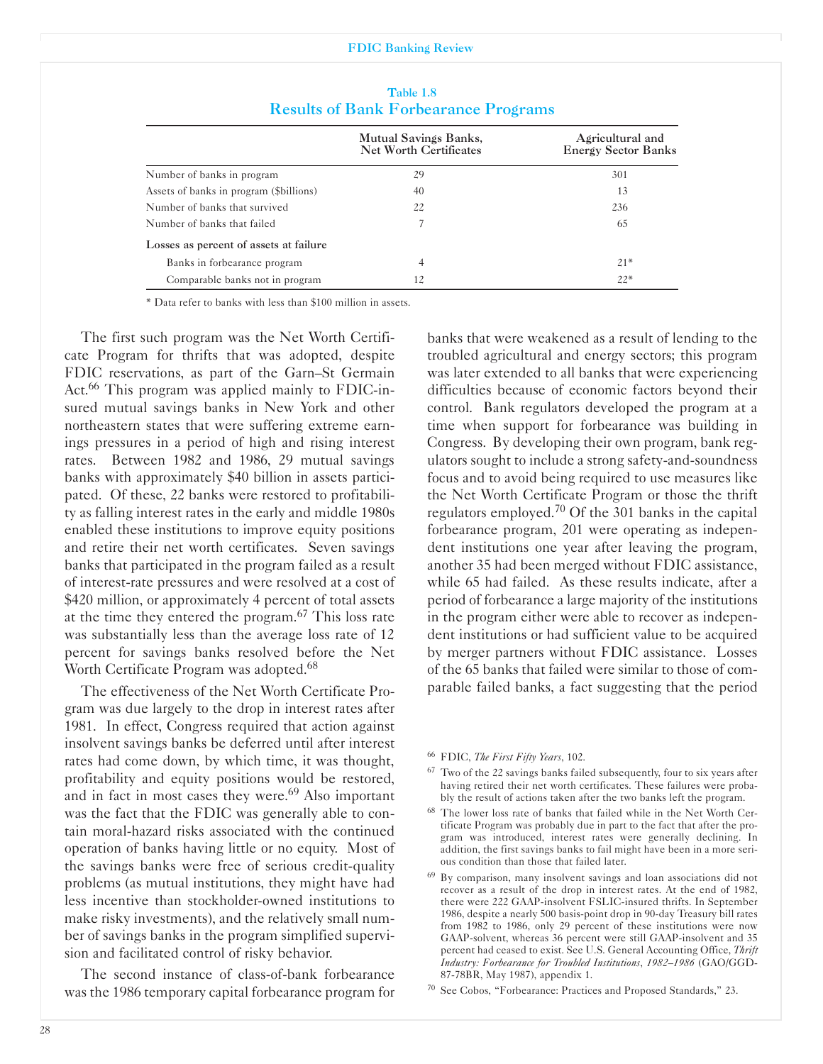#### FDIC Banking Review

|                                         | Mutual Savings Banks,         | Agricultural and           |
|-----------------------------------------|-------------------------------|----------------------------|
|                                         | <b>Net Worth Certificates</b> | <b>Energy Sector Banks</b> |
| Number of banks in program              | 29                            | 301                        |
| Assets of banks in program (\$billions) | 40                            | 13                         |
| Number of banks that survived           | 22                            | 236                        |
| Number of banks that failed             |                               | 65                         |
| Losses as percent of assets at failure  |                               |                            |
| Banks in forbearance program            | 4                             | $21*$                      |
| Comparable banks not in program         | 12                            | $22*$                      |

Table 1.8 Results of Bank Forbearance Programs

' Data refer to banks with less than \$100 million in assets.

The first such program was the Net Worth Certificate Program for thrifts that was adopted, despite FDIC reservations, as part of the Garn-St Germain Act.<sup>66</sup> This program was applied mainly to FDIC-insured mutual savings banks in New York and other northeastern states that were suffering extreme earnings pressures in a period of high and rising interest rates. Between 1982 and 1986, 29 mutual savings banks with approximately \$40 billion in assets participated. Of these, 22 banks were restored to profitability as falling interest rates in the early and middle 1980s enabled these institutions to improve equity positions and retire their net worth certificates. Seven savings banks that participated in the program failed as a result of interest-rate pressures and were resolved at a cost of \$420 million, or approximately 4 percent of total assets at the time they entered the program. $67$  This loss rate was substantially less than the average loss rate of 12 percent for savings banks resolved before the Net Worth Certificate Program was adopted.<sup>68</sup>

The effectiveness of the Net Worth Certificate Program was due largely to the drop in interest rates after 1981. In effect, Congress required that action against insolvent savings banks be deferred until after interest rates had come down, by which time, it was thought, profitability and equity positions would be restored, and in fact in most cases they were.<sup>69</sup> Also important was the fact that the FDIC was generally able to contain moral-hazard risks associated with the continued operation of banks having little or no equity. Most of the savings banks were free of serious credit-quality problems (as mutual institutions, they might have had less incentive than stockholder-owned institutions to make risky investments), and the relatively small number of savings banks in the program simplified supervision and facilitated control of risky behavior.

The second instance of class-of-bank forbearance was the 1986 temporary capital forbearance program for banks that were weakened as a result of lending to the troubled agricultural and energy sectors; this program was later extended to all banks that were experiencing difficulties because of economic factors beyond their control. Bank regulators developed the program at a time when support for forbearance was building in Congress. By developing their own program, bank regulators sought to include a strong safety-and-soundness focus and to avoid being required to use measures like the Net Worth Certificate Program or those the thrift regulators employed.<sup>70</sup> Of the 301 banks in the capital forbearance program, 201 were operating as independent institutions one year after leaving the program, another 35 had been merged without FDIC assistance, while 65 had failed. As these results indicate, after a period of forbearance a large majority of the institutions in the program either were able to recover as independent institutions or had sufficient value to be acquired by merger partners without FDIC assistance. Losses of the 65 banks that failed were similar to those of comparable failed banks, a fact suggesting that the period

<sup>66</sup> FDIC, *The First Fifty Years*, 102.

- <sup>67</sup> Two of the 22 savings banks failed subsequently, four to six years after having retired their net worth certificates. These failures were probably the result of actions taken after the two banks left the program.
- <sup>68</sup> The lower loss rate of banks that failed while in the Net Worth Certificate Program was probably due in part to the fact that after the program was introduced, interest rates were generally declining. In addition, the first savings banks to fail might have been in a more serious condition than those that failed later.
- <sup>69</sup> By comparison, many insolvent savings and loan associations did not recover as a result of the drop in interest rates. At the end of 1982, there were 222 GAAP-insolvent FSLIC-insured thrifts. In September 1986, despite a nearly 500 basis-point drop in 90-day Treasury bill rates from 1982 to 1986, only 29 percent of these institutions were now GAAP-solvent, whereas 36 percent were still GAAP-insolvent and 35 percent had ceased to exist. See U.S. General Accounting Office, *Thrift Industry: Forbearance for Troubled Institutions*, *1982-1986* (GAO/GGD-87-78BR, May 1987), appendix 1.
- <sup>70</sup> See Cobos, "Forbearance: Practices and Proposed Standards," 23.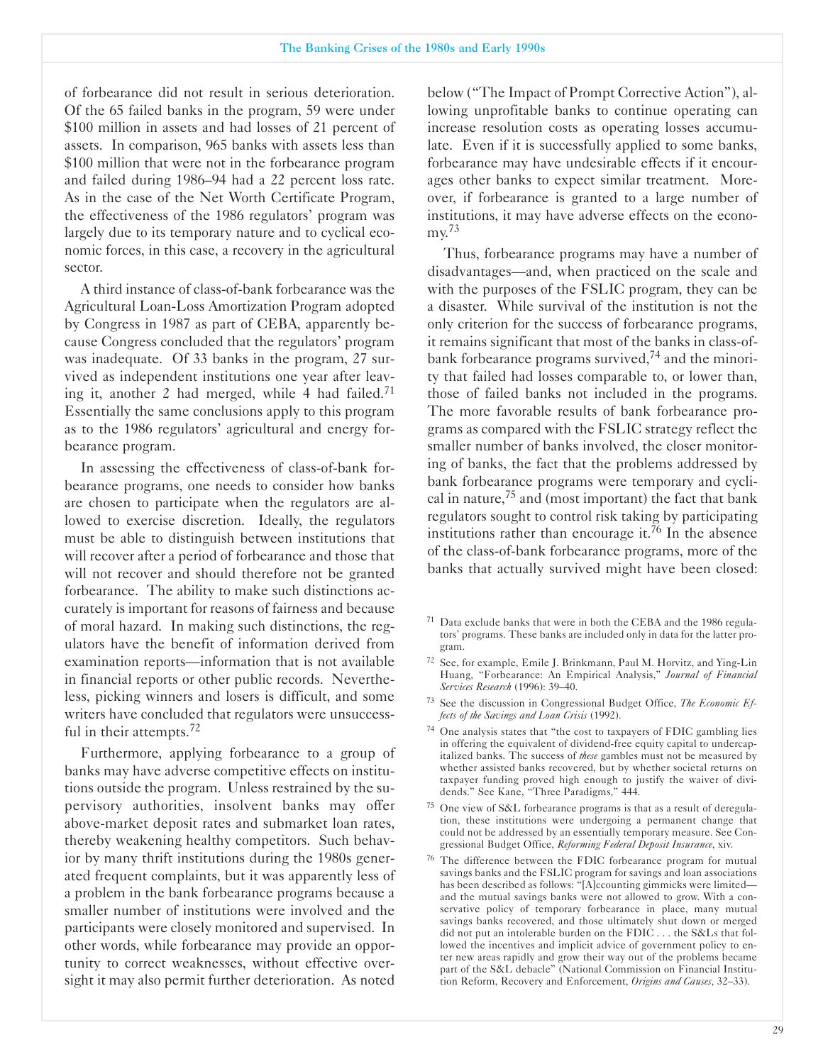of forbearance did not result in serious deterioration. Of the 65 failed banks in the program, 59 were under \$100 million in assets and had losses of 21 percent of assets. In comparison, 965 banks with assets less than \$100 million that were not in the forbearance program and failed during 1986-94 had a 22 percent loss rate. As in the case of the Net Worth Certificate Program, the effectiveness of the 1986 regulators' program was largely due to its temporary nature and to cyclical economic forces, in this case, a recovery in the agricultural sector.

A third instance of class-of-bank forbearance was the Agricultural Loan-Loss Amortization Program adopted by Congress in 1987 as part of CEBA, apparently because Congress concluded that the regulators' program was inadequate. Of 33 banks in the program, 27 survived as independent institutions one year after leaving it, another 2 had merged, while 4 had failed.<sup>71</sup> Essentially the same conclusions apply to this program as to the 1986 regulators' agricultural and energy forbearance program.

In assessing the effectiveness of class-of-bank forbearance programs, one needs to consider how banks are chosen to participate when the regulators are allowed to exercise discretion. Ideally, the regulators must be able to distinguish between institutions that will recover after a period of forbearance and those that will not recover and should therefore not be granted forbearance. The ability to make such distinctions accurately is important for reasons of fairness and because of moral hazard. In making such distinctions, the regulators have the benefit of information derived from examination reports—information that is not available in financial reports or other public records. Nevertheless, picking winners and losers is difficult, and some writers have concluded that regulators were unsuccessful in their attempts.<sup>72</sup>

Furthermore, applying forbearance to a group of banks may have adverse competitive effects on institutions outside the program. Unless restrained by the supervisory authorities, insolvent banks may offer above-market deposit rates and submarket loan rates, thereby weakening healthy competitors. Such behavior by many thrift institutions during the 1980s generated frequent complaints, but it was apparently less of a problem in the bank forbearance programs because a smaller number of institutions were involved and the participants were closely monitored and supervised. In other words, while forbearance may provide an opportunity to correct weaknesses, without effective oversight it may also permit further deterioration. As noted

below ("The Impact of Prompt Corrective Action"), allowing unprofitable banks to continue operating can increase resolution costs as operating losses accumulate. Even if it is successfully applied to some banks, forbearance may have undesirable effects if it encourages other banks to expect similar treatment. Moreover, if forbearance is granted to a large number of institutions, it may have adverse effects on the economy.73

Thus, forbearance programs may have a number of disadvantages—and, when practiced on the scale and with the purposes of the FSLIC program, they can be a disaster. While survival of the institution is not the only criterion for the success of forbearance programs, it remains significant that most of the banks in class-ofbank forbearance programs survived,<sup>74</sup> and the minority that failed had losses comparable to, or lower than, those of failed banks not included in the programs. The more favorable results of bank forbearance programs as compared with the FSLIC strategy reflect the smaller number of banks involved, the closer monitoring of banks, the fact that the problems addressed by bank forbearance programs were temporary and cyclical in nature,  $75$  and (most important) the fact that bank regulators sought to control risk taking by participating institutions rather than encourage it.<sup>76</sup> In the absence of the class-of-bank forbearance programs, more of the banks that actually survived might have been closed:

- $71$  Data exclude banks that were in both the CEBA and the 1986 regulators' programs. These banks are included only in data for the latter program.
- <sup>72</sup> See, for example, Emile J. Brinkmann, Paul M. Horvitz, and Ying-Lin Huang, "Forbearance: An Empirical Analysis," *Journal of Financial Services Research* (1996): 39-40.
- <sup>73</sup> See the discussion in Congressional Budget Office, *The Economic Effects of the Savings and Loan Crisis* (1992).
- <sup>74</sup> One analysis states that "the cost to taxpayers of FDIC gambling lies in offering the equivalent of dividend-free equity capital to undercapitalized banks. The success of *these* gambles must not be measured by whether assisted banks recovered, but by whether societal returns on taxpayer funding proved high enough to justify the waiver of dividends." See Kane, "Three Paradigms," 444.
- <sup>75</sup> One view of S&L forbearance programs is that as a result of deregulation, these institutions were undergoing a permanent change that could not be addressed by an essentially temporary measure. See Congressional Budget Office, *Reforming Federal Deposit Insurance*, xiv.
- <sup>76</sup> The difference between the FDIC forbearance program for mutual savings banks and the FSLIC program for savings and loan associations has been described as follows: "[A]ccounting gimmicks were limitedand the mutual savings banks were not allowed to grow. With a conservative policy of temporary forbearance in place, many mutual savings banks recovered, and those ultimately shut down or merged did not put an intolerable burden on the FDIC . . . the S&Ls that followed the incentives and implicit advice of government policy to enter new areas rapidly and grow their way out of the problems became part of the S&L debacle" (National Commission on Financial Institution Reform, Recovery and Enforcement, *Origins and Causes*, 32-33).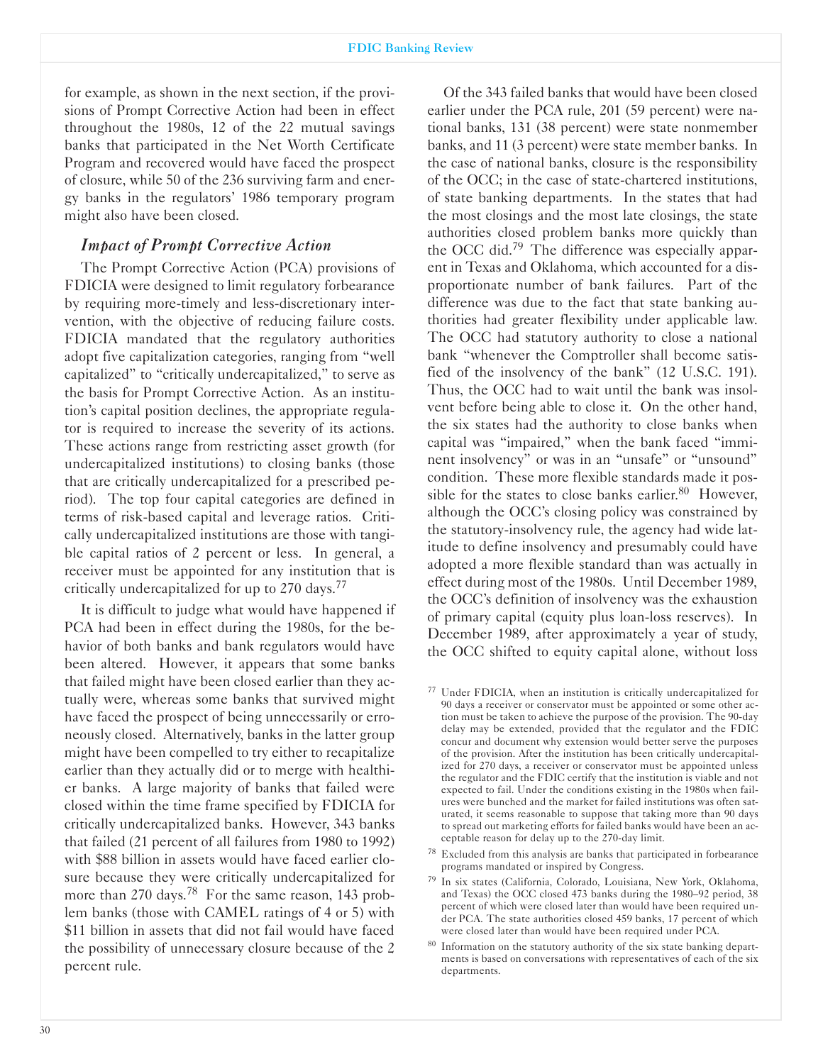#### FDIC Banking Review

for example, as shown in the next section, if the provisions of Prompt Corrective Action had been in effect throughout the 1980s, 12 of the 22 mutual savings banks that participated in the Net Worth Certificate Program and recovered would have faced the prospect of closure, while 50 of the 236 surviving farm and energy banks in the regulators' 1986 temporary program might also have been closed.

### *Impact of Prompt Corrective Action*

The Prompt Corrective Action (PCA) provisions of FDICIA were designed to limit regulatory forbearance by requiring more-timely and less-discretionary intervention, with the objective of reducing failure costs. FDICIA mandated that the regulatory authorities adopt five capitalization categories, ranging from "well capitalized" to "critically undercapitalized," to serve as the basis for Prompt Corrective Action. As an institution's capital position declines, the appropriate regulator is required to increase the severity of its actions. These actions range from restricting asset growth (for undercapitalized institutions) to closing banks (those that are critically undercapitalized for a prescribed period). The top four capital categories are defined in terms of risk-based capital and leverage ratios. Critically undercapitalized institutions are those with tangible capital ratios of 2 percent or less. In general, a receiver must be appointed for any institution that is critically undercapitalized for up to 270 days.<sup>77</sup>

It is difficult to judge what would have happened if PCA had been in effect during the 1980s, for the behavior of both banks and bank regulators would have been altered. However, it appears that some banks that failed might have been closed earlier than they actually were, whereas some banks that survived might have faced the prospect of being unnecessarily or erroneously closed. Alternatively, banks in the latter group might have been compelled to try either to recapitalize earlier than they actually did or to merge with healthier banks. A large majority of banks that failed were closed within the time frame specified by FDICIA for critically undercapitalized banks. However, 343 banks that failed (21 percent of all failures from 1980 to 1992) with \$88 billion in assets would have faced earlier closure because they were critically undercapitalized for more than 270 days.<sup>78</sup> For the same reason, 143 problem banks (those with CAMEL ratings of 4 or 5) with \$11 billion in assets that did not fail would have faced the possibility of unnecessary closure because of the 2 percent rule.

Of the 343 failed banks that would have been closed earlier under the PCA rule, 201 (59 percent) were national banks, 131 (38 percent) were state nonmember banks, and 11 (3 percent) were state member banks. In the case of national banks, closure is the responsibility of the OCC; in the case of state-chartered institutions, of state banking departments. In the states that had the most closings and the most late closings, the state authorities closed problem banks more quickly than the OCC did.<sup>79</sup> The difference was especially apparent in Texas and Oklahoma, which accounted for a disproportionate number of bank failures. Part of the difference was due to the fact that state banking authorities had greater flexibility under applicable law. The OCC had statutory authority to close a national bank "whenever the Comptroller shall become satisfied of the insolvency of the bank" (12 U.S.C. 191). Thus, the OCC had to wait until the bank was insolvent before being able to close it. On the other hand, the six states had the authority to close banks when capital was "impaired," when the bank faced "imminent insolvency" or was in an "unsafe" or "unsound" condition. These more flexible standards made it possible for the states to close banks earlier. $80$  However, although the OCC's closing policy was constrained by the statutory-insolvency rule, the agency had wide latitude to define insolvency and presumably could have adopted a more flexible standard than was actually in effect during most of the 1980s. Until December 1989, the OCC's definition of insolvency was the exhaustion of primary capital (equity plus loan-loss reserves). In December 1989, after approximately a year of study, the OCC shifted to equity capital alone, without loss

- <sup>78</sup> Excluded from this analysis are banks that participated in forbearance programs mandated or inspired by Congress.
- 79 In six states (California, Colorado, Louisiana, New York, Oklahoma, and Texas) the OCC closed 473 banks during the 1980-92 period, 38 percent of which were closed later than would have been required under PCA. The state authorities closed 459 banks, 17 percent of which were closed later than would have been required under PCA.
- 80 Information on the statutory authority of the six state banking departments is based on conversations with representatives of each of the six departments.

<sup>77</sup> Under FDICIA, when an institution is critically undercapitalized for 90 days a receiver or conservator must be appointed or some other action must be taken to achieve the purpose of the provision. The 90-day delay may be extended, provided that the regulator and the FDIC concur and document why extension would better serve the purposes of the provision. After the institution has been critically undercapitalized for 270 days, a receiver or conservator must be appointed unless the regulator and the FDIC certify that the institution is viable and not expected to fail. Under the conditions existing in the 1980s when failures were bunched and the market for failed institutions was often saturated, it seems reasonable to suppose that taking more than 90 days to spread out marketing efforts for failed banks would have been an acceptable reason for delay up to the 270-day limit.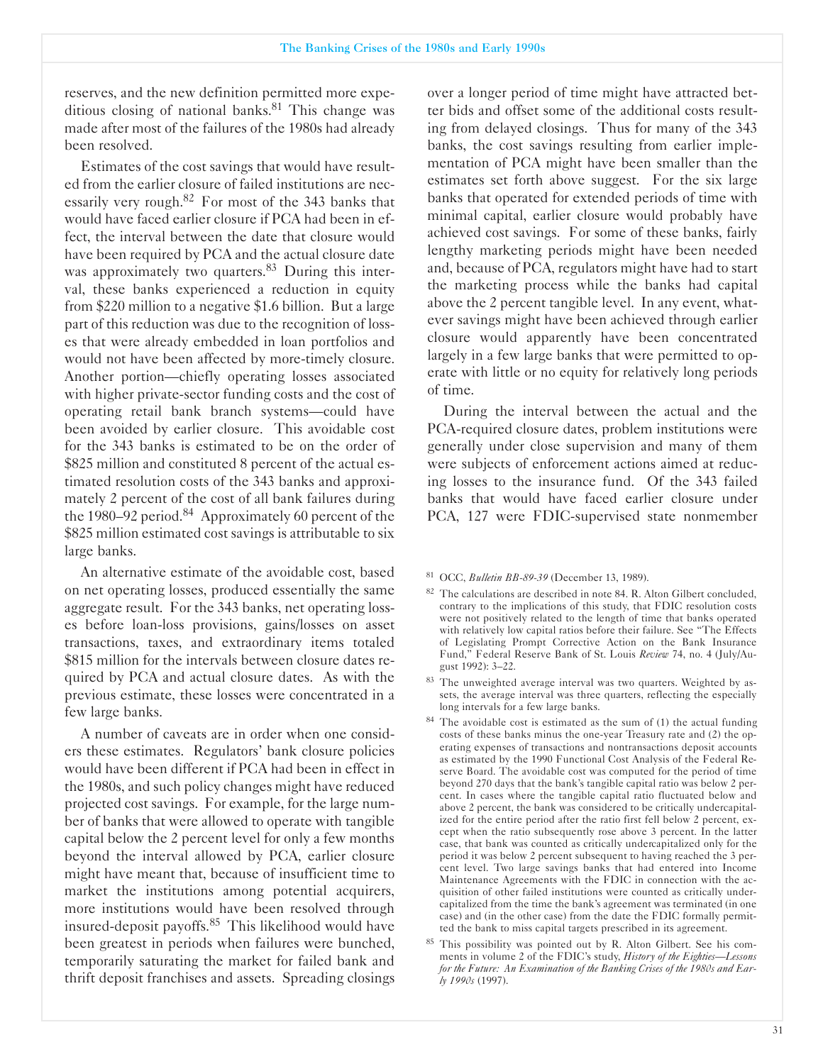reserves, and the new definition permitted more expeditious closing of national banks. $81$  This change was made after most of the failures of the 1980s had already been resolved.

Estimates of the cost savings that would have resulted from the earlier closure of failed institutions are necessarily very rough.<sup>82</sup> For most of the 343 banks that would have faced earlier closure if PCA had been in effect, the interval between the date that closure would have been required by PCA and the actual closure date was approximately two quarters.<sup>83</sup> During this interval, these banks experienced a reduction in equity from \$220 million to a negative \$1.6 billion. But a large part of this reduction was due to the recognition of losses that were already embedded in loan portfolios and would not have been affected by more-timely closure. Another portion-chiefly operating losses associated with higher private-sector funding costs and the cost of operating retail bank branch systems-could have been avoided by earlier closure. This avoidable cost for the 343 banks is estimated to be on the order of \$825 million and constituted 8 percent of the actual estimated resolution costs of the 343 banks and approximately 2 percent of the cost of all bank failures during the 1980–92 period.<sup>84</sup> Approximately 60 percent of the \$825 million estimated cost savings is attributable to six large banks.

An alternative estimate of the avoidable cost, based on net operating losses, produced essentially the same aggregate result. For the 343 banks, net operating losses before loan-loss provisions, gains/losses on asset transactions, taxes, and extraordinary items totaled \$815 million for the intervals between closure dates required by PCA and actual closure dates. As with the previous estimate, these losses were concentrated in a few large banks.

A number of caveats are in order when one considers these estimates. Regulators' bank closure policies would have been different if PCA had been in effect in the 1980s, and such policy changes might have reduced projected cost savings. For example, for the large number of banks that were allowed to operate with tangible capital below the 2 percent level for only a few months beyond the interval allowed by PCA, earlier closure might have meant that, because of insufficient time to market the institutions among potential acquirers, more institutions would have been resolved through insured-deposit payoffs.<sup>85</sup> This likelihood would have been greatest in periods when failures were bunched, temporarily saturating the market for failed bank and thrift deposit franchises and assets. Spreading closings

over a longer period of time might have attracted better bids and offset some of the additional costs resulting from delayed closings. Thus for many of the 343 banks, the cost savings resulting from earlier implementation of PCA might have been smaller than the estimates set forth above suggest. For the six large banks that operated for extended periods of time with minimal capital, earlier closure would probably have achieved cost savings. For some of these banks, fairly lengthy marketing periods might have been needed and, because of PCA, regulators might have had to start the marketing process while the banks had capital above the 2 percent tangible level. In any event, whatever savings might have been achieved through earlier closure would apparently have been concentrated largely in a few large banks that were permitted to operate with little or no equity for relatively long periods of time.

During the interval between the actual and the PCA-required closure dates, problem institutions were generally under close supervision and many of them were subjects of enforcement actions aimed at reducing losses to the insurance fund. Of the 343 failed banks that would have faced earlier closure under PCA, 127 were FDIC-supervised state nonmember

<sup>81</sup> OCC, *Bulletin BB-89-39* (December 13, 1989).

- <sup>82</sup> The calculations are described in note 84. R. Alton Gilbert concluded, contrary to the implications of this study, that FDIC resolution costs were not positively related to the length of time that banks operated with relatively low capital ratios before their failure. See "The Effects of Legislating Prompt Corrective Action on the Bank Insurance Fund," Federal Reserve Bank of St. Louis *Review* 74, no. 4 (July/August 1992): 3-22.
- 83 The unweighted average interval was two quarters. Weighted by assets, the average interval was three quarters, reflecting the especially long intervals for a few large banks.
- 84 The avoidable cost is estimated as the sum of (1) the actual funding costs of these banks minus the one-year Treasury rate and  $(2)$  the operating expenses of transactions and nontransactions deposit accounts as estimated by the 1990 Functional Cost Analysis of the Federal Reserve Board. The avoidable cost was computed for the period of time beyond 270 days that the bank's tangible capital ratio was below 2 percent. In cases where the tangible capital ratio fluctuated below and above 2 percent, the bank was considered to be critically undercapitalized for the entire period after the ratio first fell below 2 percent, except when the ratio subsequently rose above 3 percent. In the latter case, that bank was counted as critically undercapitalized only for the period it was below 2 percent subsequent to having reached the 3 percent level. Two large savings banks that had entered into Income Maintenance Agreements with the FDIC in connection with the acquisition of other failed institutions were counted as critically undercapitalized from the time the bank's agreement was terminated (in one case) and (in the other case) from the date the FDIC formally permitted the bank to miss capital targets prescribed in its agreement.
- <sup>85</sup> This possibility was pointed out by R. Alton Gilbert. See his comments in volume 2 of the FDIC's study, *History of the Eighties-Lessons for the Future: An Examination of the Banking Crises of the 1980s and Early 1990s* (1997).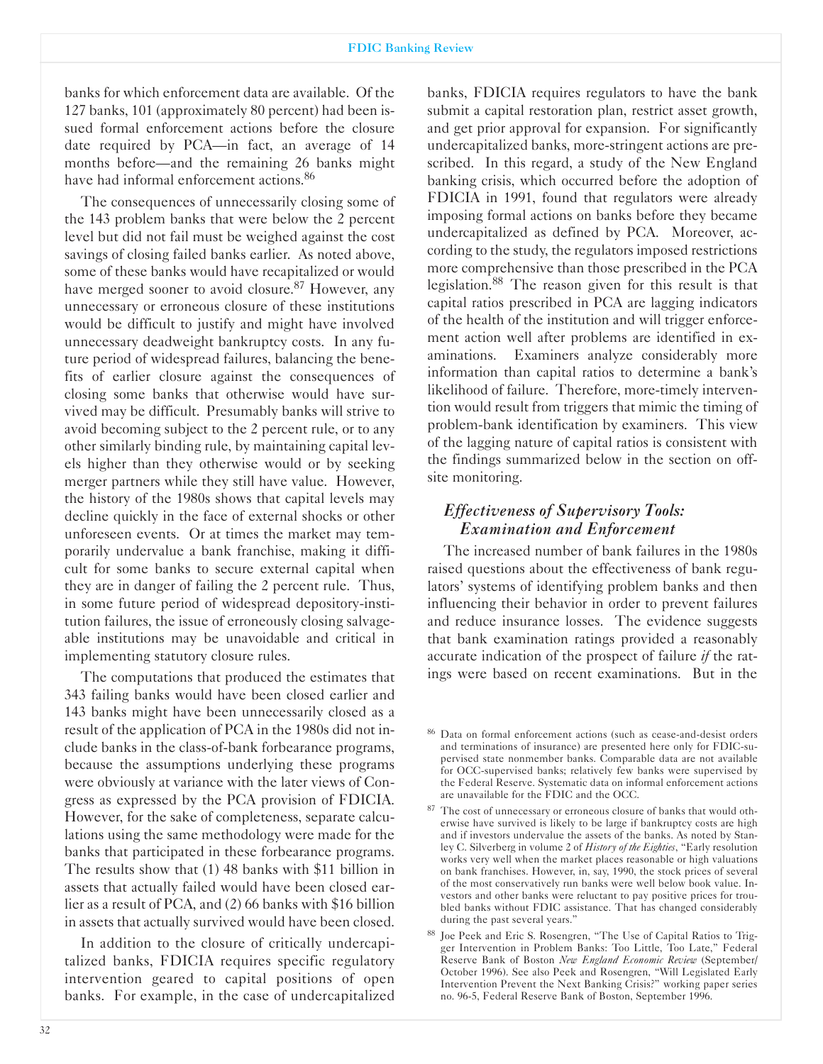banks for which enforcement data are available. Of the 127 banks, 101 (approximately 80 percent) had been issued formal enforcement actions before the closure date required by PCA—in fact, an average of 14 months before-and the remaining 26 banks might have had informal enforcement actions.<sup>86</sup>

The consequences of unnecessarily closing some of the 143 problem banks that were below the 2 percent level but did not fail must be weighed against the cost savings of closing failed banks earlier. As noted above, some of these banks would have recapitalized or would have merged sooner to avoid closure.<sup>87</sup> However, any unnecessary or erroneous closure of these institutions would be difficult to justify and might have involved unnecessary deadweight bankruptcy costs. In any future period of widespread failures, balancing the benefits of earlier closure against the consequences of closing some banks that otherwise would have survived may be difficult. Presumably banks will strive to avoid becoming subject to the 2 percent rule, or to any other similarly binding rule, by maintaining capital levels higher than they otherwise would or by seeking merger partners while they still have value. However, the history of the 1980s shows that capital levels may decline quickly in the face of external shocks or other unforeseen events. Or at times the market may temporarily undervalue a bank franchise, making it difficult for some banks to secure external capital when they are in danger of failing the 2 percent rule. Thus, in some future period of widespread depository-institution failures, the issue of erroneously closing salvageable institutions may be unavoidable and critical in implementing statutory closure rules.

The computations that produced the estimates that 343 failing banks would have been closed earlier and 143 banks might have been unnecessarily closed as a result of the application of PCA in the 1980s did not include banks in the class-of-bank forbearance programs, because the assumptions underlying these programs were obviously at variance with the later views of Congress as expressed by the PCA provision of FDICIA. However, for the sake of completeness, separate calculations using the same methodology were made for the banks that participated in these forbearance programs. The results show that (1) 48 banks with \$11 billion in assets that actually failed would have been closed earlier as a result of PCA, and (2) 66 banks with \$16 billion in assets that actually survived would have been closed.

In addition to the closure of critically undercapitalized banks, FDICIA requires specific regulatory intervention geared to capital positions of open banks. For example, in the case of undercapitalized banks, FDICIA requires regulators to have the bank submit a capital restoration plan, restrict asset growth, and get prior approval for expansion. For significantly undercapitalized banks, more-stringent actions are prescribed. In this regard, a study of the New England banking crisis, which occurred before the adoption of FDICIA in 1991, found that regulators were already imposing formal actions on banks before they became undercapitalized as defined by PCA. Moreover, according to the study, the regulators imposed restrictions more comprehensive than those prescribed in the PCA legislation.88 The reason given for this result is that capital ratios prescribed in PCA are lagging indicators of the health of the institution and will trigger enforcement action well after problems are identified in examinations. Examiners analyze considerably more information than capital ratios to determine a bank's likelihood of failure. Therefore, more-timely intervention would result from triggers that mimic the timing of problem-bank identification by examiners. This view of the lagging nature of capital ratios is consistent with the findings summarized below in the section on offsite monitoring.

# *Effectiveness of Supervisory Tools: Examination and Enforcement*

The increased number of bank failures in the 1980s raised questions about the effectiveness of bank regulators' systems of identifying problem banks and then influencing their behavior in order to prevent failures and reduce insurance losses. The evidence suggests that bank examination ratings provided a reasonably accurate indication of the prospect of failure *if* the ratings were based on recent examinations. But in the

<sup>&</sup>lt;sup>86</sup> Data on formal enforcement actions (such as cease-and-desist orders and terminations of insurance) are presented here only for FDIC-supervised state nonmember banks. Comparable data are not available for OCC-supervised banks; relatively few banks were supervised by the Federal Reserve. Systematic data on informal enforcement actions are unavailable for the FDIC and the OCC.

<sup>87</sup> The cost of unnecessary or erroneous closure of banks that would otherwise have survived is likely to be large if bankruptcy costs are high and if investors undervalue the assets of the banks. As noted by Stanley C. Silverberg in volume 2 of *History of the Eighties*, "Early resolution works very well when the market places reasonable or high valuations on bank franchises. However, in, say, 1990, the stock prices of several of the most conservatively run banks were well below book value. Investors and other banks were reluctant to pay positive prices for troubled banks without FDIC assistance. That has changed considerably during the past several years."

<sup>88</sup> Joe Peek and Eric S. Rosengren, "The Use of Capital Ratios to Trigger Intervention in Problem Banks: Too Little, Too Late," Federal Reserve Bank of Boston *New England Economic Review* (September/ October 1996). See also Peek and Rosengren, "Will Legislated Early Intervention Prevent the Next Banking Crisis?" working paper series no. 96-5, Federal Reserve Bank of Boston, September 1996.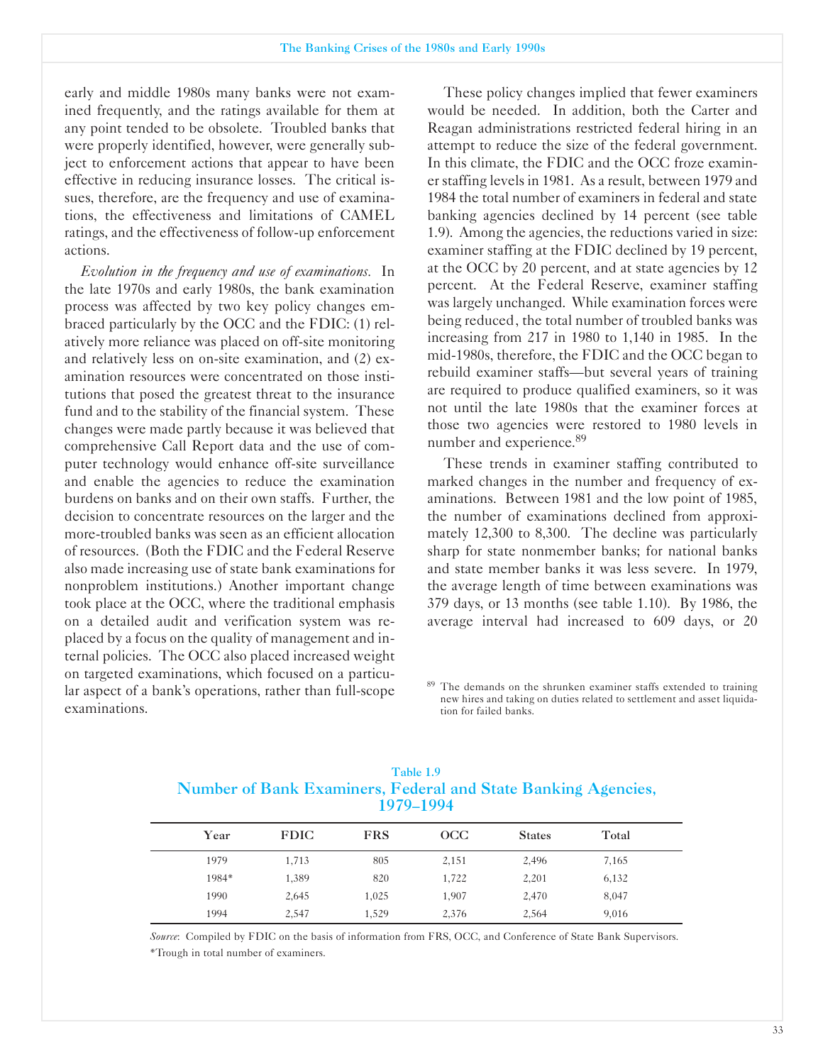early and middle 1980s many banks were not examined frequently, and the ratings available for them at any point tended to be obsolete. Troubled banks that were properly identified, however, were generally subject to enforcement actions that appear to have been effective in reducing insurance losses. The critical issues, therefore, are the frequency and use of examinations, the effectiveness and limitations of CAMEL ratings, and the effectiveness of follow-up enforcement actions.

*Evolution in the frequency and use of examinations.* In the late 1970s and early 1980s, the bank examination process was affected by two key policy changes embraced particularly by the OCC and the FDIC: (1) relatively more reliance was placed on off-site monitoring and relatively less on on-site examination, and  $(2)$  examination resources were concentrated on those institutions that posed the greatest threat to the insurance fund and to the stability of the financial system. These changes were made partly because it was believed that comprehensive Call Report data and the use of computer technology would enhance off-site surveillance and enable the agencies to reduce the examination burdens on banks and on their own staffs. Further, the decision to concentrate resources on the larger and the more-troubled banks was seen as an efficient allocation of resources. (Both the FDIC and the Federal Reserve also made increasing use of state bank examinations for nonproblem institutions.) Another important change took place at the OCC, where the traditional emphasis on a detailed audit and verification system was replaced by a focus on the quality of management and internal policies. The OCC also placed increased weight on targeted examinations, which focused on a particular aspect of a bank's operations, rather than full-scope examinations.

These policy changes implied that fewer examiners would be needed. In addition, both the Carter and Reagan administrations restricted federal hiring in an attempt to reduce the size of the federal government. In this climate, the FDIC and the OCC froze examiner staffing levels in 1981. As a result, between 1979 and 1984 the total number of examiners in federal and state banking agencies declined by 14 percent (see table 1.9). Among the agencies, the reductions varied in size: examiner staffing at the FDIC declined by 19 percent, at the OCC by 20 percent, and at state agencies by 12 percent. At the Federal Reserve, examiner staffing was largely unchanged. While examination forces were being reduced, the total number of troubled banks was increasing from 217 in 1980 to 1,140 in 1985. In the mid-1980s, therefore, the FDIC and the OCC began to rebuild examiner staffs-but several years of training are required to produce qualified examiners, so it was not until the late 1980s that the examiner forces at those two agencies were restored to 1980 levels in number and experience.<sup>89</sup>

These trends in examiner staffing contributed to marked changes in the number and frequency of examinations. Between 1981 and the low point of 1985, the number of examinations declined from approximately 12,300 to 8,300. The decline was particularly sharp for state nonmember banks; for national banks and state member banks it was less severe. In 1979, the average length of time between examinations was 379 days, or 13 months (see table 1.10). By 1986, the average interval had increased to 609 days, or 20

<sup>89</sup> The demands on the shrunken examiner staffs extended to training new hires and taking on duties related to settlement and asset liquidation for failed banks.

| Number of Bank Examiners, Federal and State Banking Agencies,<br>1979–1994 |             |            |     |               |       |  |
|----------------------------------------------------------------------------|-------------|------------|-----|---------------|-------|--|
| Year                                                                       | <b>FDIC</b> | <b>FRS</b> | OCC | <b>States</b> | Total |  |

1979 1,713 805 2,151 2,496 7,165 1984\* 1,389 820 1,722 2,201 6,132 1990 2,645 1,025 1,907 2,470 8,047 1994 2,547 1,529 2,376 2,564 9,016

|                                                               | Table 1.9 |  |  |
|---------------------------------------------------------------|-----------|--|--|
| Number of Bank Examiners, Federal and State Banking Agencies, |           |  |  |
|                                                               | 1979–1994 |  |  |

*Source*: Compiled by FDIC on the basis of information from FRS, OCC, and Conference of State Bank Supervisors. 'Trough in total number of examiners.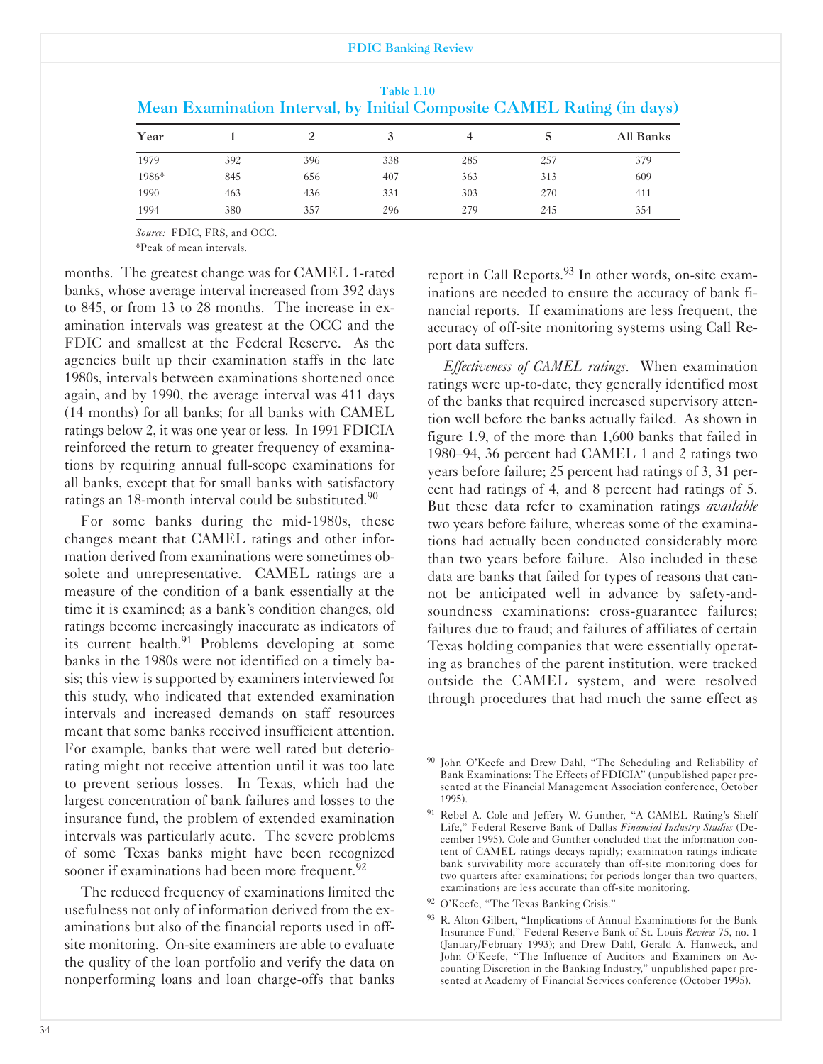#### FDIC Banking Review

|       |     |     |     |     |     | Mean Examination Interval, by Initial Composite CAMEL Rating (in days) |
|-------|-----|-----|-----|-----|-----|------------------------------------------------------------------------|
| Year  |     |     |     |     |     | All Banks                                                              |
| 1979  | 392 | 396 | 338 | 285 | 257 | 379                                                                    |
| 1986* | 845 | 656 | 407 | 363 | 313 | 609                                                                    |
| 1990  | 463 | 436 | 331 | 303 | 270 | 411                                                                    |
| 1994  | 380 | 357 | 296 | 279 | 245 | 354                                                                    |

|                                                                        | Table 1.10 |  |  |  |
|------------------------------------------------------------------------|------------|--|--|--|
| Mean Examination Interval, by Initial Composite CAMEL Rating (in days) |            |  |  |  |

*Source:* FDIC, FRS, and OCC.

'Peak of mean intervals.

months. The greatest change was for CAMEL 1-rated banks, whose average interval increased from 392 days to 845, or from 13 to 28 months. The increase in examination intervals was greatest at the OCC and the FDIC and smallest at the Federal Reserve. As the agencies built up their examination staffs in the late 1980s, intervals between examinations shortened once again, and by 1990, the average interval was 411 days (14 months) for all banks; for all banks with CAMEL ratings below 2, it was one year or less. In 1991 FDICIA reinforced the return to greater frequency of examinations by requiring annual fullscope examinations for all banks, except that for small banks with satisfactory ratings an 18-month interval could be substituted. $90$ 

For some banks during the mid-1980s, these changes meant that CAMEL ratings and other information derived from examinations were sometimes obsolete and unrepresentative. CAMEL ratings are a measure of the condition of a bank essentially at the time it is examined; as a bank's condition changes, old ratings become increasingly inaccurate as indicators of its current health.<sup>91</sup> Problems developing at some banks in the 1980s were not identified on a timely basis; this view is supported by examiners interviewed for this study, who indicated that extended examination intervals and increased demands on staff resources meant that some banks received insufficient attention. For example, banks that were well rated but deteriorating might not receive attention until it was too late to prevent serious losses. In Texas, which had the largest concentration of bank failures and losses to the insurance fund, the problem of extended examination intervals was particularly acute. The severe problems of some Texas banks might have been recognized sooner if examinations had been more frequent.<sup>92</sup>

The reduced frequency of examinations limited the usefulness not only of information derived from the examinations but also of the financial reports used in offsite monitoring. On-site examiners are able to evaluate the quality of the loan portfolio and verify the data on nonperforming loans and loan charge-offs that banks report in Call Reports.<sup>93</sup> In other words, on-site examinations are needed to ensure the accuracy of bank financial reports. If examinations are less frequent, the accuracy of off-site monitoring systems using Call Report data suffers.

*Effectiveness of CAMEL ratings.* When examination ratings were up-to-date, they generally identified most of the banks that required increased supervisory attention well before the banks actually failed. As shown in figure 1.9, of the more than 1,600 banks that failed in 1980-94, 36 percent had CAMEL 1 and 2 ratings two years before failure; 25 percent had ratings of 3, 31 percent had ratings of 4, and 8 percent had ratings of 5. But these data refer to examination ratings *available* two years before failure, whereas some of the examinations had actually been conducted considerably more than two years before failure. Also included in these data are banks that failed for types of reasons that cannot be anticipated well in advance by safety-andsoundness examinations: cross-guarantee failures; failures due to fraud; and failures of affiliates of certain Texas holding companies that were essentially operating as branches of the parent institution, were tracked outside the CAMEL system, and were resolved through procedures that had much the same effect as

<sup>&</sup>lt;sup>90</sup> John O'Keefe and Drew Dahl, "The Scheduling and Reliability of Bank Examinations: The Effects of FDICIA" (unpublished paper presented at the Financial Management Association conference, October 1995).

<sup>&</sup>lt;sup>91</sup> Rebel A. Cole and Jeffery W. Gunther, "A CAMEL Rating's Shelf Life," Federal Reserve Bank of Dallas *Financial Industry Studies* (December 1995). Cole and Gunther concluded that the information content of CAMEL ratings decays rapidly; examination ratings indicate bank survivability more accurately than off-site monitoring does for two quarters after examinations; for periods longer than two quarters, examinations are less accurate than off-site monitoring.

<sup>92</sup> O'Keefe, "The Texas Banking Crisis."

<sup>93</sup> R. Alton Gilbert, "Implications of Annual Examinations for the Bank Insurance Fund," Federal Reserve Bank of St. Louis *Review* 75, no. 1 (January/February 1993); and Drew Dahl, Gerald A. Hanweck, and John O'Keefe, "The Influence of Auditors and Examiners on Accounting Discretion in the Banking Industry," unpublished paper presented at Academy of Financial Services conference (October 1995).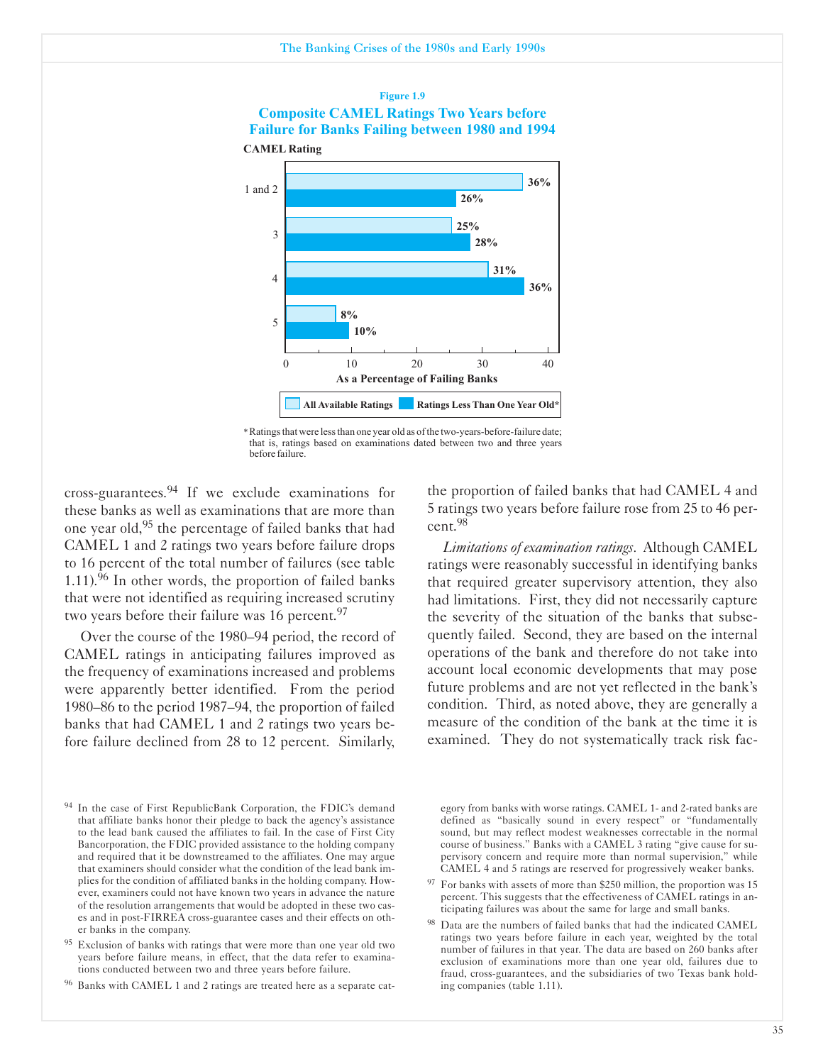## **Figure 1.9 Composite CAMEL Ratings Two Years before Failure for Banks Failing between 1980 and 1994 CAMEL Rating**



\*Ratingsthat were lessthan one year old as ofthe two-years-before-failure date; that is, ratings based on examinations dated between two and three years before failure.

cross-guarantees. $94$  If we exclude examinations for these banks as well as examinations that are more than one year old,95 the percentage of failed banks that had CAMEL 1 and 2 ratings two years before failure drops to 16 percent of the total number of failures (see table 1.11).<sup>96</sup> In other words, the proportion of failed banks that were not identified as requiring increased scrutiny two years before their failure was 16 percent.<sup>97</sup>

Over the course of the 1980-94 period, the record of CAMEL ratings in anticipating failures improved as the frequency of examinations increased and problems were apparently better identified. From the period 1980-86 to the period 1987-94, the proportion of failed banks that had CAMEL 1 and 2 ratings two years before failure declined from 28 to 12 percent. Similarly,

the proportion of failed banks that had CAMEL 4 and 5 ratings two years before failure rose from 25 to 46 percent.98

*Limitations of examination ratings.* Although CAMEL ratings were reasonably successful in identifying banks that required greater supervisory attention, they also had limitations. First, they did not necessarily capture the severity of the situation of the banks that subsequently failed. Second, they are based on the internal operations of the bank and therefore do not take into account local economic developments that may pose future problems and are not yet reflected in the bank's condition. Third, as noted above, they are generally a measure of the condition of the bank at the time it is examined. They do not systematically track risk fac-

egory from banks with worse ratings. CAMEL 1- and 2-rated banks are defined as "basically sound in every respect" or "fundamentally sound, but may reflect modest weaknesses correctable in the normal course of business." Banks with a CAMEL 3 rating "give cause for supervisory concern and require more than normal supervision," while CAMEL 4 and 5 ratings are reserved for progressively weaker banks.

- <sup>97</sup> For banks with assets of more than \$250 million, the proportion was 15 percent. This suggests that the effectiveness of CAMEL ratings in anticipating failures was about the same for large and small banks.
- Data are the numbers of failed banks that had the indicated CAMEL ratings two years before failure in each year, weighted by the total number of failures in that year. The data are based on 260 banks after exclusion of examinations more than one year old, failures due to fraud, cross-guarantees, and the subsidiaries of two Texas bank holding companies (table 1.11).

In the case of First RepublicBank Corporation, the FDIC's demand that affiliate banks honor their pledge to back the agency's assistance to the lead bank caused the affiliates to fail. In the case of First City Bancorporation, the FDIC provided assistance to the holding company and required that it be downstreamed to the affiliates. One may argue that examiners should consider what the condition of the lead bank implies for the condition of affiliated banks in the holding company. However, examiners could not have known two years in advance the nature of the resolution arrangements that would be adopted in these two cases and in post-FIRREA cross-guarantee cases and their effects on other banks in the company.

Exclusion of banks with ratings that were more than one year old two years before failure means, in effect, that the data refer to examinations conducted between two and three years before failure.

<sup>96</sup> Banks with CAMEL 1 and 2 ratings are treated here as a separate cat-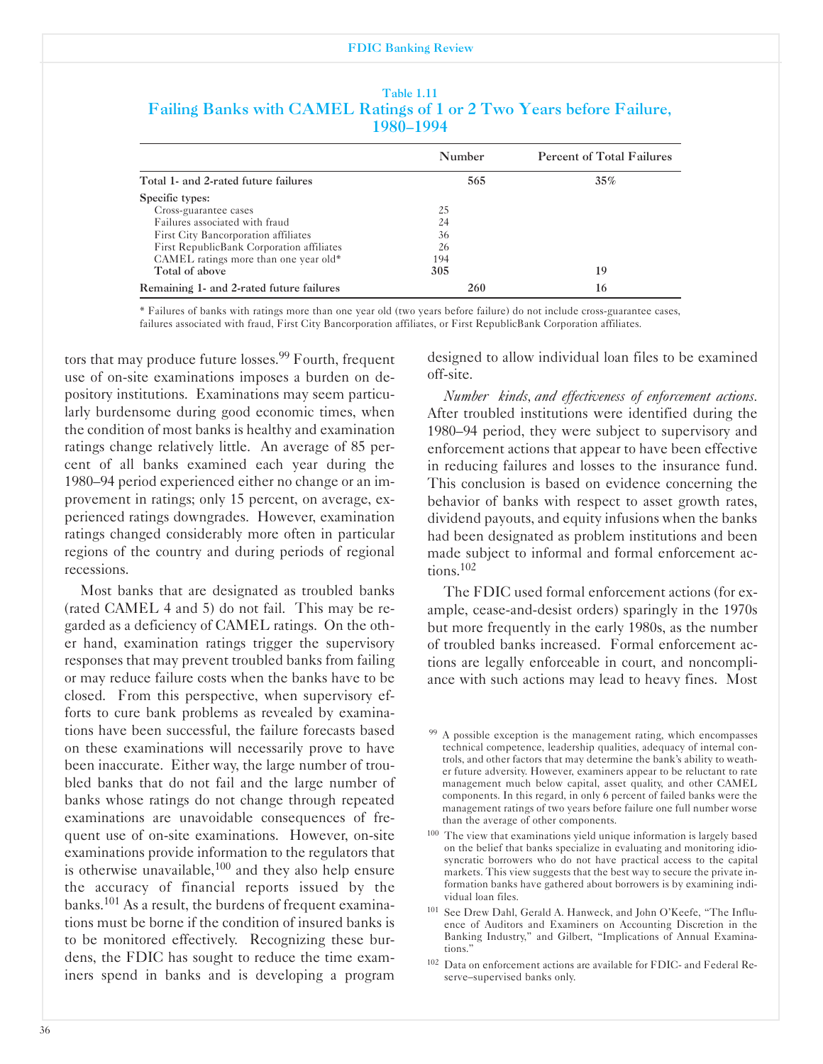| Table 1.11 |           |  |                                                                      |  |  |  |  |
|------------|-----------|--|----------------------------------------------------------------------|--|--|--|--|
|            |           |  | Failing Banks with CAMEL Ratings of 1 or 2 Two Years before Failure, |  |  |  |  |
|            | 1980–1994 |  |                                                                      |  |  |  |  |

|                                           | Number | Percent of Total Failures |
|-------------------------------------------|--------|---------------------------|
| Total 1- and 2-rated future failures      | 565    | 35%                       |
| Specific types:                           |        |                           |
| Cross-guarantee cases                     | 25     |                           |
| Failures associated with fraud            | 24     |                           |
| First City Bancorporation affiliates      | 36     |                           |
| First RepublicBank Corporation affiliates | 26     |                           |
| CAMEL ratings more than one year old*     | 194    |                           |
| Total of above                            | 305    | 19                        |
| Remaining 1- and 2-rated future failures  | 260    | 16                        |

' Failures of banks with ratings more than one year old (two years before failure) do not include crossguarantee cases, failures associated with fraud, First City Bancorporation affiliates, or First RepublicBank Corporation affiliates.

tors that may produce future losses.<sup>99</sup> Fourth, frequent use of on-site examinations imposes a burden on depository institutions. Examinations may seem particularly burdensome during good economic times, when the condition of most banks is healthy and examination ratings change relatively little. An average of 85 percent of all banks examined each year during the 1980-94 period experienced either no change or an improvement in ratings; only 15 percent, on average, experienced ratings downgrades. However, examination ratings changed considerably more often in particular regions of the country and during periods of regional recessions.

Most banks that are designated as troubled banks (rated CAMEL 4 and 5) do not fail. This may be regarded as a deficiency of CAMEL ratings. On the other hand, examination ratings trigger the supervisory responses that may prevent troubled banks from failing or may reduce failure costs when the banks have to be closed. From this perspective, when supervisory efforts to cure bank problems as revealed by examinations have been successful, the failure forecasts based on these examinations will necessarily prove to have been inaccurate. Either way, the large number of troubled banks that do not fail and the large number of banks whose ratings do not change through repeated examinations are unavoidable consequences of frequent use of on-site examinations. However, on-site examinations provide information to the regulators that is otherwise unavailable, $100$  and they also help ensure the accuracy of financial reports issued by the banks.<sup>101</sup> As a result, the burdens of frequent examinations must be borne if the condition of insured banks is to be monitored effectively. Recognizing these burdens, the FDIC has sought to reduce the time examiners spend in banks and is developing a program

designed to allow individual loan files to be examined off-site.

*Number kinds and effectiveness of enforcement actions.* After troubled institutions were identified during the 1980-94 period, they were subject to supervisory and enforcement actions that appear to have been effective in reducing failures and losses to the insurance fund. This conclusion is based on evidence concerning the behavior of banks with respect to asset growth rates, dividend payouts, and equity infusions when the banks had been designated as problem institutions and been made subject to informal and formal enforcement actions.102

The FDIC used formal enforcement actions (for example, cease-and-desist orders) sparingly in the 1970s but more frequently in the early 1980s, as the number of troubled banks increased. Formal enforcement actions are legally enforceable in court, and noncompliance with such actions may lead to heavy fines. Most

<sup>&</sup>lt;sup>99</sup> A possible exception is the management rating, which encompasses technical competence, leadership qualities, adequacy of internal controls, and other factors that may determine the bank's ability to weather future adversity. However, examiners appear to be reluctant to rate management much below capital, asset quality, and other CAMEL components. In this regard, in only 6 percent of failed banks were the management ratings of two years before failure one full number worse than the average of other components.

<sup>&</sup>lt;sup>100</sup> The view that examinations yield unique information is largely based on the belief that banks specialize in evaluating and monitoring idiosyncratic borrowers who do not have practical access to the capital markets. This view suggests that the best way to secure the private information banks have gathered about borrowers is by examining individual loan files.

<sup>&</sup>lt;sup>101</sup> See Drew Dahl, Gerald A. Hanweck, and John O'Keefe, "The Influence of Auditors and Examiners on Accounting Discretion in the Banking Industry," and Gilbert, "Implications of Annual Examinations."

<sup>102</sup> Data on enforcement actions are available for FDIC and Federal Reserve-supervised banks only.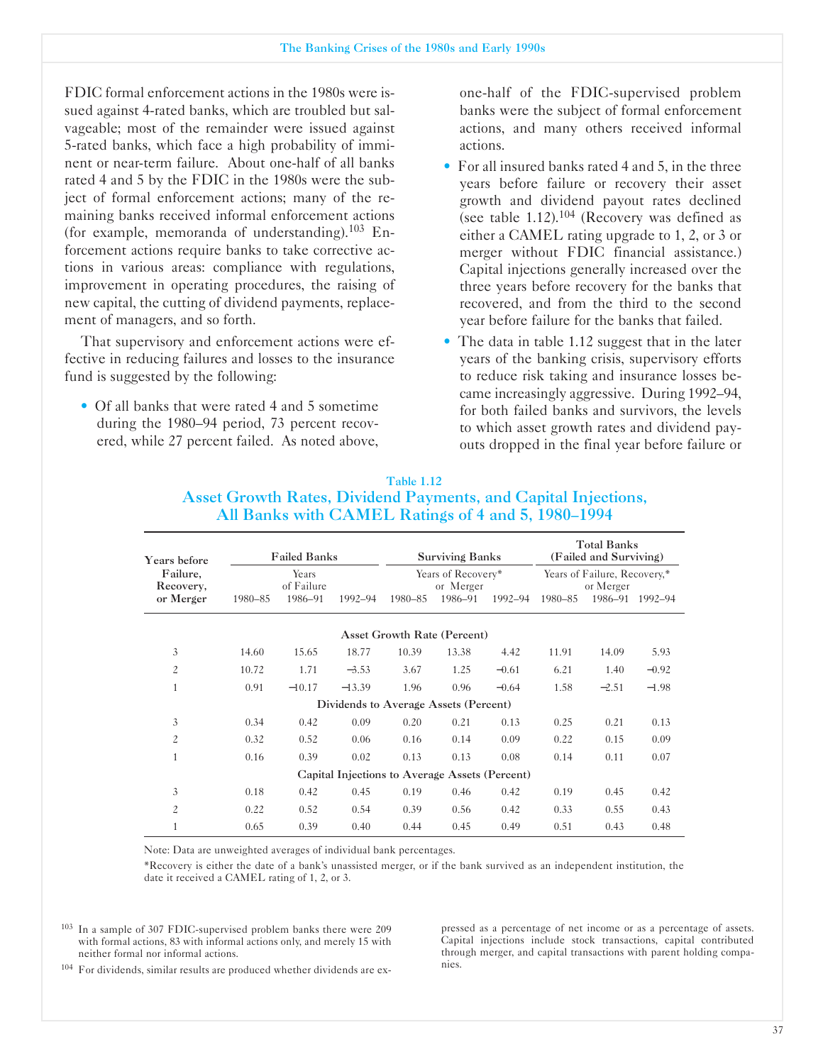FDIC formal enforcement actions in the 1980s were issued against 4-rated banks, which are troubled but salvageable; most of the remainder were issued against 5rated banks, which face a high probability of imminent or near-term failure. About one-half of all banks rated 4 and 5 by the FDIC in the 1980s were the subject of formal enforcement actions; many of the remaining banks received informal enforcement actions (for example, memoranda of understanding). $103$  Enforcement actions require banks to take corrective actions in various areas: compliance with regulations, improvement in operating procedures, the raising of new capital, the cutting of dividend payments, replacement of managers, and so forth.

That supervisory and enforcement actions were effective in reducing failures and losses to the insurance fund is suggested by the following:

• Of all banks that were rated 4 and 5 sometime during the 1980-94 period, 73 percent recovered, while 27 percent failed. As noted above, one-half of the FDIC-supervised problem banks were the subject of formal enforcement actions, and many others received informal actions.

- For all insured banks rated 4 and 5, in the three years before failure or recovery their asset growth and dividend payout rates declined (see table  $1.12$ ).<sup>104</sup> (Recovery was defined as either a CAMEL rating upgrade to 1, 2, or 3 or merger without FDIC financial assistance.) Capital injections generally increased over the three years before recovery for the banks that recovered, and from the third to the second year before failure for the banks that failed.
- The data in table 1.12 suggest that in the later years of the banking crisis, supervisory efforts to reduce risk taking and insurance losses became increasingly aggressive. During 1992-94, for both failed banks and survivors, the levels to which asset growth rates and dividend payouts dropped in the final year before failure or

| Years before          | <b>Failed Banks</b><br><b>Surviving Banks</b> |                     |                                                |                                    | <b>Total Banks</b><br>(Failed and Surviving) |         |         |                                           |         |
|-----------------------|-----------------------------------------------|---------------------|------------------------------------------------|------------------------------------|----------------------------------------------|---------|---------|-------------------------------------------|---------|
| Failure,<br>Recovery, |                                               | Years<br>of Failure |                                                |                                    | Years of Recovery*<br>or Merger              |         |         | Years of Failure, Recovery,*<br>or Merger |         |
| or Merger             | 1980-85                                       | 1986-91             | 1992-94                                        | 1980-85                            | 1986-91                                      | 1992-94 | 1980-85 | 1986–91                                   | 1992-94 |
|                       |                                               |                     |                                                | <b>Asset Growth Rate (Percent)</b> |                                              |         |         |                                           |         |
| 3                     | 14.60                                         | 15.65               | 18.77                                          | 10.39                              | 13.38                                        | 4.42    | 11.91   | 14.09                                     | 5.93    |
| $\overline{c}$        | 10.72                                         | 1.71                | $-3.53$                                        | 3.67                               | 1.25                                         | $-0.61$ | 6.21    | 1.40                                      | $-0.92$ |
| 1                     | 0.91                                          | $-10.17$            | $-13.39$                                       | 1.96                               | 0.96                                         | $-0.64$ | 1.58    | $-2.51$                                   | $-1.98$ |
|                       |                                               |                     | Dividends to Average Assets (Percent)          |                                    |                                              |         |         |                                           |         |
| 3                     | 0.34                                          | 0.42                | 0.09                                           | 0.20                               | 0.21                                         | 0.13    | 0.25    | 0.21                                      | 0.13    |
| $\overline{c}$        | 0.32                                          | 0.52                | 0.06                                           | 0.16                               | 0.14                                         | 0.09    | 0.22    | 0.15                                      | 0.09    |
| $\mathbf{1}$          | 0.16                                          | 0.39                | 0.02                                           | 0.13                               | 0.13                                         | 0.08    | 0.14    | 0.11                                      | 0.07    |
|                       |                                               |                     | Capital Injections to Average Assets (Percent) |                                    |                                              |         |         |                                           |         |
| 3                     | 0.18                                          | 0.42                | 0.45                                           | 0.19                               | 0.46                                         | 0.42    | 0.19    | 0.45                                      | 0.42    |
| $\overline{c}$        | 0.22                                          | 0.52                | 0.54                                           | 0.39                               | 0.56                                         | 0.42    | 0.33    | 0.55                                      | 0.43    |
| 1                     | 0.65                                          | 0.39                | 0.40                                           | 0.44                               | 0.45                                         | 0.49    | 0.51    | 0.43                                      | 0.48    |

#### Table 1.12 Asset Growth Rates, Dividend Payments, and Capital Injections, All Banks with CAMEL Ratings of 4 and 5, 1980-1994

Note: Data are unweighted averages of individual bank percentages.

'Recovery is either the date of a bank's unassisted merger, or if the bank survived as an independent institution, the date it received a CAMEL rating of 1, 2, or 3.

<sup>103</sup> In a sample of 307 FDIC-supervised problem banks there were 209 pressed as a percentage of net income or as a percentage of assets.<br>with formal actions, 83 with informal actions only, and merely 15 with Capital injec with formal actions, 83 with informal actions only, and merely 15 with neither formal nor informal actions.

through merger, and capital transactions with parent holding compa-<br>nies.

<sup>104</sup> For dividends, similar results are produced whether dividends are ex-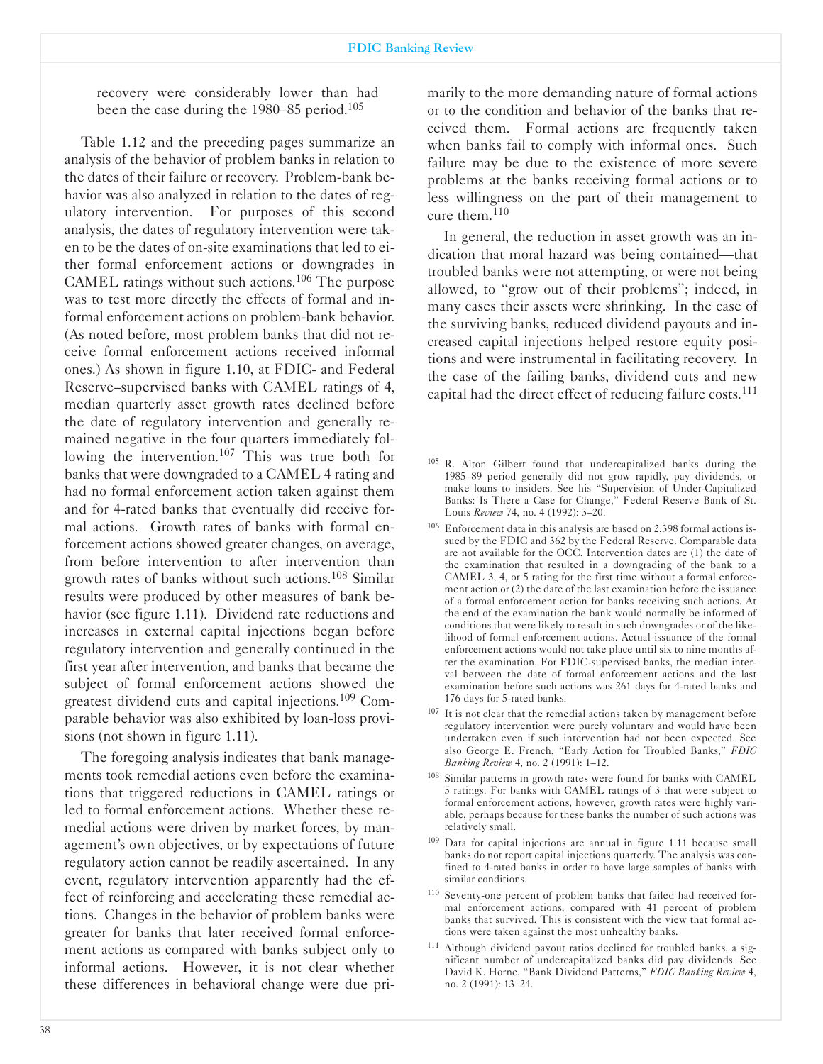recovery were considerably lower than had been the case during the 1980–85 period.<sup>105</sup>

Table 1.12 and the preceding pages summarize an analysis of the behavior of problem banks in relation to the dates of their failure or recovery. Problem-bank behavior was also analyzed in relation to the dates of regulatory intervention. For purposes of this second analysis, the dates of regulatory intervention were taken to be the dates of on-site examinations that led to either formal enforcement actions or downgrades in CAMEL ratings without such actions.106 The purpose was to test more directly the effects of formal and informal enforcement actions on problem-bank behavior. (As noted before, most problem banks that did not receive formal enforcement actions received informal ones.) As shown in figure 1.10, at FDIC- and Federal Reserve-supervised banks with CAMEL ratings of 4, median quarterly asset growth rates declined before the date of regulatory intervention and generally remained negative in the four quarters immediately following the intervention.<sup>107</sup> This was true both for banks that were downgraded to a CAMEL 4 rating and had no formal enforcement action taken against them and for 4-rated banks that eventually did receive formal actions. Growth rates of banks with formal enforcement actions showed greater changes, on average, from before intervention to after intervention than growth rates of banks without such actions.108 Similar results were produced by other measures of bank behavior (see figure 1.11). Dividend rate reductions and increases in external capital injections began before regulatory intervention and generally continued in the first year after intervention, and banks that became the subject of formal enforcement actions showed the greatest dividend cuts and capital injections.109 Comparable behavior was also exhibited by loan-loss provisions (not shown in figure 1.11).

The foregoing analysis indicates that bank managements took remedial actions even before the examinations that triggered reductions in CAMEL ratings or led to formal enforcement actions. Whether these remedial actions were driven by market forces, by management's own objectives, or by expectations of future regulatory action cannot be readily ascertained. In any event, regulatory intervention apparently had the effect of reinforcing and accelerating these remedial actions. Changes in the behavior of problem banks were greater for banks that later received formal enforcement actions as compared with banks subject only to informal actions. However, it is not clear whether these differences in behavioral change were due primarily to the more demanding nature of formal actions or to the condition and behavior of the banks that received them. Formal actions are frequently taken when banks fail to comply with informal ones. Such failure may be due to the existence of more severe problems at the banks receiving formal actions or to less willingness on the part of their management to cure them.<sup>110</sup>

In general, the reduction in asset growth was an indication that moral hazard was being contained—that troubled banks were not attempting, or were not being allowed, to "grow out of their problems"; indeed, in many cases their assets were shrinking. In the case of the surviving banks, reduced dividend payouts and increased capital injections helped restore equity positions and were instrumental in facilitating recovery. In the case of the failing banks, dividend cuts and new capital had the direct effect of reducing failure costs.<sup>111</sup>

- <sup>105</sup> R. Alton Gilbert found that undercapitalized banks during the 1985-89 period generally did not grow rapidly, pay dividends, or make loans to insiders. See his "Supervision of Under-Capitalized Banks: Is There a Case for Change," Federal Reserve Bank of St. Louis *Review* 74, no. 4 (1992): 3-20.
- $106$  Enforcement data in this analysis are based on 2,398 formal actions issued by the FDIC and 362 by the Federal Reserve. Comparable data are not available for the OCC. Intervention dates are (1) the date of the examination that resulted in a downgrading of the bank to a CAMEL 3, 4, or 5 rating for the first time without a formal enforcement action or (2) the date of the last examination before the issuance of a formal enforcement action for banks receiving such actions. At the end of the examination the bank would normally be informed of conditions that were likely to result in such downgrades or of the likelihood of formal enforcement actions. Actual issuance of the formal enforcement actions would not take place until six to nine months after the examination. For FDIC-supervised banks, the median interval between the date of formal enforcement actions and the last examination before such actions was 261 days for 4-rated banks and 176 days for 5-rated banks.
- <sup>107</sup> It is not clear that the remedial actions taken by management before regulatory intervention were purely voluntary and would have been undertaken even if such intervention had not been expected. See also George E. French, "Early Action for Troubled Banks," *FDIC Banking Review* 4, no. 2 (1991): 1-12.
- 108 Similar patterns in growth rates were found for banks with CAMEL 5 ratings. For banks with CAMEL ratings of 3 that were subject to formal enforcement actions, however, growth rates were highly variable, perhaps because for these banks the number of such actions was relatively small.
- <sup>109</sup> Data for capital injections are annual in figure 1.11 because small banks do not report capital injections quarterly. The analysis was confined to 4-rated banks in order to have large samples of banks with similar conditions.
- 110 Seventy-one percent of problem banks that failed had received formal enforcement actions, compared with 41 percent of problem banks that survived. This is consistent with the view that formal actions were taken against the most unhealthy banks.
- <sup>111</sup> Although dividend payout ratios declined for troubled banks, a significant number of undercapitalized banks did pay dividends. See David K. Horne, "Bank Dividend Patterns," *FDIC Banking Review* 4, no. 2 (1991): 13-24.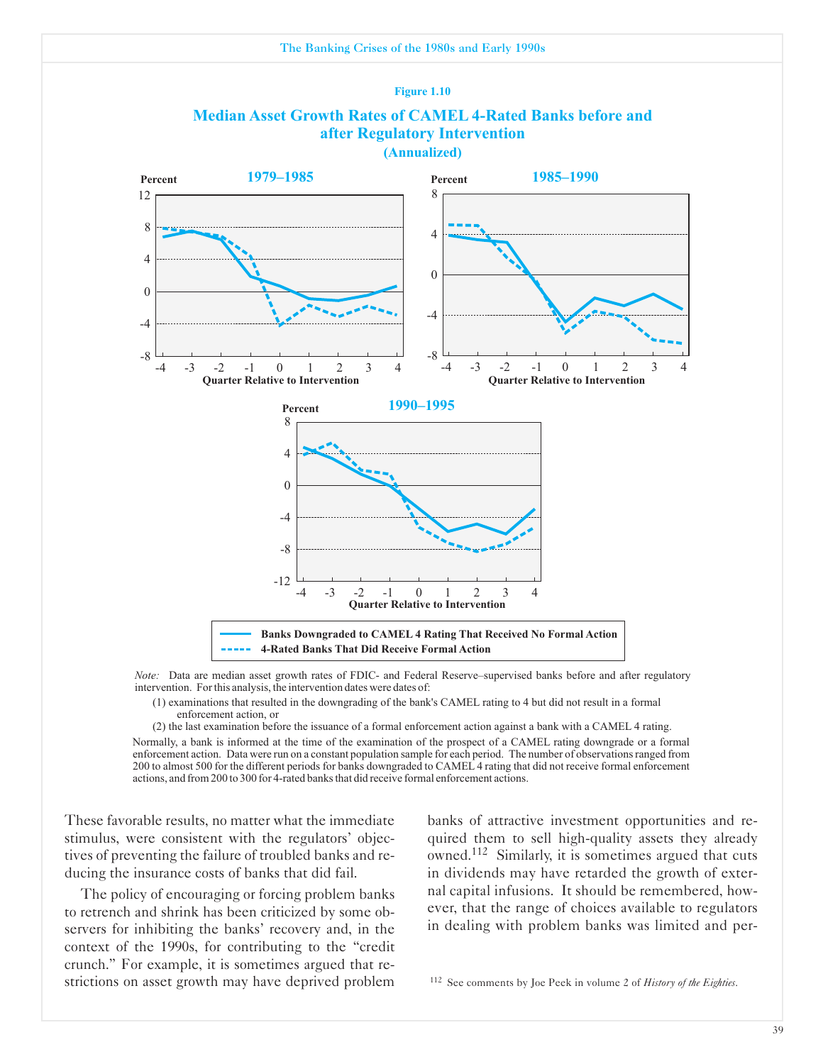

*Note:* Data are median asset growth rates of FDIC- and Federal Reserve–supervised banks before and after regulatory intervention. Forthis analysis, the intervention dates were dates of:

(1) examinations that resulted in the downgrading of the bank's CAMEL rating to 4 but did not result in a formal enforcement action, or

(2) the last examination before the issuance of a formal enforcement action against a bank with a CAMEL 4 rating. Normally, a bank is informed at the time of the examination of the prospect of a CAMEL rating downgrade or a formal enforcement action. Data were run on a constant population sample for each period. The number of observationsranged from 200 to almost 500 for the different periods for banks downgraded to CAMEL 4 rating that did not receive formal enforcement actions, and from 200 to 300 for 4-rated banks that did receive formal enforcement actions.

These favorable results, no matter what the immediate banks of attractive investment opportunities and re-

to retrench and shrink has been criticized by some ob-<br>servers to regulators in dealing with problem banks was limited and per-<br>servers for inhibiting the banks' recovery and, in the dealing with problem banks was limited context of the 1990s, for contributing to the "credit crunch." For example, it is sometimes argued that restrictions on asset growth may have deprived problem <sup>112</sup> See comments by Joe Peek in volume 2 of *History of the Eighties*.

stimulus, were consistent with the regulators' objec- quired them to sell high-quality assets they already tives of preventing the failure of troubled banks and re-<br>owned.<sup>112</sup> Similarly, it is sometimes argued that cuts ducing the insurance costs of banks that did fail.  $\cdot$  in dividends may have retarded the growth of exter-The policy of encouraging or forcing problem banks had capital infusions. It should be remembered, how-<br>retrepch and shripk has been criticized by some ob-<br>wer, that the range of choices available to regulators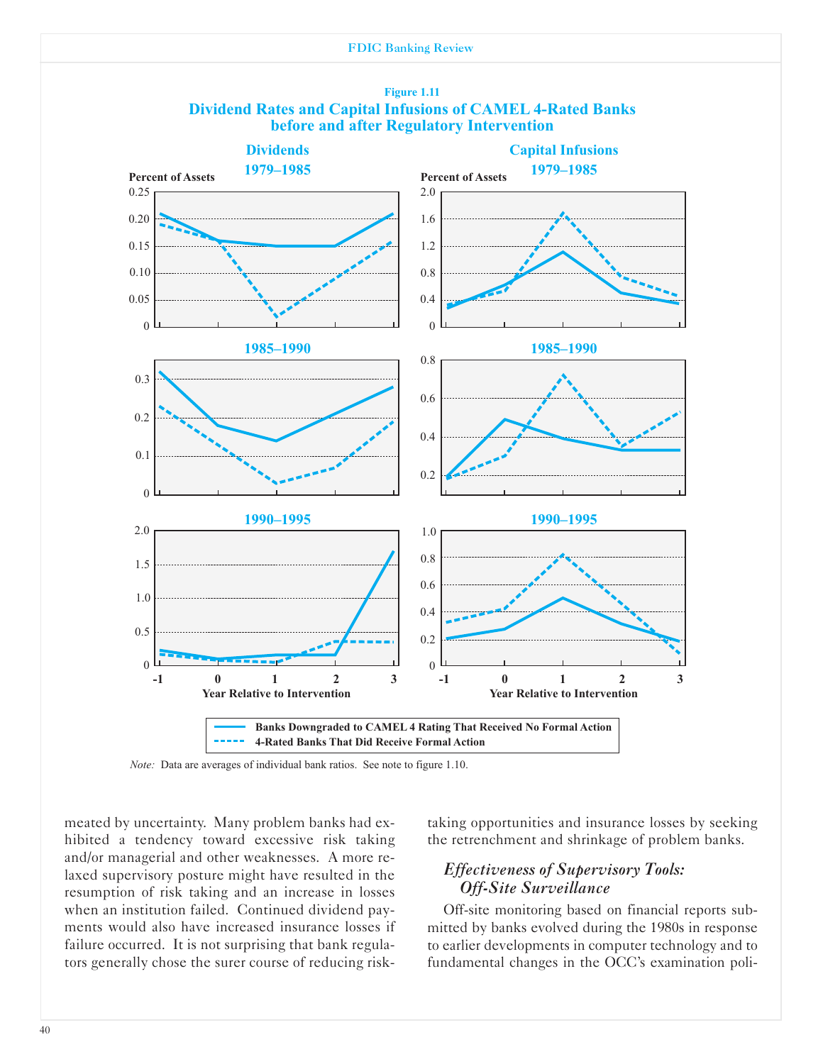



*Note:* Data are averages of individual bank ratios. See note to figure 1.10.

meated by uncertainty. Many problem banks had exhibited a tendency toward excessive risk taking and/or managerial and other weaknesses. A more relaxed supervisory posture might have resulted in the resumption of risk taking and an increase in losses when an institution failed. Continued dividend payments would also have increased insurance losses if failure occurred. It is not surprising that bank regulators generally chose the surer course of reducing risktaking opportunities and insurance losses by seeking the retrenchment and shrinkage of problem banks.

# *Effectiveness of Supervisory Tools: Off-Site Surveillance*

Off-site monitoring based on financial reports submitted by banks evolved during the 1980s in response to earlier developments in computer technology and to fundamental changes in the OCC's examination poli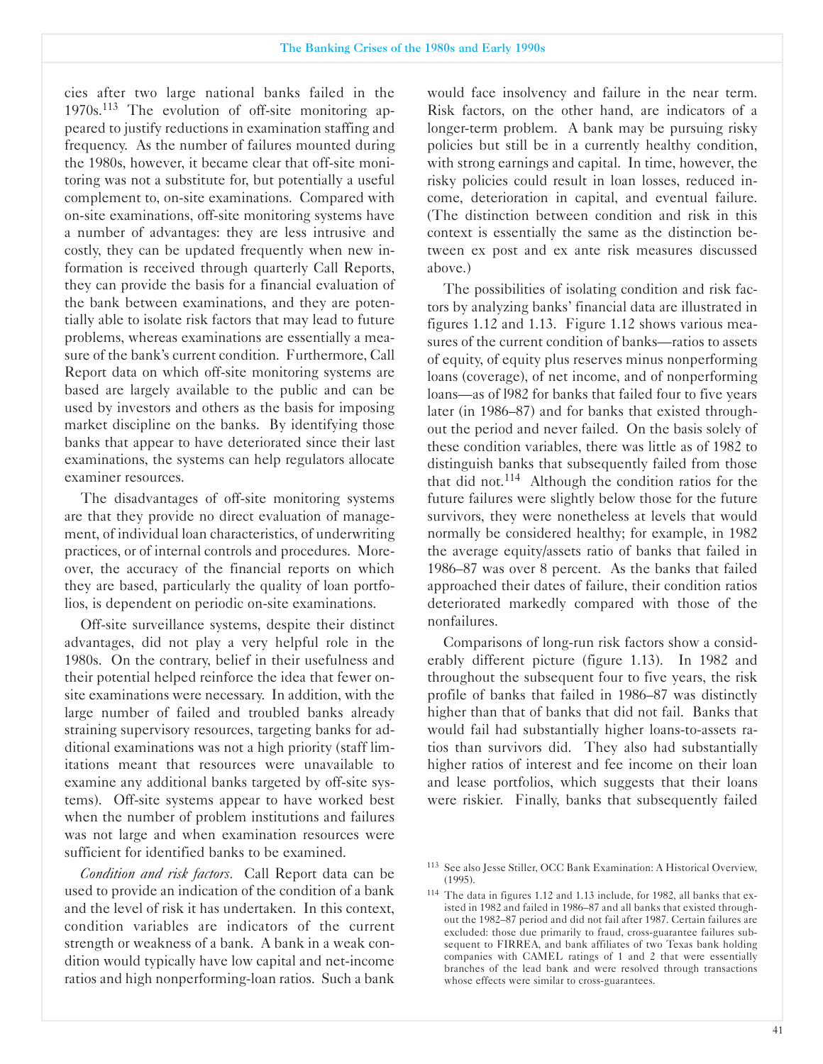cies after two large national banks failed in the  $1970s$ .<sup>113</sup> The evolution of off-site monitoring appeared to justify reductions in examination staffing and frequency. As the number of failures mounted during the 1980s, however, it became clear that off-site monitoring was not a substitute for, but potentially a useful complement to, on-site examinations. Compared with on-site examinations, off-site monitoring systems have a number of advantages: they are less intrusive and costly, they can be updated frequently when new information is received through quarterly Call Reports, they can provide the basis for a financial evaluation of the bank between examinations, and they are potentially able to isolate risk factors that may lead to future problems, whereas examinations are essentially a measure of the bank's current condition. Furthermore, Call Report data on which off-site monitoring systems are based are largely available to the public and can be used by investors and others as the basis for imposing market discipline on the banks. By identifying those banks that appear to have deteriorated since their last examinations, the systems can help regulators allocate examiner resources.

The disadvantages of off-site monitoring systems are that they provide no direct evaluation of management, of individual loan characteristics, of underwriting practices, or of internal controls and procedures. Moreover, the accuracy of the financial reports on which they are based, particularly the quality of loan portfolios, is dependent on periodic on-site examinations.

Off-site surveillance systems, despite their distinct advantages, did not play a very helpful role in the 1980s. On the contrary, belief in their usefulness and their potential helped reinforce the idea that fewer onsite examinations were necessary. In addition, with the large number of failed and troubled banks already straining supervisory resources, targeting banks for additional examinations was not a high priority (staff limitations meant that resources were unavailable to examine any additional banks targeted by off-site systems). Off-site systems appear to have worked best when the number of problem institutions and failures was not large and when examination resources were sufficient for identified banks to be examined.

*Condition and risk factors.* Call Report data can be used to provide an indication of the condition of a bank and the level of risk it has undertaken. In this context, condition variables are indicators of the current strength or weakness of a bank. A bank in a weak condition would typically have low capital and net-income ratios and high nonperforming-loan ratios. Such a bank

would face insolvency and failure in the near term. Risk factors, on the other hand, are indicators of a longer-term problem. A bank may be pursuing risky policies but still be in a currently healthy condition, with strong earnings and capital. In time, however, the risky policies could result in loan losses, reduced income, deterioration in capital, and eventual failure. (The distinction between condition and risk in this context is essentially the same as the distinction between ex post and ex ante risk measures discussed above.)

The possibilities of isolating condition and risk factors by analyzing banks' financial data are illustrated in figures 1.12 and 1.13. Figure 1.12 shows various measures of the current condition of banks—ratios to assets of equity, of equity plus reserves minus nonperforming loans (coverage), of net income, and of nonperforming loans-as of 1982 for banks that failed four to five years later (in 1986-87) and for banks that existed throughout the period and never failed. On the basis solely of these condition variables, there was little as of 1982 to distinguish banks that subsequently failed from those that did not.<sup>114</sup> Although the condition ratios for the future failures were slightly below those for the future survivors, they were nonetheless at levels that would normally be considered healthy; for example, in 1982 the average equity/assets ratio of banks that failed in 1986-87 was over 8 percent. As the banks that failed approached their dates of failure, their condition ratios deteriorated markedly compared with those of the nonfailures.

Comparisons of long-run risk factors show a considerably different picture (figure 1.13). In 1982 and throughout the subsequent four to five years, the risk profile of banks that failed in 1986-87 was distinctly higher than that of banks that did not fail. Banks that would fail had substantially higher loans-to-assets ratios than survivors did. They also had substantially higher ratios of interest and fee income on their loan and lease portfolios, which suggests that their loans were riskier. Finally, banks that subsequently failed

<sup>&</sup>lt;sup>113</sup> See also Jesse Stiller, OCC Bank Examination: A Historical Overview, (1995).

<sup>&</sup>lt;sup>114</sup> The data in figures 1.12 and 1.13 include, for 1982, all banks that existed in 1982 and failed in 1986-87 and all banks that existed throughout the 1982-87 period and did not fail after 1987. Certain failures are excluded: those due primarily to fraud, cross-guarantee failures subsequent to FIRREA, and bank affiliates of two Texas bank holding companies with CAMEL ratings of 1 and 2 that were essentially branches of the lead bank and were resolved through transactions whose effects were similar to cross-guarantees.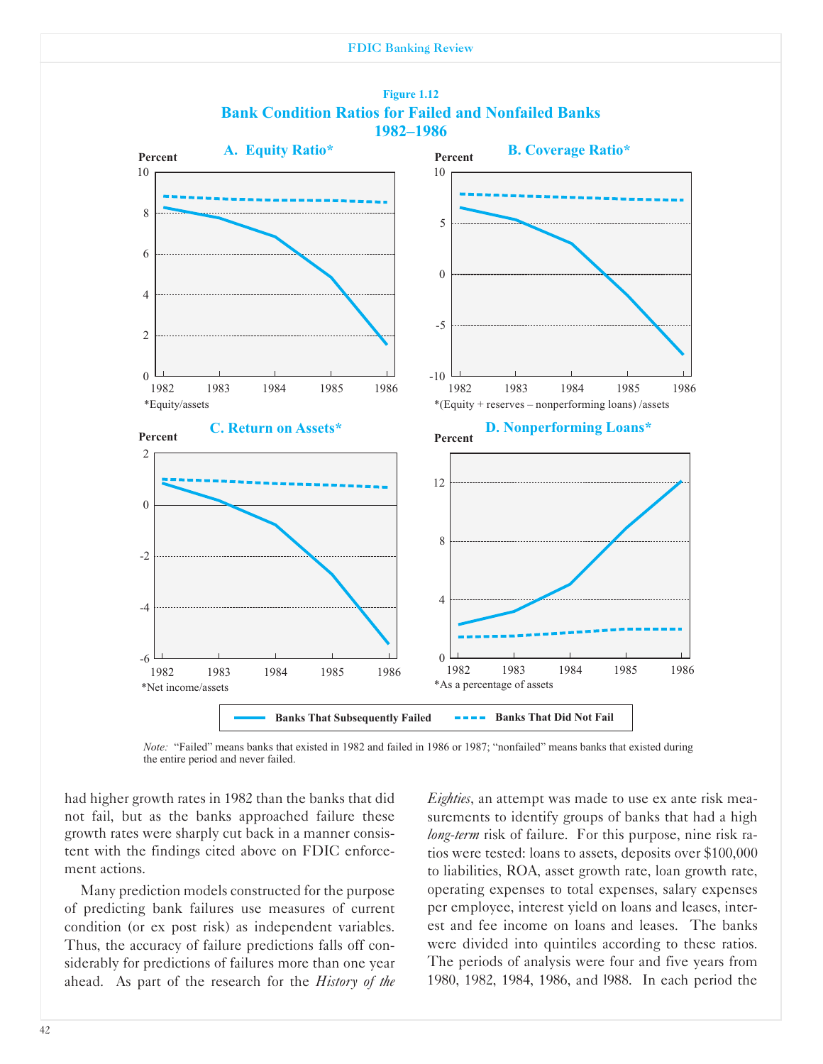



*Note:* "Failed" means banks that existed in 1982 and failed in 1986 or 1987; "nonfailed" means banks that existed during the entire period and never failed.

had higher growth rates in 1982 than the banks that did not fail, but as the banks approached failure these growth rates were sharply cut back in a manner consistent with the findings cited above on FDIC enforcement actions.

Many prediction models constructed for the purpose of predicting bank failures use measures of current condition (or ex post risk) as independent variables. Thus, the accuracy of failure predictions falls off considerably for predictions of failures more than one year ahead. As part of the research for the *History of the*

*Eighties*, an attempt was made to use ex ante risk measurements to identify groups of banks that had a high *long-term* risk of failure. For this purpose, nine risk ratios were tested: loans to assets, deposits over \$100,000 to liabilities, ROA, asset growth rate, loan growth rate, operating expenses to total expenses, salary expenses per employee, interest yield on loans and leases, interest and fee income on loans and leases. The banks were divided into quintiles according to these ratios. The periods of analysis were four and five years from 1980, 1982, 1984, 1986, and l988. In each period the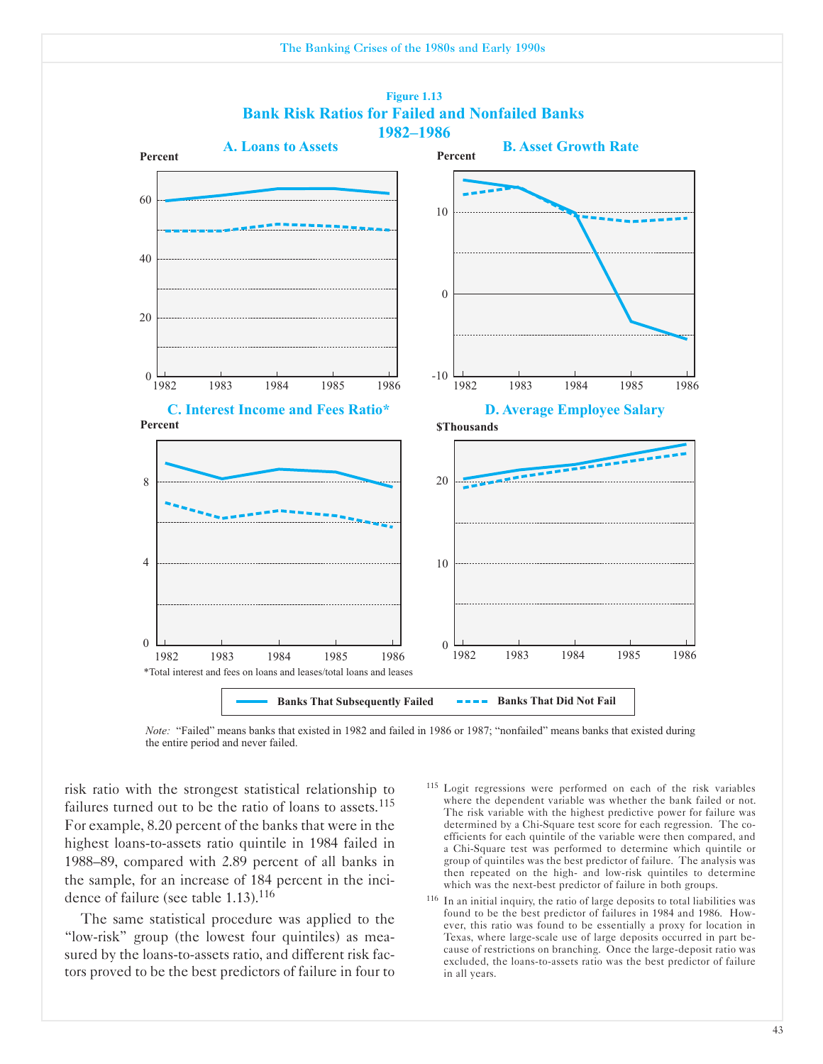



*Note:* "Failed" means banks that existed in 1982 and failed in 1986 or 1987; "nonfailed" means banks that existed during the entire period and never failed.

risk ratio with the strongest statistical relationship to failures turned out to be the ratio of loans to assets. $115$ For example, 8.20 percent of the banks that were in the highest loans-to-assets ratio quintile in 1984 failed in 1988-89, compared with 2.89 percent of all banks in the sample, for an increase of 184 percent in the incidence of failure (see table 1.13).<sup>116</sup>

The same statistical procedure was applied to the "lowrisk" group (the lowest four quintiles) as measured by the loans-to-assets ratio, and different risk factors proved to be the best predictors of failure in four to

- <sup>115</sup> Logit regressions were performed on each of the risk variables where the dependent variable was whether the bank failed or not. The risk variable with the highest predictive power for failure was determined by a Chi-Square test score for each regression. The coefficients for each quintile of the variable were then compared, and a Chi-Square test was performed to determine which quintile or group of quintiles was the best predictor of failure. The analysis was then repeated on the high- and low-risk quintiles to determine which was the next-best predictor of failure in both groups.
- <sup>116</sup> In an initial inquiry, the ratio of large deposits to total liabilities was found to be the best predictor of failures in 1984 and 1986. However, this ratio was found to be essentially a proxy for location in Texas, where large-scale use of large deposits occurred in part because of restrictions on branching. Once the large-deposit ratio was excluded, the loans-to-assets ratio was the best predictor of failure in all years.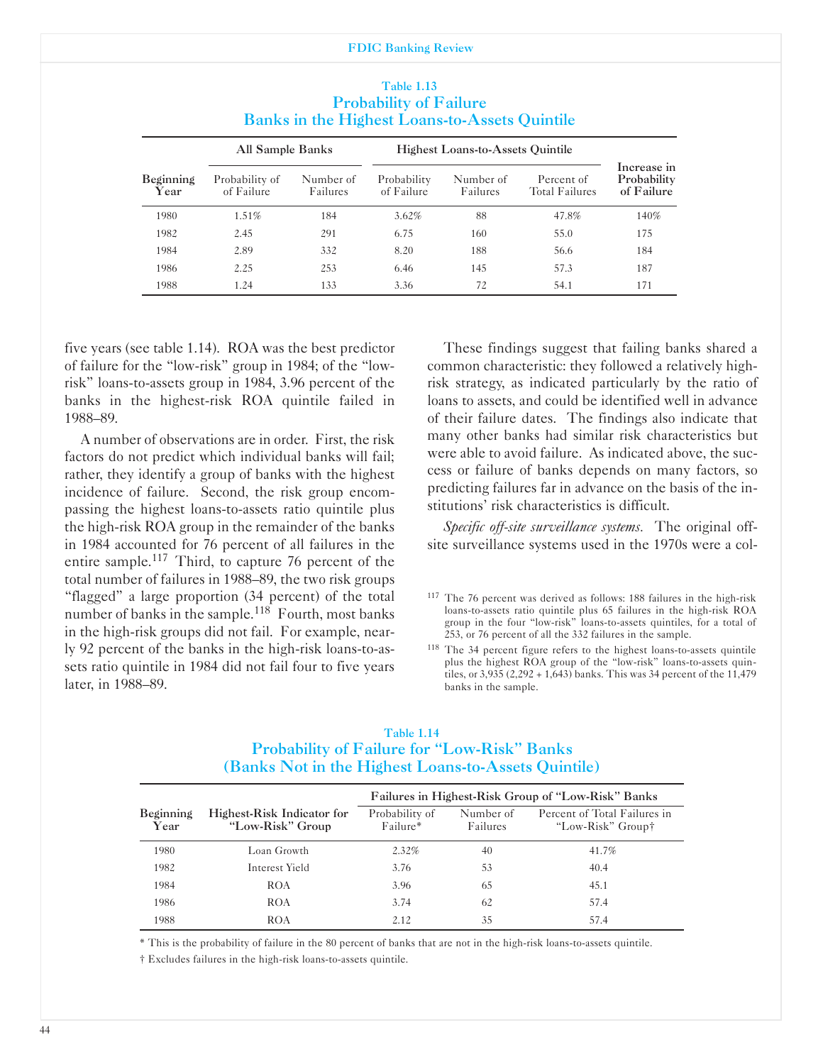|                   | Banks in the Highest Loans-to-Assets Quintile |                       |                           |                                         |                              |                                          |  |  |
|-------------------|-----------------------------------------------|-----------------------|---------------------------|-----------------------------------------|------------------------------|------------------------------------------|--|--|
|                   | All Sample Banks                              |                       |                           | <b>Highest Loans-to-Assets Quintile</b> |                              |                                          |  |  |
| Beginning<br>Year | Probability of<br>of Failure                  | Number of<br>Failures | Probability<br>of Failure | Number of<br>Failures                   | Percent of<br>Total Failures | Increase in<br>Probability<br>of Failure |  |  |
| 1980              | 1.51%                                         | 184                   | $3.62\%$                  | 88                                      | 47.8%                        | 140%                                     |  |  |
| 1982              | 2.45                                          | 291                   | 6.75                      | 160                                     | 55.0                         | 175                                      |  |  |
| 1984              | 2.89                                          | 332                   | 8.20                      | 188                                     | 56.6                         | 184                                      |  |  |
| 1986              | 2.25                                          | 253                   | 6.46                      | 145                                     | 57.3                         | 187                                      |  |  |
| 1988              | 1.24                                          | 133                   | 3.36                      | 72                                      | 54.1                         | 171                                      |  |  |

#### Table 1.13 Probability of Failure Banks in the Highest Loans-to-Assets Quintile

five years (see table 1.14). ROA was the best predictor of failure for the "lowrisk" group in 1984; of the "lowrisk" loans-to-assets group in 1984, 3.96 percent of the banks in the highest-risk ROA quintile failed in 1988-89.

A number of observations are in order. First, the risk factors do not predict which individual banks will fail; rather, they identify a group of banks with the highest incidence of failure. Second, the risk group encompassing the highest loans-to-assets ratio quintile plus the high-risk ROA group in the remainder of the banks in 1984 accounted for 76 percent of all failures in the entire sample.<sup>117</sup> Third, to capture 76 percent of the total number of failures in 1988-89, the two risk groups "flagged" a large proportion (34 percent) of the total number of banks in the sample.<sup>118</sup> Fourth, most banks in the high-risk groups did not fail. For example, nearly 92 percent of the banks in the high-risk loans-to-assets ratio quintile in 1984 did not fail four to five years later, in 1988-89.

These findings suggest that failing banks shared a common characteristic: they followed a relatively highrisk strategy, as indicated particularly by the ratio of loans to assets, and could be identified well in advance of their failure dates. The findings also indicate that many other banks had similar risk characteristics but were able to avoid failure. As indicated above, the success or failure of banks depends on many factors, so predicting failures far in advance on the basis of the institutions' risk characteristics is difficult.

*Specific off-site surveillance systems.* The original offsite surveillance systems used in the 1970s were a col-

 $117$  The 76 percent was derived as follows: 188 failures in the high-risk loans-to-assets ratio quintile plus 65 failures in the high-risk ROA group in the four "low-risk" loans-to-assets quintiles, for a total of 253, or 76 percent of all the 332 failures in the sample.

<sup>118</sup> The 34 percent figure refers to the highest loans-to-assets quintile plus the highest ROA group of the "low-risk" loans-to-assets quintiles, or  $3,935$  (2,292 + 1,643) banks. This was 34 percent of the 11,479 banks in the sample.

#### Table 1.14 Probability of Failure for "Low-Risk" Banks (Banks Not in the Highest Loans-to-Assets Quintile)

|                          |                                                | Failures in Highest-Risk Group of "Low-Risk" Banks |                       |                                                   |  |  |
|--------------------------|------------------------------------------------|----------------------------------------------------|-----------------------|---------------------------------------------------|--|--|
| <b>Beginning</b><br>Year | Highest-Risk Indicator for<br>"Low-Risk" Group | Probability of<br>Failure*                         | Number of<br>Failures | Percent of Total Failures in<br>"Low-Risk" Group† |  |  |
| 1980                     | Loan Growth                                    | 2.32%                                              | 40                    | 41.7%                                             |  |  |
| 1982                     | Interest Yield                                 | 3.76                                               | 53                    | 40.4                                              |  |  |
| 1984                     | <b>ROA</b>                                     | 3.96                                               | 65                    | 45.1                                              |  |  |
| 1986                     | <b>ROA</b>                                     | 3.74                                               | 62                    | 57.4                                              |  |  |
| 1988                     | <b>ROA</b>                                     | 2.12                                               | 35                    | 57.4                                              |  |  |

\* This is the probability of failure in the 80 percent of banks that are not in the high-risk loans-to-assets quintile.

 $\dagger$  Excludes failures in the high-risk loans-to-assets quintile.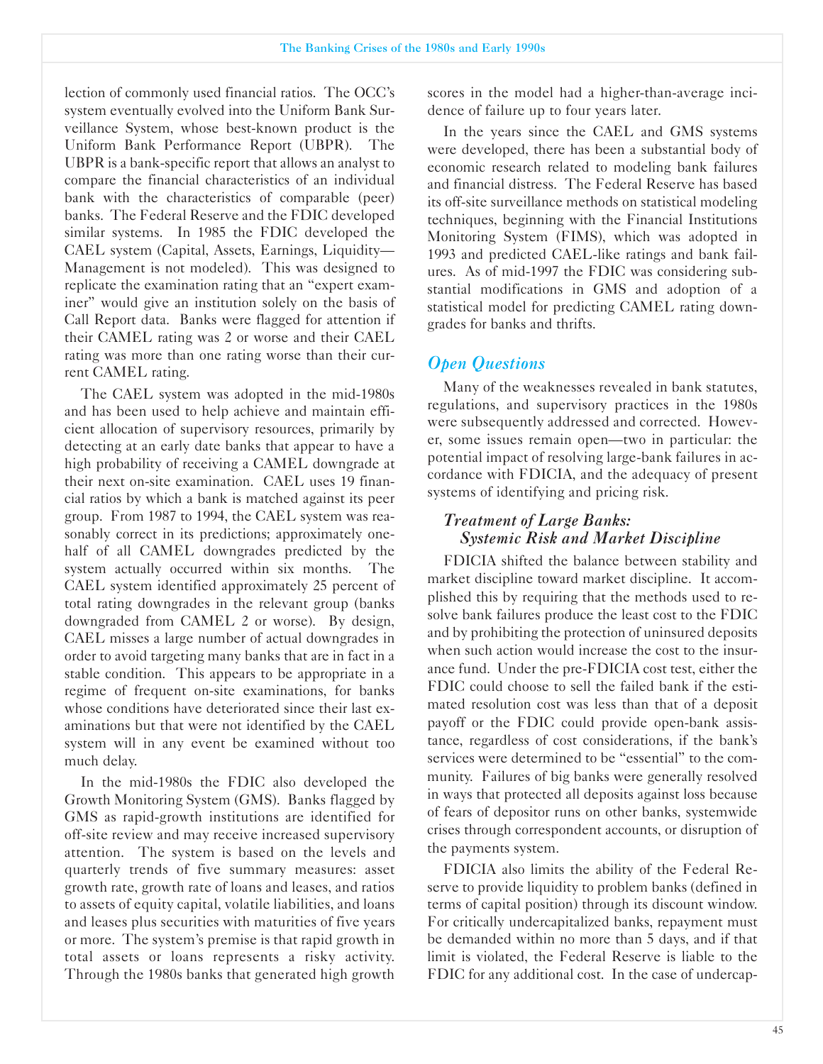lection of commonly used financial ratios. The OCC's system eventually evolved into the Uniform Bank Surveillance System, whose best-known product is the Uniform Bank Performance Report (UBPR). The UBPR is a bank-specific report that allows an analyst to compare the financial characteristics of an individual bank with the characteristics of comparable (peer) banks. The Federal Reserve and the FDIC developed similar systems. In 1985 the FDIC developed the CAEL system (Capital, Assets, Earnings, Liquidity-Management is not modeled). This was designed to replicate the examination rating that an "expert examiner" would give an institution solely on the basis of Call Report data. Banks were flagged for attention if their CAMEL rating was 2 or worse and their CAEL rating was more than one rating worse than their current CAMEL rating.

The CAEL system was adopted in the mid-1980s and has been used to help achieve and maintain efficient allocation of supervisory resources, primarily by detecting at an early date banks that appear to have a high probability of receiving a CAMEL downgrade at their next on-site examination. CAEL uses 19 financial ratios by which a bank is matched against its peer group. From 1987 to 1994, the CAEL system was reasonably correct in its predictions; approximately onehalf of all CAMEL downgrades predicted by the system actually occurred within six months. The CAEL system identified approximately 25 percent of total rating downgrades in the relevant group (banks downgraded from CAMEL 2 or worse). By design, CAEL misses a large number of actual downgrades in order to avoid targeting many banks that are in fact in a stable condition. This appears to be appropriate in a regime of frequent on-site examinations, for banks whose conditions have deteriorated since their last examinations but that were not identified by the CAEL system will in any event be examined without too much delay.

In the mid-1980s the FDIC also developed the Growth Monitoring System (GMS). Banks flagged by GMS as rapid-growth institutions are identified for off-site review and may receive increased supervisory attention. The system is based on the levels and quarterly trends of five summary measures: asset growth rate, growth rate of loans and leases, and ratios to assets of equity capital, volatile liabilities, and loans and leases plus securities with maturities of five years or more. The system's premise is that rapid growth in total assets or loans represents a risky activity. Through the 1980s banks that generated high growth

scores in the model had a higher-than-average incidence of failure up to four years later.

In the years since the CAEL and GMS systems were developed, there has been a substantial body of economic research related to modeling bank failures and financial distress. The Federal Reserve has based its off-site surveillance methods on statistical modeling techniques, beginning with the Financial Institutions Monitoring System (FIMS), which was adopted in 1993 and predicted CAEL-like ratings and bank failures. As of mid-1997 the FDIC was considering substantial modifications in GMS and adoption of a statistical model for predicting CAMEL rating downgrades for banks and thrifts.

# *Open Ouestions*

Many of the weaknesses revealed in bank statutes, regulations, and supervisory practices in the 1980s were subsequently addressed and corrected. However, some issues remain open-two in particular: the potential impact of resolving large-bank failures in accordance with FDICIA, and the adequacy of present systems of identifying and pricing risk.

# *Treatment of Large Banks: Systemic Risk and Market Discipline*

FDICIA shifted the balance between stability and market discipline toward market discipline. It accomplished this by requiring that the methods used to resolve bank failures produce the least cost to the FDIC and by prohibiting the protection of uninsured deposits when such action would increase the cost to the insurance fund. Under the pre-FDICIA cost test, either the FDIC could choose to sell the failed bank if the estimated resolution cost was less than that of a deposit payoff or the FDIC could provide open-bank assistance, regardless of cost considerations, if the bank's services were determined to be "essential" to the community. Failures of big banks were generally resolved in ways that protected all deposits against loss because of fears of depositor runs on other banks, systemwide crises through correspondent accounts, or disruption of the payments system.

FDICIA also limits the ability of the Federal Reserve to provide liquidity to problem banks (defined in terms of capital position) through its discount window. For critically undercapitalized banks, repayment must be demanded within no more than 5 days, and if that limit is violated, the Federal Reserve is liable to the FDIC for any additional cost. In the case of undercap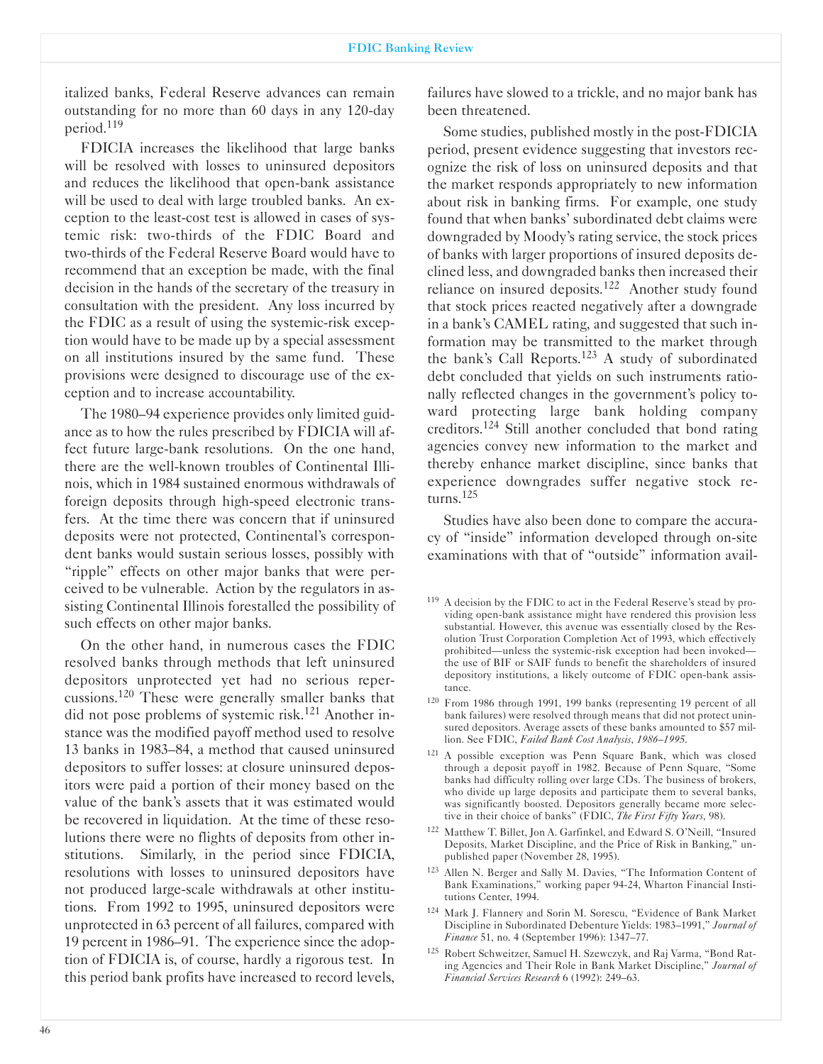italized banks, Federal Reserve advances can remain outstanding for no more than 60 days in any 120-day period.119

FDICIA increases the likelihood that large banks will be resolved with losses to uninsured depositors and reduces the likelihood that open-bank assistance will be used to deal with large troubled banks. An exception to the least-cost test is allowed in cases of systemic risk: two-thirds of the FDIC Board and two-thirds of the Federal Reserve Board would have to recommend that an exception be made, with the final decision in the hands of the secretary of the treasury in consultation with the president. Any loss incurred by the FDIC as a result of using the systemic-risk exception would have to be made up by a special assessment on all institutions insured by the same fund. These provisions were designed to discourage use of the exception and to increase accountability.

The 1980-94 experience provides only limited guidance as to how the rules prescribed by FDICIA will affect future large-bank resolutions. On the one hand, there are the well-known troubles of Continental Illinois, which in 1984 sustained enormous withdrawals of foreign deposits through high-speed electronic transfers. At the time there was concern that if uninsured deposits were not protected, Continental's correspondent banks would sustain serious losses, possibly with "ripple" effects on other major banks that were perceived to be vulnerable. Action by the regulators in assisting Continental Illinois forestalled the possibility of such effects on other major banks.

On the other hand, in numerous cases the FDIC resolved banks through methods that left uninsured depositors unprotected yet had no serious repercussions.120 These were generally smaller banks that did not pose problems of systemic risk.<sup>121</sup> Another instance was the modified payoff method used to resolve 13 banks in 1983-84, a method that caused uninsured depositors to suffer losses: at closure uninsured depositors were paid a portion of their money based on the value of the bank's assets that it was estimated would be recovered in liquidation. At the time of these resolutions there were no flights of deposits from other institutions. Similarly, in the period since FDICIA, resolutions with losses to uninsured depositors have not produced large-scale withdrawals at other institutions. From 1992 to 1995, uninsured depositors were unprotected in 63 percent of all failures, compared with 19 percent in 1986-91. The experience since the adoption of FDICIA is, of course, hardly a rigorous test. In this period bank profits have increased to record levels,

failures have slowed to a trickle, and no major bank has been threatened.

Some studies, published mostly in the post-FDICIA period, present evidence suggesting that investors recognize the risk of loss on uninsured deposits and that the market responds appropriately to new information about risk in banking firms. For example, one study found that when banks' subordinated debt claims were downgraded by Moody's rating service, the stock prices of banks with larger proportions of insured deposits declined less, and downgraded banks then increased their reliance on insured deposits.<sup>122</sup> Another study found that stock prices reacted negatively after a downgrade in a bank's CAMEL rating, and suggested that such information may be transmitted to the market through the bank's Call Reports.123 A study of subordinated debt concluded that yields on such instruments rationally reflected changes in the government's policy toward protecting large bank holding company creditors.124 Still another concluded that bond rating agencies convey new information to the market and thereby enhance market discipline, since banks that experience downgrades suffer negative stock returns. $125$ 

Studies have also been done to compare the accuracy of "inside" information developed through on-site examinations with that of "outside" information avail-

- 121 A possible exception was Penn Square Bank, which was closed through a deposit payoff in 1982. Because of Penn Square, "Some banks had difficulty rolling over large CDs. The business of brokers, who divide up large deposits and participate them to several banks, was significantly boosted. Depositors generally became more selective in their choice of banks" (FDIC, *The First Fifty Years* 98).
- 122 Matthew T. Billet, Jon A. Garfinkel, and Edward S. O'Neill, "Insured Deposits, Market Discipline, and the Price of Risk in Banking," unpublished paper (November 28, 1995).
- 123 Allen N. Berger and Sally M. Davies, "The Information Content of Bank Examinations," working paper 9424, Wharton Financial Institutions Center, 1994.
- 124 Mark J. Flannery and Sorin M. Sorescu, "Evidence of Bank Market Discipline in Subordinated Debenture Yields: 1983-1991," *Journal of Finance* 51, no. 4 (September 1996): 1347-77.
- 125 Robert Schweitzer, Samuel H. Szewczyk, and Raj Varma, "Bond Rating Agencies and Their Role in Bank Market Discipline," *Journal of Financial Services Research* 6 (1992): 249-63.

<sup>&</sup>lt;sup>119</sup> A decision by the FDIC to act in the Federal Reserve's stead by providing open-bank assistance might have rendered this provision less substantial. However, this avenue was essentially closed by the Resolution Trust Corporation Completion Act of 1993, which effectively prohibited-unless the systemic-risk exception had been invokedthe use of BIF or SAIF funds to benefit the shareholders of insured depository institutions, a likely outcome of FDIC open-bank assistance.

<sup>120</sup> From 1986 through 1991, 199 banks (representing 19 percent of all bank failures) were resolved through means that did not protect uninsured depositors. Average assets of these banks amounted to \$57 million. See FDIC, *Failed Bank Cost Analysis*, *1986-1995*.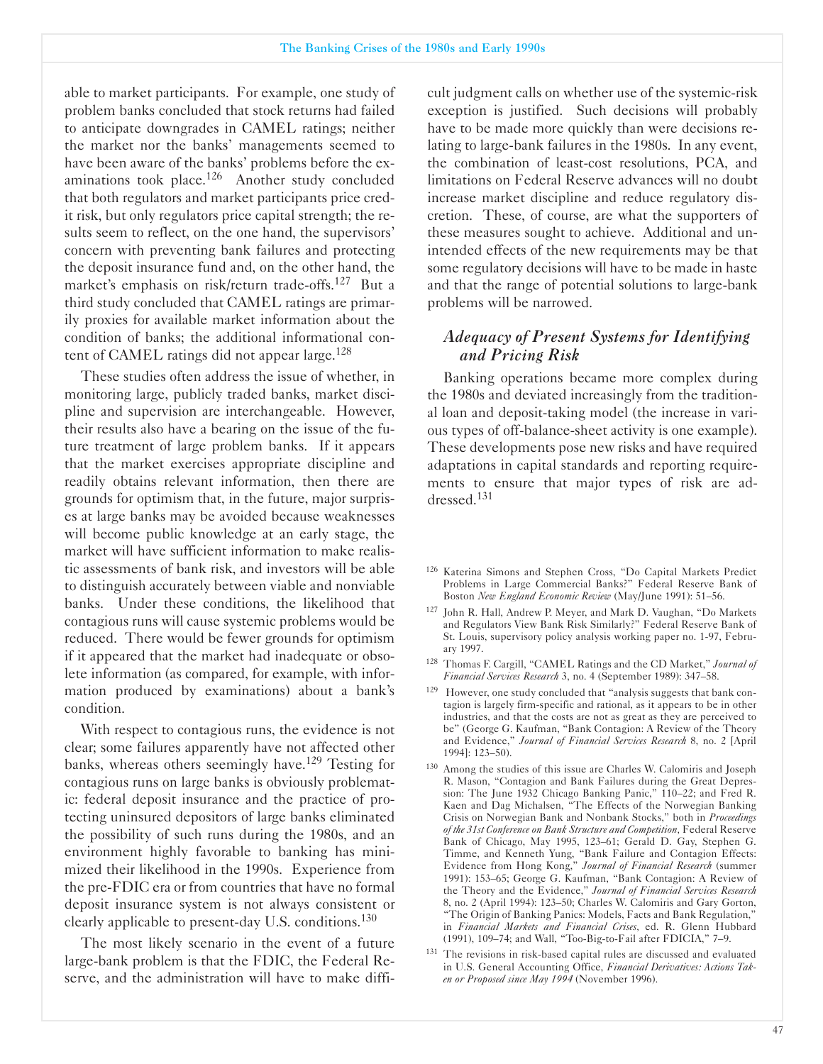able to market participants. For example, one study of problem banks concluded that stock returns had failed to anticipate downgrades in CAMEL ratings; neither the market nor the banks' managements seemed to have been aware of the banks' problems before the examinations took place.<sup>126</sup> Another study concluded that both regulators and market participants price credit risk, but only regulators price capital strength; the results seem to reflect, on the one hand, the supervisors' concern with preventing bank failures and protecting the deposit insurance fund and, on the other hand, the market's emphasis on risk/return trade-offs.<sup>127</sup> But a third study concluded that CAMEL ratings are primarily proxies for available market information about the condition of banks; the additional informational content of CAMEL ratings did not appear large.<sup>128</sup>

These studies often address the issue of whether, in monitoring large, publicly traded banks, market discipline and supervision are interchangeable. However, their results also have a bearing on the issue of the future treatment of large problem banks. If it appears that the market exercises appropriate discipline and readily obtains relevant information, then there are grounds for optimism that, in the future, major surprises at large banks may be avoided because weaknesses will become public knowledge at an early stage, the market will have sufficient information to make realistic assessments of bank risk, and investors will be able to distinguish accurately between viable and nonviable banks. Under these conditions, the likelihood that contagious runs will cause systemic problems would be reduced. There would be fewer grounds for optimism if it appeared that the market had inadequate or obsolete information (as compared, for example, with information produced by examinations) about a bank's condition.

With respect to contagious runs, the evidence is not clear; some failures apparently have not affected other banks, whereas others seemingly have.<sup>129</sup> Testing for contagious runs on large banks is obviously problematic: federal deposit insurance and the practice of protecting uninsured depositors of large banks eliminated the possibility of such runs during the 1980s, and an environment highly favorable to banking has minimized their likelihood in the 1990s. Experience from the preFDIC era or from countries that have no formal deposit insurance system is not always consistent or clearly applicable to present-day U.S. conditions.<sup>130</sup>

The most likely scenario in the event of a future large-bank problem is that the FDIC, the Federal Reserve, and the administration will have to make difficult judgment calls on whether use of the systemic-risk exception is justified. Such decisions will probably have to be made more quickly than were decisions relating to large-bank failures in the 1980s. In any event, the combination of least-cost resolutions, PCA, and limitations on Federal Reserve advances will no doubt increase market discipline and reduce regulatory discretion. These, of course, are what the supporters of these measures sought to achieve. Additional and unintended effects of the new requirements may be that some regulatory decisions will have to be made in haste and that the range of potential solutions to large-bank problems will be narrowed.

## *Ade�uacy of Present Systems for Identifying and Pricing Risk*

Banking operations became more complex during the 1980s and deviated increasingly from the traditional loan and deposit-taking model (the increase in various types of off-balance-sheet activity is one example). These developments pose new risks and have required adaptations in capital standards and reporting requirements to ensure that major types of risk are addressed.131

- <sup>126</sup> Katerina Simons and Stephen Cross, "Do Capital Markets Predict Problems in Large Commercial Banks?" Federal Reserve Bank of Boston *New England Economic Review* (May/June 1991): 51-56.
- 127 John R. Hall, Andrew P. Meyer, and Mark D. Vaughan, "Do Markets and Regulators View Bank Risk Similarly?" Federal Reserve Bank of St. Louis, supervisory policy analysis working paper no. 1-97, February 1997.
- <sup>128</sup> Thomas F. Cargill, "CAMEL Ratings and the CD Market," *Journal of Financial Services Research* 3, no. 4 (September 1989): 347-58.
- <sup>129</sup> However, one study concluded that "analysis suggests that bank contagion is largely firm-specific and rational, as it appears to be in other industries, and that the costs are not as great as they are perceived to be" (George G. Kaufman, "Bank Contagion: A Review of the Theory and Evidence," *Journal of Financial Services Research* 8, no. 2 [April 1994]: 123-50).
- <sup>130</sup> Among the studies of this issue are Charles W. Calomiris and Joseph R. Mason, "Contagion and Bank Failures during the Great Depression: The June 1932 Chicago Banking Panic," 110-22; and Fred R. Kaen and Dag Michalsen, "The Effects of the Norwegian Banking Crisis on Norwegian Bank and Nonbank Stocks," both in *Proceedings* of the 31st Conference on Bank Structure and Competition, Federal Reserve Bank of Chicago, May 1995, 123-61; Gerald D. Gay, Stephen G. Timme, and Kenneth Yung, "Bank Failure and Contagion Effects: Evidence from Hong Kong," *Journal of Financial Research* (summer 1991): 153-65; George G. Kaufman, "Bank Contagion: A Review of the Theory and the Evidence," *Journal of Financial Services Research* 8, no. 2 (April 1994): 123-50; Charles W. Calomiris and Gary Gorton, "The Origin of Banking Panics: Models, Facts and Bank Regulation, in *Financial Markets and Financial Crises* ed. R. Glenn Hubbard (1991), 109-74; and Wall, "Too-Big-to-Fail after FDICIA," 7-9.
- <sup>131</sup> The revisions in risk-based capital rules are discussed and evaluated in U.S. General Accounting Office, *Financial Derivatives: Actions Taken or Proposed since May 1994* (November 1996).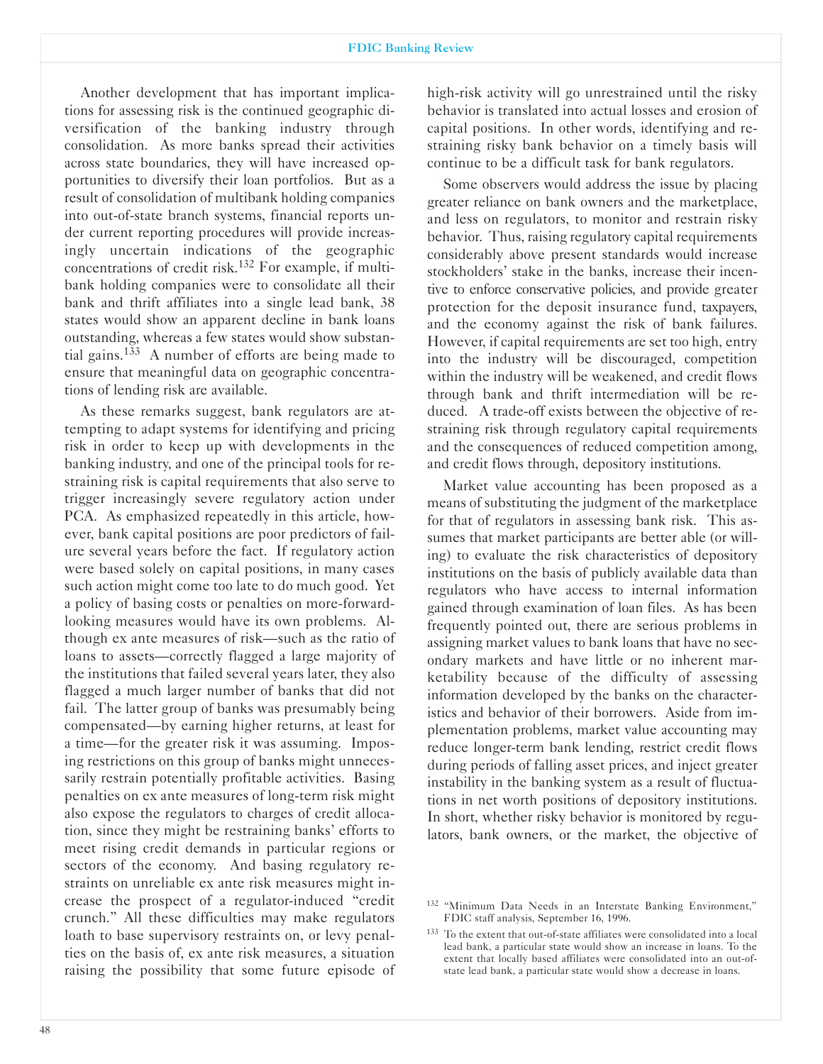Another development that has important implications for assessing risk is the continued geographic diversification of the banking industry through consolidation. As more banks spread their activities across state boundaries, they will have increased opportunities to diversify their loan portfolios. But as a result of consolidation of multibank holding companies into out-of-state branch systems, financial reports under current reporting procedures will provide increasingly uncertain indications of the geographic concentrations of credit risk.132 For example, if multibank holding companies were to consolidate all their bank and thrift affiliates into a single lead bank, 38 states would show an apparent decline in bank loans outstanding, whereas a few states would show substantial gains.<sup>133</sup> A number of efforts are being made to ensure that meaningful data on geographic concentrations of lending risk are available.

As these remarks suggest, bank regulators are attempting to adapt systems for identifying and pricing risk in order to keep up with developments in the banking industry, and one of the principal tools for restraining risk is capital requirements that also serve to trigger increasingly severe regulatory action under PCA. As emphasized repeatedly in this article, however, bank capital positions are poor predictors of failure several years before the fact. If regulatory action were based solely on capital positions, in many cases such action might come too late to do much good. Yet a policy of basing costs or penalties on more-forwardlooking measures would have its own problems. Although ex ante measures of risk-such as the ratio of loans to assets—correctly flagged a large majority of the institutions that failed several years later, they also flagged a much larger number of banks that did not fail. The latter group of banks was presumably being compensated-by earning higher returns, at least for a time-for the greater risk it was assuming. Imposing restrictions on this group of banks might unnecessarily restrain potentially profitable activities. Basing penalties on ex ante measures of long-term risk might also expose the regulators to charges of credit allocation, since they might be restraining banks' efforts to meet rising credit demands in particular regions or sectors of the economy. And basing regulatory restraints on unreliable ex ante risk measures might increase the prospect of a regulator-induced "credit" crunch." All these difficulties may make regulators loath to base supervisory restraints on, or levy penalties on the basis of, ex ante risk measures, a situation raising the possibility that some future episode of

Some observers would address the issue by placing greater reliance on bank owners and the marketplace, and less on regulators, to monitor and restrain risky behavior. Thus, raising regulatory capital requirements considerably above present standards would increase stockholders' stake in the banks, increase their incentive to enforce conservative policies, and provide greater protection for the deposit insurance fund, taxpayers, and the economy against the risk of bank failures. However, if capital requirements are set too high, entry into the industry will be discouraged, competition within the industry will be weakened, and credit flows through bank and thrift intermediation will be reduced. A trade-off exists between the objective of restraining risk through regulatory capital requirements and the consequences of reduced competition among, and credit flows through, depository institutions.

Market value accounting has been proposed as a means of substituting the judgment of the marketplace for that of regulators in assessing bank risk. This assumes that market participants are better able (or willing) to evaluate the risk characteristics of depository institutions on the basis of publicly available data than regulators who have access to internal information gained through examination of loan files. As has been frequently pointed out, there are serious problems in assigning market values to bank loans that have no secondary markets and have little or no inherent marketability because of the difficulty of assessing information developed by the banks on the characteristics and behavior of their borrowers. Aside from implementation problems, market value accounting may reduce longer-term bank lending, restrict credit flows during periods of falling asset prices, and inject greater instability in the banking system as a result of fluctuations in net worth positions of depository institutions. In short, whether risky behavior is monitored by regulators, bank owners, or the market, the objective of

<sup>132</sup> "Minimum Data Needs in an Interstate Banking Environment," FDIC staff analysis, September 16, 1996.

 $133$  To the extent that out-of-state affiliates were consolidated into a local lead bank, a particular state would show an increase in loans. To the extent that locally based affiliates were consolidated into an out-ofstate lead bank, a particular state would show a decrease in loans.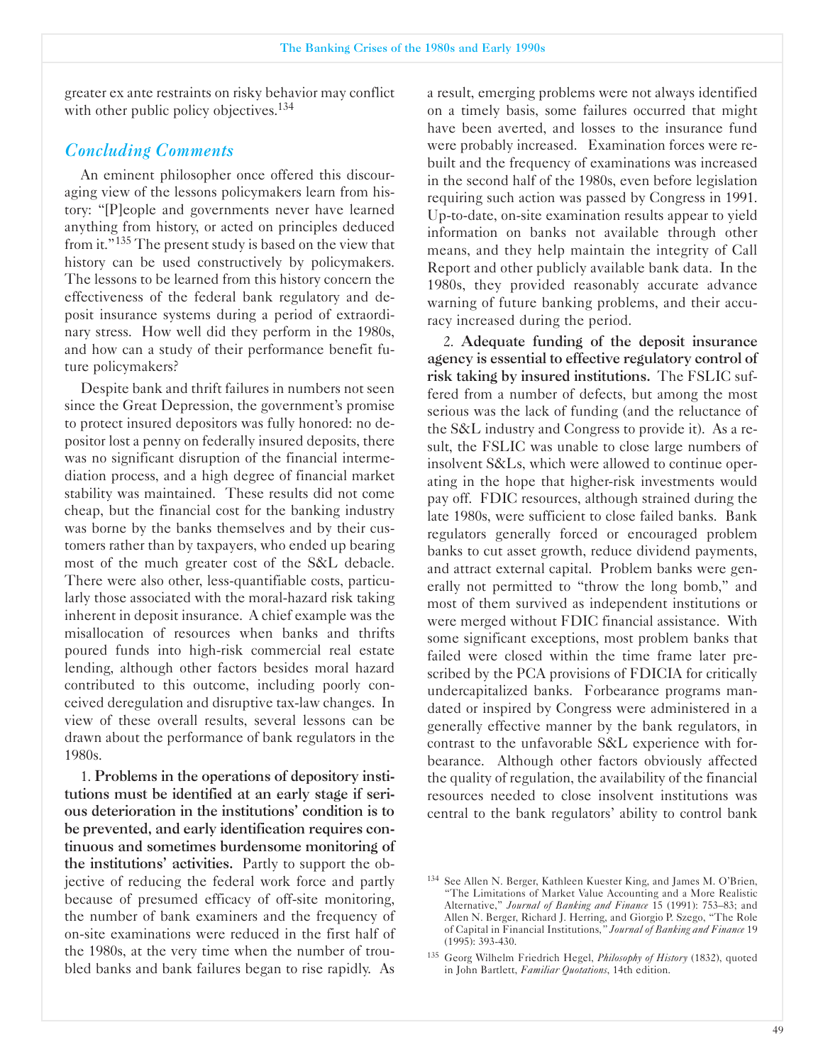greater ex ante restraints on risky behavior may conflict with other public policy objectives.<sup>134</sup>

# *Concluding Comments*

An eminent philosopher once offered this discouraging view of the lessons policymakers learn from history: "[P]eople and governments never have learned anything from history, or acted on principles deduced from it."135 The present study is based on the view that history can be used constructively by policymakers. The lessons to be learned from this history concern the effectiveness of the federal bank regulatory and deposit insurance systems during a period of extraordinary stress. How well did they perform in the 1980s, and how can a study of their performance benefit future policymakers?

Despite bank and thrift failures in numbers not seen since the Great Depression, the government's promise to protect insured depositors was fully honored: no depositor lost a penny on federally insured deposits, there was no significant disruption of the financial intermediation process, and a high degree of financial market stability was maintained. These results did not come cheap, but the financial cost for the banking industry was borne by the banks themselves and by their customers rather than by taxpayers, who ended up bearing most of the much greater cost of the S&L debacle. There were also other, less-quantifiable costs, particularly those associated with the moral-hazard risk taking inherent in deposit insurance. A chief example was the misallocation of resources when banks and thrifts poured funds into high-risk commercial real estate lending, although other factors besides moral hazard contributed to this outcome, including poorly conceived deregulation and disruptive tax-law changes. In view of these overall results, several lessons can be drawn about the performance of bank regulators in the 1980s.

1. Problems in the operations of depository institutions must be identified at an early stage if serious deterioration in the institutions' condition is to be prevented, and early identification requires continuous and sometimes burdensome monitoring of the institutions' activities. Partly to support the objective of reducing the federal work force and partly because of presumed efficacy of off-site monitoring, the number of bank examiners and the frequency of on-site examinations were reduced in the first half of the 1980s, at the very time when the number of troubled banks and bank failures began to rise rapidly. As

a result, emerging problems were not always identified on a timely basis, some failures occurred that might have been averted, and losses to the insurance fund were probably increased. Examination forces were rebuilt and the frequency of examinations was increased in the second half of the 1980s, even before legislation requiring such action was passed by Congress in 1991. Up-to-date, on-site examination results appear to yield information on banks not available through other means, and they help maintain the integrity of Call Report and other publicly available bank data. In the 1980s, they provided reasonably accurate advance warning of future banking problems, and their accuracy increased during the period.

2. Adequate funding of the deposit insurance agency is essential to effective regulatory control of risk taking by insured institutions. The FSLIC suffered from a number of defects, but among the most serious was the lack of funding (and the reluctance of the S&L industry and Congress to provide it). As a result, the FSLIC was unable to close large numbers of insolvent S&Ls, which were allowed to continue operating in the hope that higher-risk investments would pay off. FDIC resources, although strained during the late 1980s, were sufficient to close failed banks. Bank regulators generally forced or encouraged problem banks to cut asset growth, reduce dividend payments, and attract external capital. Problem banks were generally not permitted to "throw the long bomb," and most of them survived as independent institutions or were merged without FDIC financial assistance. With some significant exceptions, most problem banks that failed were closed within the time frame later prescribed by the PCA provisions of FDICIA for critically undercapitalized banks. Forbearance programs mandated or inspired by Congress were administered in a generally effective manner by the bank regulators, in contrast to the unfavorable S&L experience with forbearance. Although other factors obviously affected the quality of regulation, the availability of the financial resources needed to close insolvent institutions was central to the bank regulators' ability to control bank

<sup>&</sup>lt;sup>134</sup> See Allen N. Berger, Kathleen Kuester King, and James M. O'Brien, "The Limitations of Market Value Accounting and a More Realistic Alternative," *Journal of Banking and Finance* 15 (1991): 753-83; and Allen N. Berger, Richard J. Herring, and Giorgio P. Szego, "The Role of Capital in Financial Institutions *" Journal of Banking and Finance* 19  $(1995): 393-430.$ 

<sup>&</sup>lt;sup>135</sup> Georg Wilhelm Friedrich Hegel, *Philosophy of History* (1832), quoted in John Bartlett, *Familiar Quotations*, 14th edition.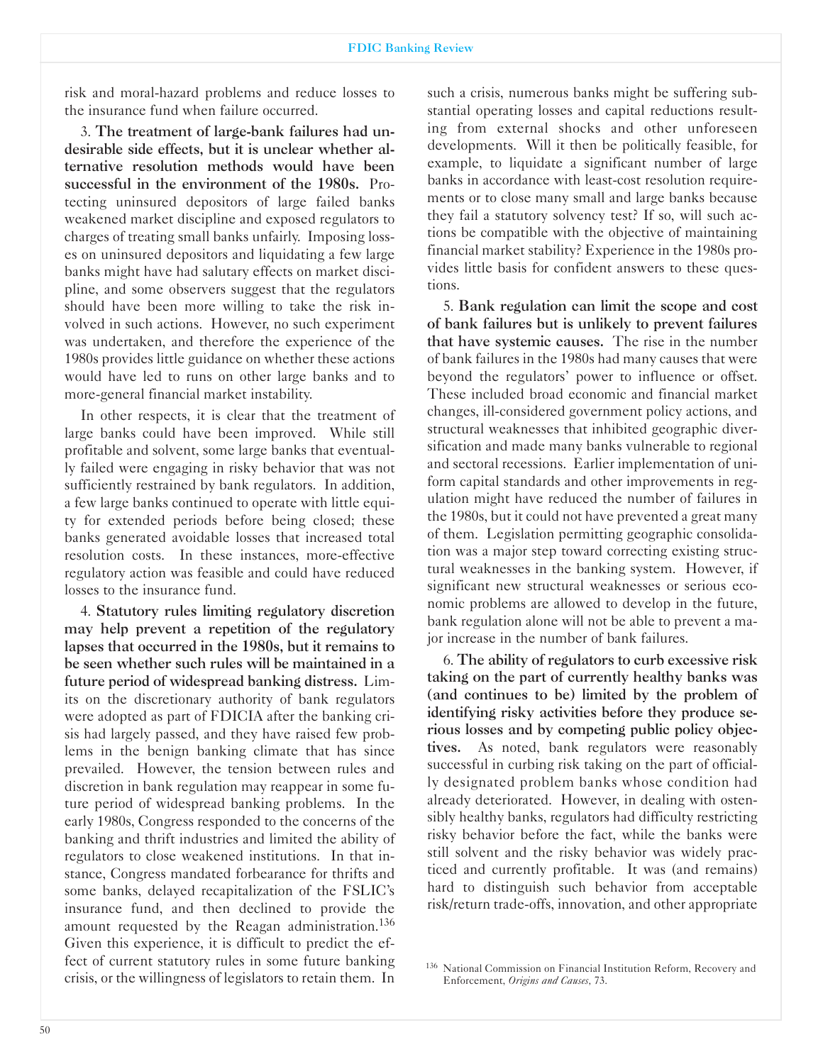risk and moral-hazard problems and reduce losses to the insurance fund when failure occurred.

3. The treatment of large-bank failures had undesirable side effects, but it is unclear whether alternative resolution methods would have been successful in the environment of the 1980s. Protecting uninsured depositors of large failed banks weakened market discipline and exposed regulators to charges of treating small banks unfairly. Imposing losses on uninsured depositors and liquidating a few large banks might have had salutary effects on market discipline, and some observers suggest that the regulators should have been more willing to take the risk involved in such actions. However, no such experiment was undertaken, and therefore the experience of the 1980s provides little guidance on whether these actions would have led to runs on other large banks and to more-general financial market instability.

In other respects, it is clear that the treatment of large banks could have been improved. While still profitable and solvent, some large banks that eventually failed were engaging in risky behavior that was not sufficiently restrained by bank regulators. In addition, a few large banks continued to operate with little equity for extended periods before being closed; these banks generated avoidable losses that increased total resolution costs. In these instances, more-effective regulatory action was feasible and could have reduced losses to the insurance fund.

4. Statutory rules limiting regulatory discretion may help prevent a repetition of the regulatory lapses that occurred in the 1980s, but it remains to be seen whether such rules will be maintained in a future period of widespread banking distress. Limits on the discretionary authority of bank regulators were adopted as part of FDICIA after the banking crisis had largely passed, and they have raised few problems in the benign banking climate that has since prevailed. However, the tension between rules and discretion in bank regulation may reappear in some future period of widespread banking problems. In the early 1980s, Congress responded to the concerns of the banking and thrift industries and limited the ability of regulators to close weakened institutions. In that instance, Congress mandated forbearance for thrifts and some banks, delayed recapitalization of the FSLIC's insurance fund, and then declined to provide the amount requested by the Reagan administration.<sup>136</sup> Given this experience, it is difficult to predict the effect of current statutory rules in some future banking crisis, or the willingness of legislators to retain them. In

such a crisis, numerous banks might be suffering substantial operating losses and capital reductions resulting from external shocks and other unforeseen developments. Will it then be politically feasible, for example, to liquidate a significant number of large banks in accordance with least-cost resolution requirements or to close many small and large banks because they fail a statutory solvency test? If so, will such actions be compatible with the objective of maintaining financial market stability? Experience in the 1980s provides little basis for confident answers to these questions.

5. Bank regulation can limit the scope and cost of bank failures but is unlikely to prevent failures that have systemic causes. The rise in the number of bank failures in the 1980s had many causes that were beyond the regulators' power to influence or offset. These included broad economic and financial market changes, ill-considered government policy actions, and structural weaknesses that inhibited geographic diversification and made many banks vulnerable to regional and sectoral recessions. Earlier implementation of uniform capital standards and other improvements in regulation might have reduced the number of failures in the 1980s, but it could not have prevented a great many of them. Legislation permitting geographic consolidation was a major step toward correcting existing structural weaknesses in the banking system. However, if significant new structural weaknesses or serious economic problems are allowed to develop in the future, bank regulation alone will not be able to prevent a major increase in the number of bank failures.

6. The ability of regulators to curb excessive risk taking on the part of currently healthy banks was (and continues to be) limited by the problem of identifying risky activities before they produce serious losses and by competing public policy objectives. As noted, bank regulators were reasonably successful in curbing risk taking on the part of officially designated problem banks whose condition had already deteriorated. However, in dealing with ostensibly healthy banks, regulators had difficulty restricting risky behavior before the fact, while the banks were still solvent and the risky behavior was widely practiced and currently profitable. It was (and remains) hard to distinguish such behavior from acceptable risk/return trade-offs, innovation, and other appropriate

<sup>136</sup> National Commission on Financial Institution Reform, Recovery and Enforcement, *Origins and Causes*, 73.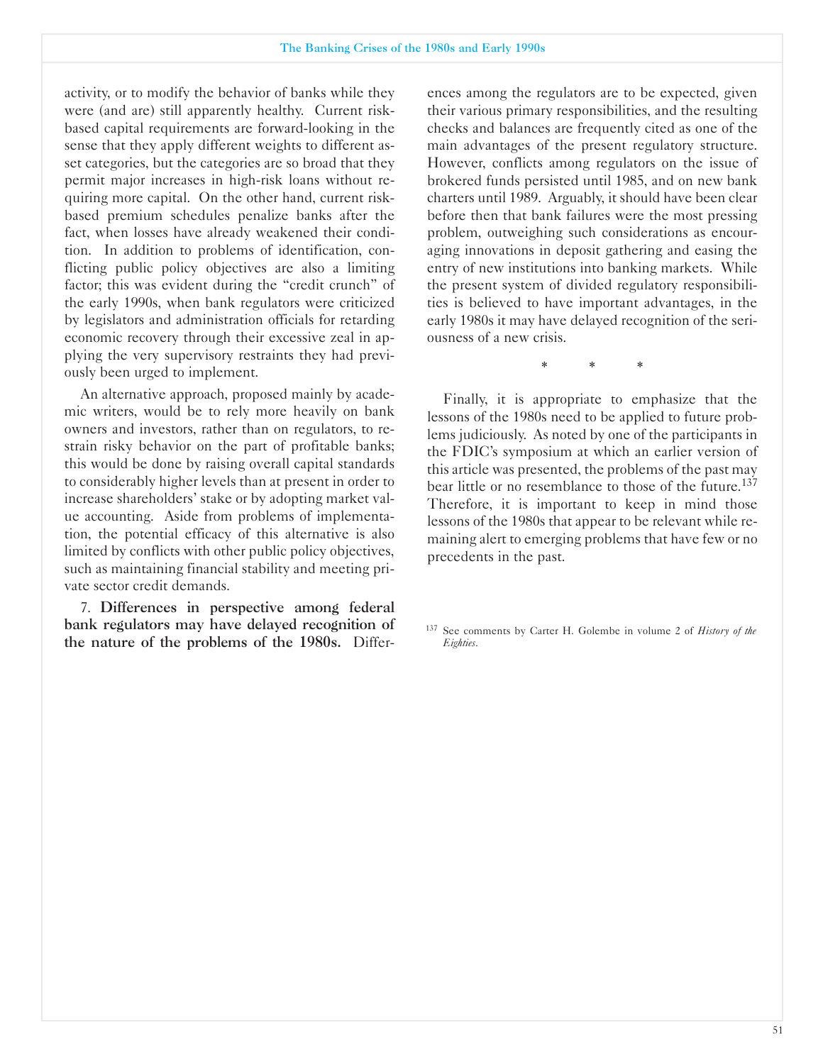activity, or to modify the behavior of banks while they were (and are) still apparently healthy. Current riskbased capital requirements are forward-looking in the sense that they apply different weights to different asset categories, but the categories are so broad that they permit major increases in high-risk loans without requiring more capital. On the other hand, current riskbased premium schedules penalize banks after the fact, when losses have already weakened their condition. In addition to problems of identification, conflicting public policy objectives are also a limiting factor; this was evident during the "credit crunch" of the early 1990s, when bank regulators were criticized by legislators and administration officials for retarding economic recovery through their excessive zeal in applying the very supervisory restraints they had previously been urged to implement.

An alternative approach, proposed mainly by academic writers, would be to rely more heavily on bank owners and investors, rather than on regulators, to restrain risky behavior on the part of profitable banks; this would be done by raising overall capital standards to considerably higher levels than at present in order to increase shareholders' stake or by adopting market value accounting. Aside from problems of implementation, the potential efficacy of this alternative is also limited by conflicts with other public policy objectives, such as maintaining financial stability and meeting private sector credit demands.

7. Differences in perspective among federal bank regulators may have delayed recognition of the nature of the problems of the 1980s. Differences among the regulators are to be expected, given their various primary responsibilities, and the resulting checks and balances are frequently cited as one of the main advantages of the present regulatory structure. However, conflicts among regulators on the issue of brokered funds persisted until 1985, and on new bank charters until 1989. Arguably, it should have been clear before then that bank failures were the most pressing problem, outweighing such considerations as encouraging innovations in deposit gathering and easing the entry of new institutions into banking markets. While the present system of divided regulatory responsibilities is believed to have important advantages, in the early 1980s it may have delayed recognition of the seriousness of a new crisis.

\* \* \*

Finally, it is appropriate to emphasize that the lessons of the 1980s need to be applied to future problems judiciously. As noted by one of the participants in the FDIC's symposium at which an earlier version of this article was presented, the problems of the past may bear little or no resemblance to those of the future.<sup>137</sup> Therefore, it is important to keep in mind those lessons of the 1980s that appear to be relevant while remaining alert to emerging problems that have few or no precedents in the past.

<sup>137</sup> See comments by Carter H. Golembe in volume 2 of *History of the Eighties*.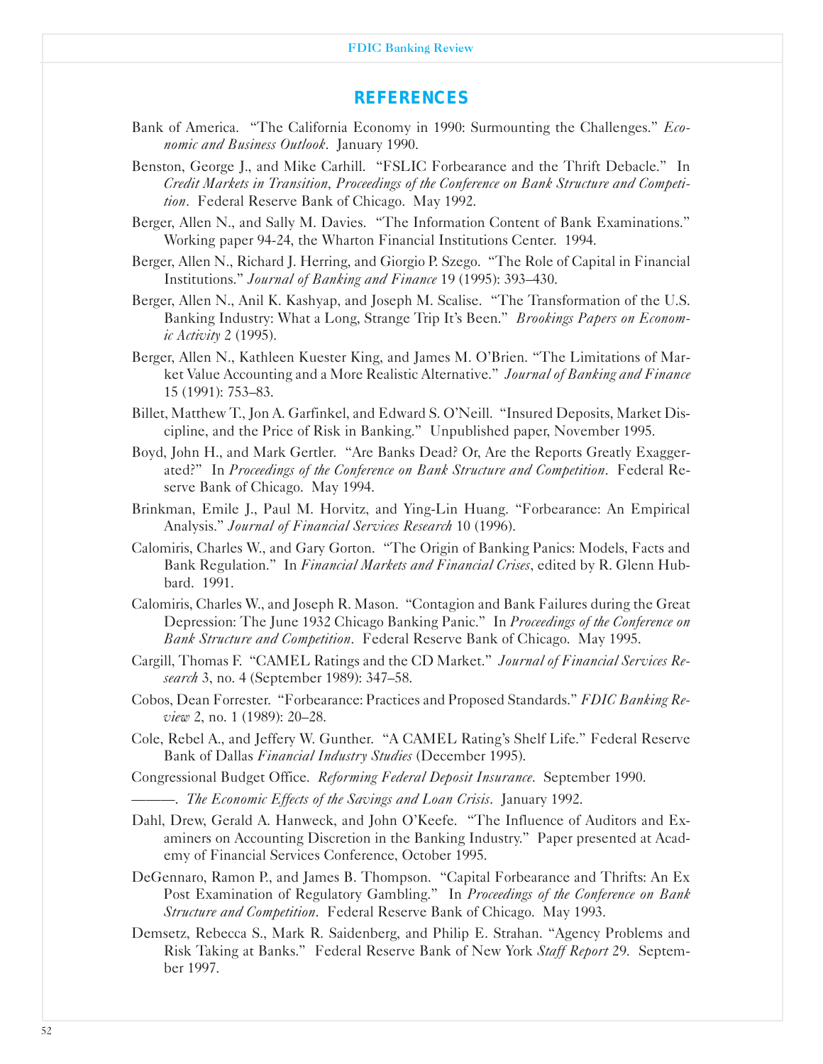#### FDIC Banking Review

#### *REFERENCES*

- Bank of America. "The California Economy in 1990: Surmounting the Challenges." *Economic and Business Outlook*. January 1990.
- Benston, George J., and Mike Carhill. "FSLIC Forbearance and the Thrift Debacle." In *Credit Markets in Transition Proceedings of the Conference on Bank Structure and Competition*. Federal Reserve Bank of Chicago. May 1992.
- Berger, Allen N., and Sally M. Davies. "The Information Content of Bank Examinations." Working paper 9424, the Wharton Financial Institutions Center. 1994.
- Berger, Allen N., Richard J. Herring, and Giorgio P. Szego. "The Role of Capital in Financial Institutions." *Journal of Banking and Finance* 19 (1995): 393-430.
- Berger, Allen N., Anil K. Kashyap, and Joseph M. Scalise. "The Transformation of the U.S. Banking Industry: What a Long, Strange Trip It's Been." *Brookings Papers on Economic Activity* 2 (1995).
- Berger, Allen N., Kathleen Kuester King, and James M. O'Brien. "The Limitations of Market Value Accounting and a More Realistic Alternative." *Journal of Banking and Finance* 15 (1991): 753-83.
- Billet, Matthew T., Jon A. Garfinkel, and Edward S. O'Neill. "Insured Deposits, Market Discipline, and the Price of Risk in Banking." Unpublished paper, November 1995.
- Boyd, John H., and Mark Gertler. "Are Banks Dead? Or, Are the Reports Greatly Exaggerated?" In *Proceedings of the Conference on Bank Structure and Competition*. Federal Reserve Bank of Chicago. May 1994.
- Brinkman, Emile J., Paul M. Horvitz, and Ying-Lin Huang. "Forbearance: An Empirical Analysis." *Journal of Financial Services Research* 10 (1996).
- Calomiris, Charles W., and Gary Gorton. "The Origin of Banking Panics: Models, Facts and Bank Regulation." In *Financial Markets and Financial Crises*, edited by R. Glenn Hubbard. 1991.
- Calomiris, Charles W., and Joseph R. Mason. "Contagion and Bank Failures during the Great Depression: The June 1932 Chicago Banking Panic." In *Proceedings of the Conference on Bank Structure and Competition*. Federal Reserve Bank of Chicago. May 1995.
- Cargill, Thomas F. "CAMEL Ratings and the CD Market." *Journal of Financial Services Research* 3, no. 4 (September 1989): 347-58.
- Cobos, Dean Forrester. "Forbearance: Practices and Proposed Standards." *FDIC Banking Review* 2, no. 1 (1989): 20-28.
- Cole, Rebel A., and Jeffery W. Gunther. "A CAMEL Rating's Shelf Life." Federal Reserve Bank of Dallas *Financial Industry Studies* (December 1995).
- Congressional Budget Office. *Reforming Federal Deposit Insurance*. September 1990.
- ---. *The Economic Effects of the Savings and Loan Crisis*. January 1992.
- Dahl, Drew, Gerald A. Hanweck, and John O'Keefe. "The Influence of Auditors and Examiners on Accounting Discretion in the Banking Industry." Paper presented at Academy of Financial Services Conference, October 1995.
- DeGennaro, Ramon P., and James B. Thompson. "Capital Forbearance and Thrifts: An Ex Post Examination of Regulatory Gambling." In *Proceedings of the Conference on Bank Structure and Competition*. Federal Reserve Bank of Chicago. May 1993.
- Demsetz, Rebecca S., Mark R. Saidenberg, and Philip E. Strahan. "Agency Problems and Risk Taking at Banks." Federal Reserve Bank of New York *Staff Report* 29. September 1997.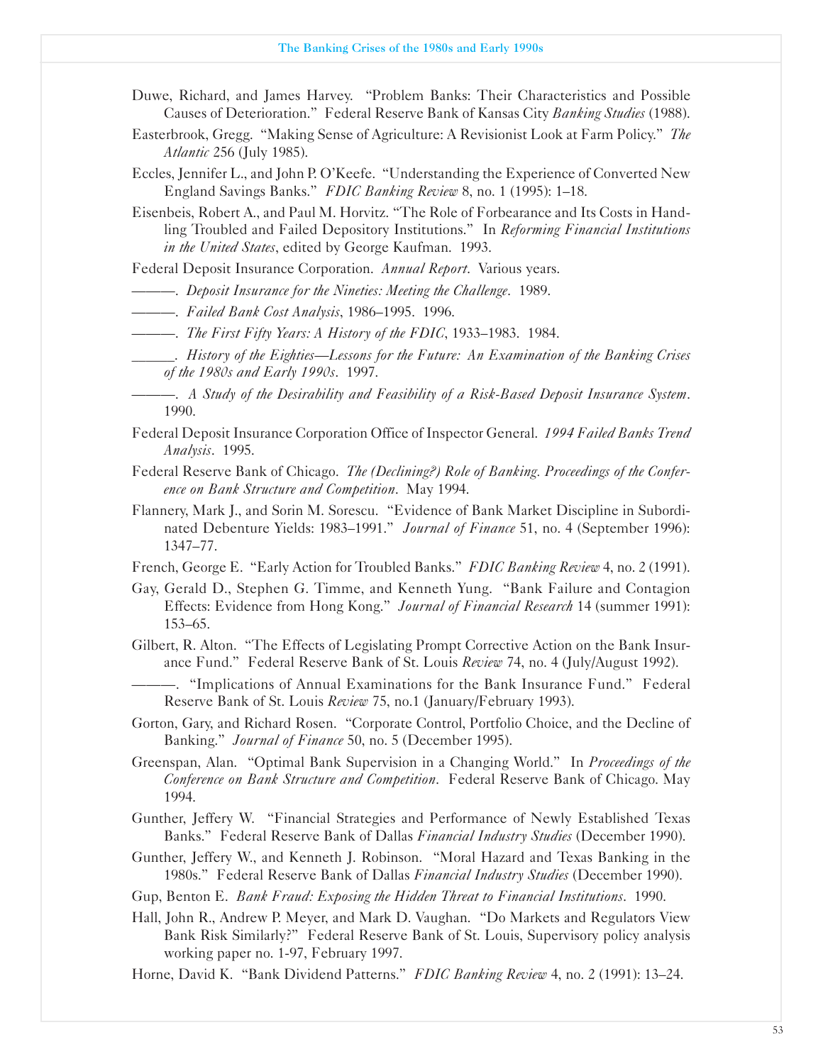- Duwe, Richard, and James Harvey. "Problem Banks: Their Characteristics and Possible Causes of Deterioration." Federal Reserve Bank of Kansas City *Banking Studies* (1988).
- Easterbrook, Gregg. "Making Sense of Agriculture: A Revisionist Look at Farm Policy." *The Atlantic* 256 (July 1985).
- Eccles, Jennifer L., and John P. O'Keefe. "Understanding the Experience of Converted New England Savings Banks." *FDIC Banking Review* 8, no. 1 (1995): 1-18.
- Eisenbeis, Robert A., and Paul M. Horvitz. "The Role of Forbearance and Its Costs in Handling Troubled and Failed Depository Institutions." In *Reforming Financial Institutions in the United States*, edited by George Kaufman. 1993.

Federal Deposit Insurance Corporation. *Annual Report*. Various years.

---. *Deposit Insurance for the Nineties: Meeting the Challenge*. 1989.

---. *Failed Bank Cost Analysis*, 1986-1995. 1996.

- ---. *The First Fifty Years: A History of the FDIC*, 1933-1983. 1984.
- ������. *History of the Eighties-Lessons for the Future: An Examination of the Banking Crises of the 1980s and Early 1990s*. 1997.
	- ---. *A Study of the Desirability and Feasibility of a RiskBased Deposit Insurance System*. 1990.
- Federal Deposit Insurance Corporation Office of Inspector General. *1994 Failed Banks Trend Analysis*. 1995.
- Federal Reserve Bank of Chicago. *The (Declining?) Role of Banking. Proceedings of the Conference on Bank Structure and Competition*. May 1994.
- Flannery, Mark J., and Sorin M. Sorescu. "Evidence of Bank Market Discipline in Subordinated Debenture Yields: 1983-1991." *Journal of Finance* 51, no. 4 (September 1996): 1347-77.
- French, George E. "Early Action for Troubled Banks." *FDIC Banking Review* 4, no. 2 (1991).
- Gay, Gerald D., Stephen G. Timme, and Kenneth Yung. "Bank Failure and Contagion Effects: Evidence from Hong Kong." *Journal of Financial Research* 14 (summer 1991): 153-65.
- Gilbert, R. Alton. "The Effects of Legislating Prompt Corrective Action on the Bank Insurance Fund." Federal Reserve Bank of St. Louis *Review* 74, no. 4 (July/August 1992).
	- ---. "Implications of Annual Examinations for the Bank Insurance Fund." Federal Reserve Bank of St. Louis *Review* 75, no.1 (January/February 1993).
- Gorton, Gary, and Richard Rosen. "Corporate Control, Portfolio Choice, and the Decline of Banking." *Journal of Finance* 50, no. 5 (December 1995).
- Greenspan, Alan. "Optimal Bank Supervision in a Changing World." In *Proceedings of the Conference on Bank Structure and Competition*. Federal Reserve Bank of Chicago. May 1994.
- Gunther, Jeffery W. "Financial Strategies and Performance of Newly Established Texas Banks." Federal Reserve Bank of Dallas *Financial Industry Studies* (December 1990).
- Gunther, Jeffery W., and Kenneth J. Robinson. "Moral Hazard and Texas Banking in the 1980s." Federal Reserve Bank of Dallas *Financial Industry Studies* (December 1990).
- Gup, Benton E. *Bank Fraud: Exposing the Hidden Threat to Financial Institutions*. 1990.
- Hall, John R., Andrew P. Meyer, and Mark D. Vaughan. "Do Markets and Regulators View Bank Risk Similarly?" Federal Reserve Bank of St. Louis, Supervisory policy analysis working paper no. 1-97, February 1997.
- Horne, David K. "Bank Dividend Patterns." *FDIC Banking Review* 4, no. 2 (1991): 13-24.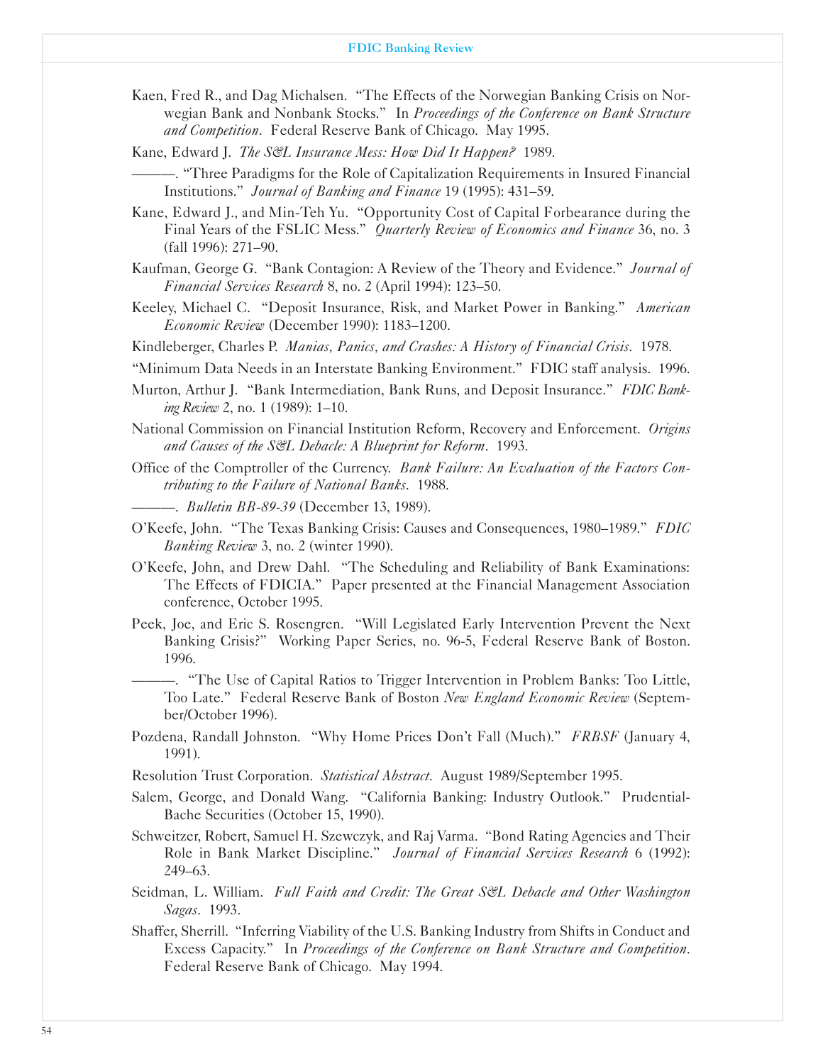- Kaen, Fred R., and Dag Michalsen. "The Effects of the Norwegian Banking Crisis on Norwegian Bank and Nonbank Stocks." In *Proceedings of the Conference on Bank Structure and Competition*. Federal Reserve Bank of Chicago. May 1995.
- Kane, Edward J. *The S&L Insurance Mess: How Did It Happen.* 1989.
- ---. "Three Paradigms for the Role of Capitalization Requirements in Insured Financial Institutions." *Journal of Banking and Finance* 19 (1995): 431-59.
- Kane, Edward J., and Min-Teh Yu. "Opportunity Cost of Capital Forbearance during the Final Years of the FSLIC Mess." *Quarterly Review of Economics and Finance* 36, no. 3 (fall 1996): 271-90.
- Kaufman, George G. "Bank Contagion: A Review of the Theory and Evidence." *Journal of Financial Services Research* 8, no. 2 (April 1994): 123-50.
- Keeley, Michael C. "Deposit Insurance, Risk, and Market Power in Banking." *American Economic Review* (December 1990): 1183-1200.
- Kindleberger, Charles P. *Manias, Panics, and Crashes: A History of Financial Crisis.* 1978.
- "Minimum Data Needs in an Interstate Banking Environment." FDIC staff analysis. 1996.
- Murton, Arthur J. "Bank Intermediation, Bank Runs, and Deposit Insurance." *FDIC Banking Review* 2, no. 1 (1989): 1-10.
- National Commission on Financial Institution Reform, Recovery and Enforcement. *Origins and Causes of the S&L Debacle: A Blueprint for Reform*. 1993.
- Office of the Comptroller of the Currency. *Bank Failure: An Evaluation of the Factors Contributing to the Failure of National Banks*. 1988.
	- -. *Bulletin BB-89-39* (December 13, 1989).
- O'Keefe, John. "The Texas Banking Crisis: Causes and Consequences, 1980-1989." *FDIC Banking Review* 3, no. 2 (winter 1990).
- O'Keefe, John, and Drew Dahl. "The Scheduling and Reliability of Bank Examinations: The Effects of FDICIA." Paper presented at the Financial Management Association conference, October 1995.
- Peek, Joe, and Eric S. Rosengren. "Will Legislated Early Intervention Prevent the Next Banking Crisis?" Working Paper Series, no. 965, Federal Reserve Bank of Boston. 1996.
	- ---. "The Use of Capital Ratios to Trigger Intervention in Problem Banks: Too Little, Too Late." Federal Reserve Bank of Boston *New England Economic Review* (September/October 1996).
- Pozdena, Randall Johnston. "Why Home Prices Don't Fall (Much)." *FRBSF* (January 4, 1991).
- Resolution Trust Corporation. *Statistical Abstract*. August 1989/September 1995.
- Salem, George, and Donald Wang. "California Banking: Industry Outlook." Prudential-Bache Securities (October 15, 1990).
- Schweitzer, Robert, Samuel H. Szewczyk, and Raj Varma. "Bond Rating Agencies and Their Role in Bank Market Discipline." *Journal of Financial Services Research* 6 (1992): 249-63.
- Seidman, L. William. Full Faith and Credit: The Great S&L Debacle and Other Washington *Sagas*. 1993.
- Shaffer, Sherrill. "Inferring Viability of the U.S. Banking Industry from Shifts in Conduct and Excess Capacity." In *Proceedings of the Conference on Bank Structure and Competition*. Federal Reserve Bank of Chicago. May 1994.